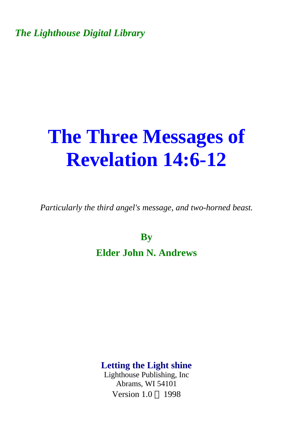*The Lighthouse Digital Library* 

# **The Three Messages of Revelation 14:6-12**

*Particularly the third angel's message, and two-horned beast.* 

**By Elder John N. Andrews** 

**Letting the Light shine** 

Lighthouse Publishing, Inc Abrams, WI 54101 Version  $1.0 \odot 1998$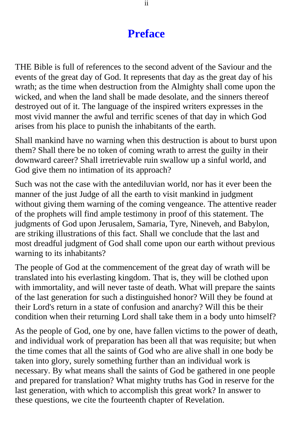## **Preface**

THE Bible is full of references to the second advent of the Saviour and the events of the great day of God. It represents that day as the great day of his wrath; as the time when destruction from the Almighty shall come upon the wicked, and when the land shall be made desolate, and the sinners thereof destroyed out of it. The language of the inspired writers expresses in the most vivid manner the awful and terrific scenes of that day in which God arises from his place to punish the inhabitants of the earth.

Shall mankind have no warning when this destruction is about to burst upon them? Shall there be no token of coming wrath to arrest the guilty in their downward career? Shall irretrievable ruin swallow up a sinful world, and God give them no intimation of its approach?

Such was not the case with the antediluvian world, nor has it ever been the manner of the just Judge of all the earth to visit mankind in judgment without giving them warning of the coming vengeance. The attentive reader of the prophets will find ample testimony in proof of this statement. The judgments of God upon Jerusalem, Samaria, Tyre, Nineveh, and Babylon, are striking illustrations of this fact. Shall we conclude that the last and most dreadful judgment of God shall come upon our earth without previous warning to its inhabitants?

The people of God at the commencement of the great day of wrath will be translated into his everlasting kingdom. That is, they will be clothed upon with immortality, and will never taste of death. What will prepare the saints of the last generation for such a distinguished honor? Will they be found at their Lord's return in a state of confusion and anarchy? Will this be their condition when their returning Lord shall take them in a body unto himself?

As the people of God, one by one, have fallen victims to the power of death, and individual work of preparation has been all that was requisite; but when the time comes that all the saints of God who are alive shall in one body be taken into glory, surely something further than an individual work is necessary. By what means shall the saints of God be gathered in one people and prepared for translation? What mighty truths has God in reserve for the last generation, with which to accomplish this great work? In answer to these questions, we cite the fourteenth chapter of Revelation.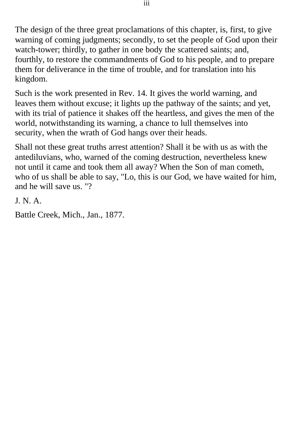The design of the three great proclamations of this chapter, is, first, to give warning of coming judgments; secondly, to set the people of God upon their watch-tower; thirdly, to gather in one body the scattered saints; and, fourthly, to restore the commandments of God to his people, and to prepare them for deliverance in the time of trouble, and for translation into his kingdom.

Such is the work presented in Rev. 14. It gives the world warning, and leaves them without excuse; it lights up the pathway of the saints; and yet, with its trial of patience it shakes off the heartless, and gives the men of the world, notwithstanding its warning, a chance to lull themselves into security, when the wrath of God hangs over their heads.

Shall not these great truths arrest attention? Shall it be with us as with the antediluvians, who, warned of the coming destruction, nevertheless knew not until it came and took them all away? When the Son of man cometh, who of us shall be able to say, "Lo, this is our God, we have waited for him, and he will save us. "?

J. N. A.

Battle Creek, Mich., Jan., 1877.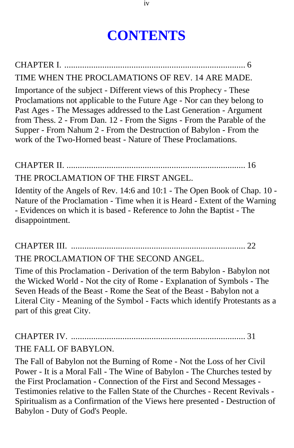## **CONTENTS**

### CHAPTER I. ................................................................................. 6

#### TIME WHEN THE PROCLAMATIONS OF REV. 14 ARE MADE.

Importance of the subject - Different views of this Prophecy - These Proclamations not applicable to the Future Age - Nor can they belong to Past Ages - The Messages addressed to the Last Generation - Argument [from Thess. 2 - From Dan. 12 - From the Signs - From the Parable of the](#page-5-0) Supper - From Nahum 2 - From the Destruction of Babylon - From the work of the Two-Horned beast - Nature of These Proclamations.

CHAPTER II. ................................................................................ 16

### THE PROCLAMATION OF THE FIRST ANGEL.

[Identity of the Angels of Rev. 14:6 and 10:1 - The Open Book of Chap. 10 -](#page-15-0) Nature of the Proclamation - Time when it is Heard - Extent of the Warning - Evidences on which it is based - Reference to John the Baptist - The disappointment.

## CHAPTER III. .............................................................................. 22

#### THE PROCLAMATION OF THE SECOND ANGEL.

Time of this Proclamation - Derivation of the term Babylon - Babylon not the Wicked World - Not the city of Rome - Explanation of Symbols - The Seven Heads of the Beast - Rome the Seat of the Beast - Babylon not a [Literal City - Meaning of the Symbol - Facts which identify Protestants as a](#page-21-0) part of this great City.

CHAPTER IV. .............................................................................. 31

#### THE FALL OF BABYLON.

The Fall of Babylon not the Burning of Rome - Not the Loss of her Civil Power - It is a Moral Fall - The Wine of Babylon - The Churches tested by the First Proclamation - Connection of the First and Second Messages - Testimonies relative to the Fallen State of the Churches - Recent Revivals - [Spiritualism as a Confirmation of the Views here presented - Destruction of](#page-30-0) Babylon - Duty of God's People.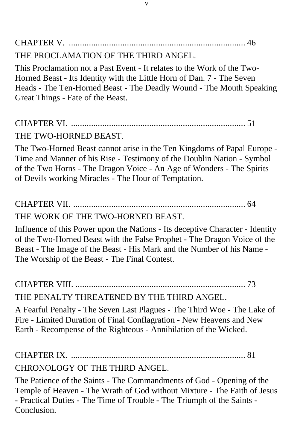CHAPTER V. ............................................................................... 46

THE PROCLAMATION OF THE THIRD ANGEL.

This Proclamation not a Past Event - It relates to the Work of the Two-Horned Beast - Its Identity with the Little Horn of Dan. 7 - The Seven [Heads - The Ten-Horned Beast - The Deadly Wound - The Mouth Speaking](#page-45-0) Great Things - Fate of the Beast.

## CHAPTER VI. .............................................................................. 51

THE TWO-HORNED BEAST.

[The Two-Horned Beast cannot arise in the Ten Kingdoms of Papal Europe -](#page-50-0) Time and Manner of his Rise - Testimony of the Doublin Nation - Symbol of the Two Horns - The Dragon Voice - An Age of Wonders - The Spirits of Devils working Miracles - The Hour of Temptation.

CHAPTER VII. ............................................................................. 64

THE WORK OF THE TWO-HORNED BEAST.

[Influence of this Power upon the Nations - Its deceptive Character - Identity](#page-63-0) of the Two-Horned Beast with the False Prophet - The Dragon Voice of the Beast - The Image of the Beast - His Mark and the Number of his Name - The Worship of the Beast - The Final Contest.

CHAPTER VIII. ............................................................................ 73

THE PENALTY THREATENED BY THE THIRD ANGEL.

[A Fearful Penalty - The Seven Last Plagues - The Third Woe - The Lake of](#page-72-0) Fire - Limited Duration of Final Conflagration - New Heavens and New Earth - Recompense of the Righteous - Annihilation of the Wicked.

CHAPTER IX. .............................................................................. 81 CHRONOLOGY OF THE THIRD ANGEL.

The Patience of the Saints - The Commandments of God - Opening of the [Temple of Heaven - The Wrath of God without Mixture - The Faith of Jesus](#page-80-0) - Practical Duties - The Time of Trouble - The Triumph of the Saints - Conclusion.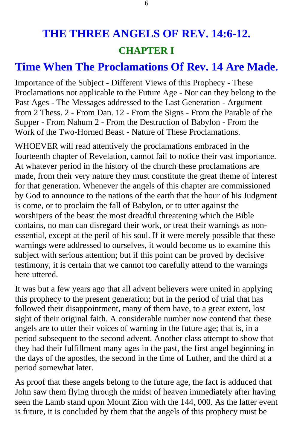## **THE THREE ANGELS OF REV. 14:6-12. CHAPTER I**

## <span id="page-5-0"></span>**Time When The Proclamations Of Rev. 14 Are Made.**

Importance of the Subject - Different Views of this Prophecy - These Proclamations not applicable to the Future Age - Nor can they belong to the Past Ages - The Messages addressed to the Last Generation - Argument from 2 Thess. 2 - From Dan. 12 - From the Signs - From the Parable of the Supper - From Nahum 2 - From the Destruction of Babylon - From the Work of the Two-Horned Beast - Nature of These Proclamations.

WHOEVER will read attentively the proclamations embraced in the fourteenth chapter of Revelation, cannot fail to notice their vast importance. At whatever period in the history of the church these proclamations are made, from their very nature they must constitute the great theme of interest for that generation. Whenever the angels of this chapter are commissioned by God to announce to the nations of the earth that the hour of his Judgment is come, or to proclaim the fall of Babylon, or to utter against the worshipers of the beast the most dreadful threatening which the Bible contains, no man can disregard their work, or treat their warnings as nonessential, except at the peril of his soul. If it were merely possible that these warnings were addressed to ourselves, it would become us to examine this subject with serious attention; but if this point can be proved by decisive testimony, it is certain that we cannot too carefully attend to the warnings here uttered.

It was but a few years ago that all advent believers were united in applying this prophecy to the present generation; but in the period of trial that has followed their disappointment, many of them have, to a great extent, lost sight of their original faith. A considerable number now contend that these angels are to utter their voices of warning in the future age; that is, in a period subsequent to the second advent. Another class attempt to show that they had their fulfillment many ages in the past, the first angel beginning in the days of the apostles, the second in the time of Luther, and the third at a period somewhat later.

As proof that these angels belong to the future age, the fact is adduced that John saw them flying through the midst of heaven immediately after having seen the Lamb stand upon Mount Zion with the 144, 000. As the latter event is future, it is concluded by them that the angels of this prophecy must be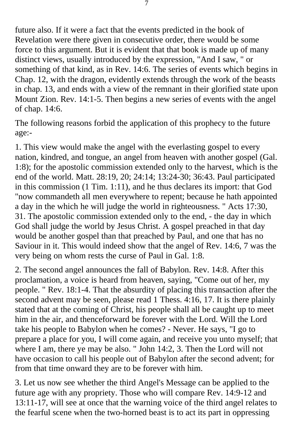future also. If it were a fact that the events predicted in the book of Revelation were there given in consecutive order, there would be some force to this argument. But it is evident that that book is made up of many distinct views, usually introduced by the expression, "And I saw, " or something of that kind, as in Rev. 14:6. The series of events which begins in Chap. 12, with the dragon, evidently extends through the work of the beasts in chap. 13, and ends with a view of the remnant in their glorified state upon Mount Zion. Rev. 14:1-5. Then begins a new series of events with the angel of chap. 14:6.

The following reasons forbid the application of this prophecy to the future age:-

1. This view would make the angel with the everlasting gospel to every nation, kindred, and tongue, an angel from heaven with another gospel (Gal. 1:8); for the apostolic commission extended only to the harvest, which is the end of the world. Matt. 28:19, 20; 24:14; 13:24-30; 36:43. Paul participated in this commission (1 Tim. 1:11), and he thus declares its import: that God "now commandeth all men everywhere to repent; because he hath appointed a day in the which he will judge the world in righteousness. " Acts 17:30, 31. The apostolic commission extended only to the end, - the day in which God shall judge the world by Jesus Christ. A gospel preached in that day would be another gospel than that preached by Paul, and one that has no Saviour in it. This would indeed show that the angel of Rev. 14:6, 7 was the very being on whom rests the curse of Paul in Gal. 1:8.

2. The second angel announces the fall of Babylon. Rev. 14:8. After this proclamation, a voice is heard from heaven, saying, "Come out of her, my people. " Rev. 18:1-4. That the absurdity of placing this transaction after the second advent may be seen, please read 1 Thess. 4:16, 17. It is there plainly stated that at the coming of Christ, his people shall all be caught up to meet him in the air, and thenceforward be forever with the Lord. Will the Lord take his people to Babylon when he comes? - Never. He says, "I go to prepare a place for you, I will come again, and receive you unto myself; that where I am, there ye may be also. " John 14:2, 3. Then the Lord will not have occasion to call his people out of Babylon after the second advent; for from that time onward they are to be forever with him.

3. Let us now see whether the third Angel's Message can be applied to the future age with any propriety. Those who will compare Rev. 14:9-12 and 13:11-17, will see at once that the warning voice of the third angel relates to the fearful scene when the two-horned beast is to act its part in oppressing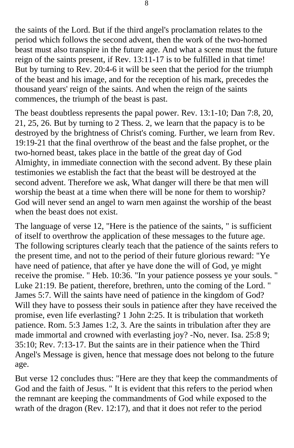the saints of the Lord. But if the third angel's proclamation relates to the period which follows the second advent, then the work of the two-horned beast must also transpire in the future age. And what a scene must the future reign of the saints present, if Rev. 13:11-17 is to be fulfilled in that time! But by turning to Rev. 20:4-6 it will be seen that the period for the triumph of the beast and his image, and for the reception of his mark, precedes the thousand years' reign of the saints. And when the reign of the saints commences, the triumph of the beast is past.

The beast doubtless represents the papal power. Rev. 13:1-10; Dan 7:8, 20, 21, 25, 26. But by turning to 2 Thess. 2, we learn that the papacy is to be destroyed by the brightness of Christ's coming. Further, we learn from Rev. 19:19-21 that the final overthrow of the beast and the false prophet, or the two-horned beast, takes place in the battle of the great day of God Almighty, in immediate connection with the second advent. By these plain testimonies we establish the fact that the beast will be destroyed at the second advent. Therefore we ask, What danger will there be that men will worship the beast at a time when there will be none for them to worship? God will never send an angel to warn men against the worship of the beast when the beast does not exist.

The language of verse 12, "Here is the patience of the saints, " is sufficient of itself to overthrow the application of these messages to the future age. The following scriptures clearly teach that the patience of the saints refers to the present time, and not to the period of their future glorious reward: "Ye have need of patience, that after ye have done the will of God, ye might receive the promise. " Heb. 10:36. "In your patience possess ye your souls. " Luke 21:19. Be patient, therefore, brethren, unto the coming of the Lord. " James 5:7. Will the saints have need of patience in the kingdom of God? Will they have to possess their souls in patience after they have received the promise, even life everlasting? 1 John 2:25. It is tribulation that worketh patience. Rom. 5:3 James 1:2, 3. Are the saints in tribulation after they are made immortal and crowned with everlasting joy? -No, never. Isa. 25:8 9; 35:10; Rev. 7:13-17. But the saints are in their patience when the Third Angel's Message is given, hence that message does not belong to the future age.

But verse 12 concludes thus: "Here are they that keep the commandments of God and the faith of Jesus. " It is evident that this refers to the period when the remnant are keeping the commandments of God while exposed to the wrath of the dragon (Rev. 12:17), and that it does not refer to the period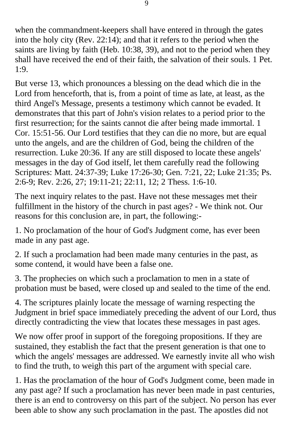when the commandment-keepers shall have entered in through the gates into the holy city (Rev. 22:14); and that it refers to the period when the saints are living by faith (Heb. 10:38, 39), and not to the period when they shall have received the end of their faith, the salvation of their souls. 1 Pet. 1:9.

But verse 13, which pronounces a blessing on the dead which die in the Lord from henceforth, that is, from a point of time as late, at least, as the third Angel's Message, presents a testimony which cannot be evaded. It demonstrates that this part of John's vision relates to a period prior to the first resurrection; for the saints cannot die after being made immortal. 1 Cor. 15:51-56. Our Lord testifies that they can die no more, but are equal unto the angels, and are the children of God, being the children of the resurrection. Luke 20:36. If any are still disposed to locate these angels' messages in the day of God itself, let them carefully read the following Scriptures: Matt. 24:37-39; Luke 17:26-30; Gen. 7:21, 22; Luke 21:35; Ps. 2:6-9; Rev. 2:26, 27; 19:11-21; 22:11, 12; 2 Thess. 1:6-10.

The next inquiry relates to the past. Have not these messages met their fulfillment in the history of the church in past ages? - We think not. Our reasons for this conclusion are, in part, the following:-

1. No proclamation of the hour of God's Judgment come, has ever been made in any past age.

2. If such a proclamation had been made many centuries in the past, as some contend, it would have been a false one.

3. The prophecies on which such a proclamation to men in a state of probation must be based, were closed up and sealed to the time of the end.

4. The scriptures plainly locate the message of warning respecting the Judgment in brief space immediately preceding the advent of our Lord, thus directly contradicting the view that locates these messages in past ages.

We now offer proof in support of the foregoing propositions. If they are sustained, they establish the fact that the present generation is that one to which the angels' messages are addressed. We earnestly invite all who wish to find the truth, to weigh this part of the argument with special care.

1. Has the proclamation of the hour of God's Judgment come, been made in any past age? If such a proclamation has never been made in past centuries, there is an end to controversy on this part of the subject. No person has ever been able to show any such proclamation in the past. The apostles did not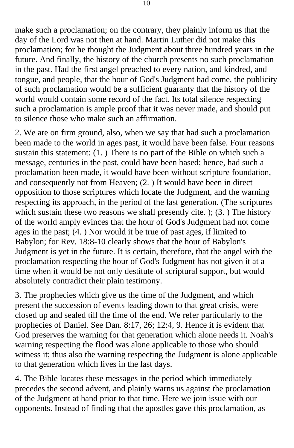make such a proclamation; on the contrary, they plainly inform us that the day of the Lord was not then at hand. Martin Luther did not make this proclamation; for he thought the Judgment about three hundred years in the future. And finally, the history of the church presents no such proclamation in the past. Had the first angel preached to every nation, and kindred, and tongue, and people, that the hour of God's Judgment had come, the publicity of such proclamation would be a sufficient guaranty that the history of the world would contain some record of the fact. Its total silence respecting such a proclamation is ample proof that it was never made, and should put to silence those who make such an affirmation.

2. We are on firm ground, also, when we say that had such a proclamation been made to the world in ages past, it would have been false. Four reasons sustain this statement: (1. ) There is no part of the Bible on which such a message, centuries in the past, could have been based; hence, had such a proclamation been made, it would have been without scripture foundation, and consequently not from Heaven; (2. ) It would have been in direct opposition to those scriptures which locate the Judgment, and the warning respecting its approach, in the period of the last generation. (The scriptures which sustain these two reasons we shall presently cite. ); (3. ) The history of the world amply evinces that the hour of God's Judgment had not come ages in the past; (4. ) Nor would it be true of past ages, if limited to Babylon; for Rev. 18:8-10 clearly shows that the hour of Babylon's Judgment is yet in the future. It is certain, therefore, that the angel with the proclamation respecting the hour of God's Judgment has not given it at a time when it would be not only destitute of scriptural support, but would absolutely contradict their plain testimony.

3. The prophecies which give us the time of the Judgment, and which present the succession of events leading down to that great crisis, were closed up and sealed till the time of the end. We refer particularly to the prophecies of Daniel. See Dan. 8:17, 26; 12:4, 9. Hence it is evident that God preserves the warning for that generation which alone needs it. Noah's warning respecting the flood was alone applicable to those who should witness it; thus also the warning respecting the Judgment is alone applicable to that generation which lives in the last days.

4. The Bible locates these messages in the period which immediately precedes the second advent, and plainly warns us against the proclamation of the Judgment at hand prior to that time. Here we join issue with our opponents. Instead of finding that the apostles gave this proclamation, as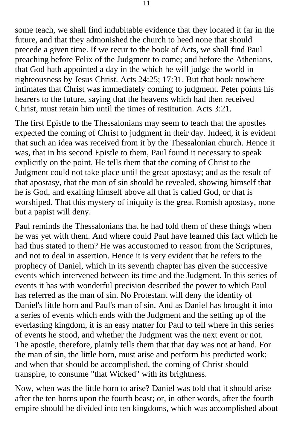some teach, we shall find indubitable evidence that they located it far in the future, and that they admonished the church to heed none that should precede a given time. If we recur to the book of Acts, we shall find Paul preaching before Felix of the Judgment to come; and before the Athenians, that God hath appointed a day in the which he will judge the world in righteousness by Jesus Christ. Acts 24:25; 17:31. But that book nowhere intimates that Christ was immediately coming to judgment. Peter points his hearers to the future, saying that the heavens which had then received Christ, must retain him until the times of restitution. Acts 3:21.

The first Epistle to the Thessalonians may seem to teach that the apostles expected the coming of Christ to judgment in their day. Indeed, it is evident that such an idea was received from it by the Thessalonian church. Hence it was, that in his second Epistle to them, Paul found it necessary to speak explicitly on the point. He tells them that the coming of Christ to the Judgment could not take place until the great apostasy; and as the result of that apostasy, that the man of sin should be revealed, showing himself that he is God, and exalting himself above all that is called God, or that is worshiped. That this mystery of iniquity is the great Romish apostasy, none but a papist will deny.

Paul reminds the Thessalonians that he had told them of these things when he was yet with them. And where could Paul have learned this fact which he had thus stated to them? He was accustomed to reason from the Scriptures, and not to deal in assertion. Hence it is very evident that he refers to the prophecy of Daniel, which in its seventh chapter has given the successive events which intervened between its time and the Judgment. In this series of events it has with wonderful precision described the power to which Paul has referred as the man of sin. No Protestant will deny the identity of Daniel's little horn and Paul's man of sin. And as Daniel has brought it into a series of events which ends with the Judgment and the setting up of the everlasting kingdom, it is an easy matter for Paul to tell where in this series of events he stood, and whether the Judgment was the next event or not. The apostle, therefore, plainly tells them that that day was not at hand. For the man of sin, the little horn, must arise and perform his predicted work; and when that should be accomplished, the coming of Christ should transpire, to consume "that Wicked" with its brightness.

Now, when was the little horn to arise? Daniel was told that it should arise after the ten horns upon the fourth beast; or, in other words, after the fourth empire should be divided into ten kingdoms, which was accomplished about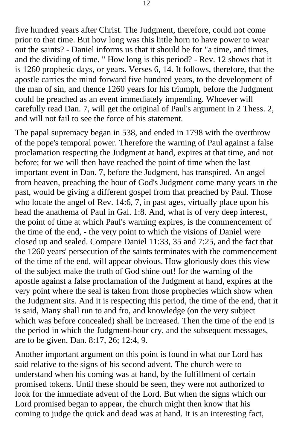five hundred years after Christ. The Judgment, therefore, could not come prior to that time. But how long was this little horn to have power to wear out the saints? - Daniel informs us that it should be for "a time, and times, and the dividing of time. " How long is this period? - Rev. 12 shows that it is 1260 prophetic days, or years. Verses 6, 14. It follows, therefore, that the apostle carries the mind forward five hundred years, to the development of the man of sin, and thence 1260 years for his triumph, before the Judgment could be preached as an event immediately impending. Whoever will carefully read Dan. 7, will get the original of Paul's argument in 2 Thess. 2, and will not fail to see the force of his statement.

The papal supremacy began in 538, and ended in 1798 with the overthrow of the pope's temporal power. Therefore the warning of Paul against a false proclamation respecting the Judgment at hand, expires at that time, and not before; for we will then have reached the point of time when the last important event in Dan. 7, before the Judgment, has transpired. An angel from heaven, preaching the hour of God's Judgment come many years in the past, would be giving a different gospel from that preached by Paul. Those who locate the angel of Rev. 14:6, 7, in past ages, virtually place upon his head the anathema of Paul in Gal. 1:8. And, what is of very deep interest, the point of time at which Paul's warning expires, is the commencement of the time of the end, - the very point to which the visions of Daniel were closed up and sealed. Compare Daniel 11:33, 35 and 7:25, and the fact that the 1260 years' persecution of the saints terminates with the commencement of the time of the end, will appear obvious. How gloriously does this view of the subject make the truth of God shine out! for the warning of the apostle against a false proclamation of the Judgment at hand, expires at the very point where the seal is taken from those prophecies which show when the Judgment sits. And it is respecting this period, the time of the end, that it is said, Many shall run to and fro, and knowledge (on the very subject which was before concealed) shall be increased. Then the time of the end is the period in which the Judgment-hour cry, and the subsequent messages, are to be given. Dan. 8:17, 26; 12:4, 9.

Another important argument on this point is found in what our Lord has said relative to the signs of his second advent. The church were to understand when his coming was at hand, by the fulfillment of certain promised tokens. Until these should be seen, they were not authorized to look for the immediate advent of the Lord. But when the signs which our Lord promised began to appear, the church might then know that his coming to judge the quick and dead was at hand. It is an interesting fact,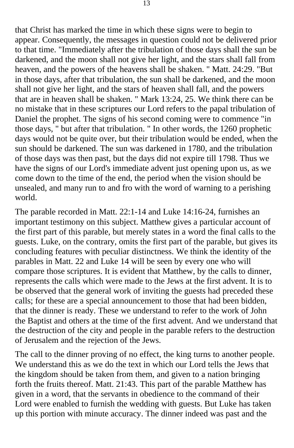that Christ has marked the time in which these signs were to begin to appear. Consequently, the messages in question could not be delivered prior to that time. "Immediately after the tribulation of those days shall the sun be darkened, and the moon shall not give her light, and the stars shall fall from heaven, and the powers of the heavens shall be shaken. " Matt. 24:29. "But in those days, after that tribulation, the sun shall be darkened, and the moon shall not give her light, and the stars of heaven shall fall, and the powers that are in heaven shall be shaken. " Mark 13:24, 25. We think there can be no mistake that in these scriptures our Lord refers to the papal tribulation of Daniel the prophet. The signs of his second coming were to commence "in those days, " but after that tribulation. " In other words, the 1260 prophetic days would not be quite over, but their tribulation would be ended, when the sun should be darkened. The sun was darkened in 1780, and the tribulation of those days was then past, but the days did not expire till 1798. Thus we have the signs of our Lord's immediate advent just opening upon us, as we come down to the time of the end, the period when the vision should be unsealed, and many run to and fro with the word of warning to a perishing world.

The parable recorded in Matt. 22:1-14 and Luke 14:16-24, furnishes an important testimony on this subject. Matthew gives a particular account of the first part of this parable, but merely states in a word the final calls to the guests. Luke, on the contrary, omits the first part of the parable, but gives its concluding features with peculiar distinctness. We think the identity of the parables in Matt. 22 and Luke 14 will be seen by every one who will compare those scriptures. It is evident that Matthew, by the calls to dinner, represents the calls which were made to the Jews at the first advent. It is to be observed that the general work of inviting the guests had preceded these calls; for these are a special announcement to those that had been bidden, that the dinner is ready. These we understand to refer to the work of John the Baptist and others at the time of the first advent. And we understand that the destruction of the city and people in the parable refers to the destruction of Jerusalem and the rejection of the Jews.

The call to the dinner proving of no effect, the king turns to another people. We understand this as we do the text in which our Lord tells the Jews that the kingdom should be taken from them, and given to a nation bringing forth the fruits thereof. Matt. 21:43. This part of the parable Matthew has given in a word, that the servants in obedience to the command of their Lord were enabled to furnish the wedding with guests. But Luke has taken up this portion with minute accuracy. The dinner indeed was past and the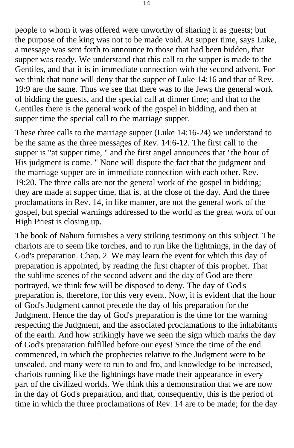people to whom it was offered were unworthy of sharing it as guests; but the purpose of the king was not to be made void. At supper time, says Luke, a message was sent forth to announce to those that had been bidden, that supper was ready. We understand that this call to the supper is made to the Gentiles, and that it is in immediate connection with the second advent. For we think that none will deny that the supper of Luke 14:16 and that of Rev. 19:9 are the same. Thus we see that there was to the Jews the general work of bidding the guests, and the special call at dinner time; and that to the Gentiles there is the general work of the gospel in bidding, and then at supper time the special call to the marriage supper.

These three calls to the marriage supper (Luke 14:16-24) we understand to be the same as the three messages of Rev. 14:6-12. The first call to the supper is "at supper time, " and the first angel announces that "the hour of His judgment is come. " None will dispute the fact that the judgment and the marriage supper are in immediate connection with each other. Rev. 19:20. The three calls are not the general work of the gospel in bidding; they are made at supper time, that is, at the close of the day. And the three proclamations in Rev. 14, in like manner, are not the general work of the gospel, but special warnings addressed to the world as the great work of our High Priest is closing up.

The book of Nahum furnishes a very striking testimony on this subject. The chariots are to seem like torches, and to run like the lightnings, in the day of God's preparation. Chap. 2. We may learn the event for which this day of preparation is appointed, by reading the first chapter of this prophet. That the sublime scenes of the second advent and the day of God are there portrayed, we think few will be disposed to deny. The day of God's preparation is, therefore, for this very event. Now, it is evident that the hour of God's Judgment cannot precede the day of his preparation for the Judgment. Hence the day of God's preparation is the time for the warning respecting the Judgment, and the associated proclamations to the inhabitants of the earth. And how strikingly have we seen the sign which marks the day of God's preparation fulfilled before our eyes! Since the time of the end commenced, in which the prophecies relative to the Judgment were to be unsealed, and many were to run to and fro, and knowledge to be increased, chariots running like the lightnings have made their appearance in every part of the civilized worlds. We think this a demonstration that we are now in the day of God's preparation, and that, consequently, this is the period of time in which the three proclamations of Rev. 14 are to be made; for the day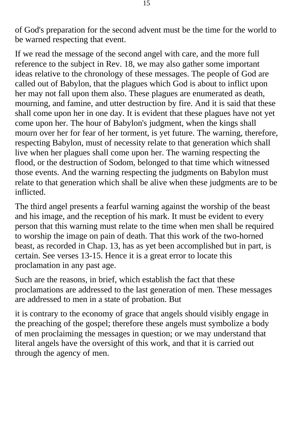of God's preparation for the second advent must be the time for the world to be warned respecting that event.

If we read the message of the second angel with care, and the more full reference to the subject in Rev. 18, we may also gather some important ideas relative to the chronology of these messages. The people of God are called out of Babylon, that the plagues which God is about to inflict upon her may not fall upon them also. These plagues are enumerated as death, mourning, and famine, and utter destruction by fire. And it is said that these shall come upon her in one day. It is evident that these plagues have not yet come upon her. The hour of Babylon's judgment, when the kings shall mourn over her for fear of her torment, is yet future. The warning, therefore, respecting Babylon, must of necessity relate to that generation which shall live when her plagues shall come upon her. The warning respecting the flood, or the destruction of Sodom, belonged to that time which witnessed those events. And the warning respecting the judgments on Babylon must relate to that generation which shall be alive when these judgments are to be inflicted.

The third angel presents a fearful warning against the worship of the beast and his image, and the reception of his mark. It must be evident to every person that this warning must relate to the time when men shall be required to worship the image on pain of death. That this work of the two-horned beast, as recorded in Chap. 13, has as yet been accomplished but in part, is certain. See verses 13-15. Hence it is a great error to locate this proclamation in any past age.

Such are the reasons, in brief, which establish the fact that these proclamations are addressed to the last generation of men. These messages are addressed to men in a state of probation. But

it is contrary to the economy of grace that angels should visibly engage in the preaching of the gospel; therefore these angels must symbolize a body of men proclaiming the messages in question; or we may understand that literal angels have the oversight of this work, and that it is carried out through the agency of men.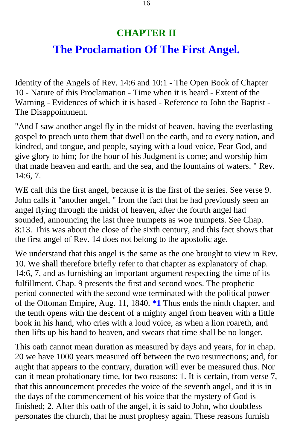#### **CHAPTER II**

## **The Proclamation Of The First Angel.**

<span id="page-15-0"></span>Identity of the Angels of Rev. 14:6 and 10:1 - The Open Book of Chapter 10 - Nature of this Proclamation - Time when it is heard - Extent of the Warning - Evidences of which it is based - Reference to John the Baptist - The Disappointment.

"And I saw another angel fly in the midst of heaven, having the everlasting gospel to preach unto them that dwell on the earth, and to every nation, and kindred, and tongue, and people, saying with a loud voice, Fear God, and give glory to him; for the hour of his Judgment is come; and worship him that made heaven and earth, and the sea, and the fountains of waters. " Rev. 14:6, 7.

WE call this the first angel, because it is the first of the series. See verse 9. John calls it "another angel, " from the fact that he had previously seen an angel flying through the midst of heaven, after the fourth angel had sounded, announcing the last three trumpets as woe trumpets. See Chap. 8:13. This was about the close of the sixth century, and this fact shows that the first angel of Rev. 14 does not belong to the apostolic age.

We understand that this angel is the same as the one brought to view in Rev. 10. We shall therefore briefly refer to that chapter as explanatory of chap. 14:6, 7, and as furnishing an important argument respecting the time of its fulfillment. Chap. 9 presents the first and second woes. The prophetic period connected with the second woe terminated with the political power of the Ottoman Empire, Aug. 11, 1840. **\*1** Thus ends the ninth chapter, and the tenth opens with the descent of a [mighty a](#page-89-0)ngel from heaven with a little book in his hand, who cries with a loud voice, as when a lion roareth, and then lifts up his hand to heaven, and swears that time shall be no longer.

This oath cannot mean duration as measured by days and years, for in chap. 20 we have 1000 years measured off between the two resurrections; and, for aught that appears to the contrary, duration will ever be measured thus. Nor can it mean probationary time, for two reasons: 1. It is certain, from verse 7, that this announcement precedes the voice of the seventh angel, and it is in the days of the commencement of his voice that the mystery of God is finished; 2. After this oath of the angel, it is said to John, who doubtless personates the church, that he must prophesy again. These reasons furnish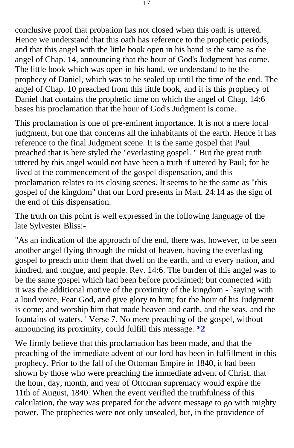conclusive proof that probation has not closed when this oath is uttered. Hence we understand that this oath has reference to the prophetic periods, and that this angel with the little book open in his hand is the same as the angel of Chap. 14, announcing that the hour of God's Judgment has come. The little book which was open in his hand, we understand to be the prophecy of Daniel, which was to be sealed up until the time of the end. The angel of Chap. 10 preached from this little book, and it is this prophecy of Daniel that contains the prophetic time on which the angel of Chap. 14:6 bases his proclamation that the hour of God's Judgment is come.

This proclamation is one of pre-eminent importance. It is not a mere local judgment, but one that concerns all the inhabitants of the earth. Hence it has reference to the final Judgment scene. It is the same gospel that Paul preached that is here styled the "everlasting gospel. " But the great truth uttered by this angel would not have been a truth if uttered by Paul; for he lived at the commencement of the gospel dispensation, and this proclamation relates to its closing scenes. It seems to be the same as "this gospel of the kingdom" that our Lord presents in Matt. 24:14 as the sign of the end of this dispensation.

The truth on this point is well expressed in the following language of the late Sylvester Bliss:-

"As an indication of the approach of the end, there was, however, to be seen another angel flying through the midst of heaven, having the everlasting gospel to preach unto them that dwell on the earth, and to every nation, and kindred, and tongue, and people. Rev. 14:6. The burden of this angel was to be the same gospel which had been before proclaimed; but connected with it was the additional motive of the proximity of the kingdom - `saying with a loud voice, Fear God, and give glory to him; for the hour of his Judgment is come; and worship him that made heaven and earth, and the seas, and the fountains of waters. ' Verse 7. No mere preaching [of the go](#page-89-0)spel, without announcing its proximity, could fulfill this message. **\*2** 

We firmly believe that this proclamation has been made, and that the preaching of the immediate advent of our lord has been in fulfillment in this prophecy. Prior to the fall of the Ottoman Empire in 1840, it had been shown by those who were preaching the immediate advent of Christ, that the hour, day, month, and year of Ottoman supremacy would expire the 11th of August, 1840. When the event verified the truthfulness of this calculation, the way was prepared for the advent message to go with mighty power. The prophecies were not only unsealed, but, in the providence of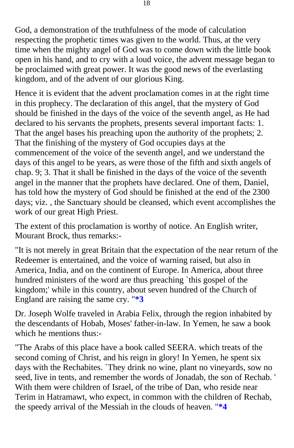God, a demonstration of the truthfulness of the mode of calculation respecting the prophetic times was given to the world. Thus, at the very time when the mighty angel of God was to come down with the little book open in his hand, and to cry with a loud voice, the advent message began to be proclaimed with great power. It was the good news of the everlasting kingdom, and of the advent of our glorious King.

Hence it is evident that the advent proclamation comes in at the right time in this prophecy. The declaration of this angel, that the mystery of God should be finished in the days of the voice of the seventh angel, as He had declared to his servants the prophets, presents several important facts: 1. That the angel bases his preaching upon the authority of the prophets; 2. That the finishing of the mystery of God occupies days at the commencement of the voice of the seventh angel, and we understand the days of this angel to be years, as were those of the fifth and sixth angels of chap. 9; 3. That it shall be finished in the days of the voice of the seventh angel in the manner that the prophets have declared. One of them, Daniel, has told how the mystery of God should be finished at the end of the 2300 days; viz. , the Sanctuary should be cleansed, which event accomplishes the work of our great High Priest.

The extent of this proclamation is worthy of notice. An English writer, Mourant Brock, thus remarks:-

"It is not merely in great Britain that the expectation of the near return of the Redeemer is entertained, and the voice of warning raised, but also in America, India, and on the continent of Europe. In America, about three hundred ministers of the word are thus preaching `this gospel of the kingdom;' while in this country, about seven hundred of the Church of England are raising the same cry. "**\*3** 

Dr. Joseph Wolfe traveled in Ar[abia Feli](#page-89-0)x, through the region inhabited by the descendants of Hobab, Moses' father-in-law. In Yemen, he saw a book which he mentions thus.

"The Arabs of this place have a book called SEERA. which treats of the second coming of Christ, and his reign in glory! In Yemen, he spent six days with the Rechabites. `They drink no wine, plant no vineyards, sow no seed, live in tents, and remember the words of Jonadab, the son of Rechab. ' With them were children of Israel, of the tribe of Dan, who reside near Terim in Hatramawt, who expect, in common with the [children of](#page-89-0) Rechab, the speedy arrival of the Messiah in the clouds of heaven. "**\*4**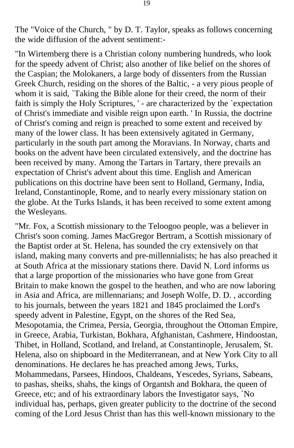The "Voice of the Church, " by D. T. Taylor, speaks as follows concerning the wide diffusion of the advent sentiment:-

"In Wirtemberg there is a Christian colony numbering hundreds, who look for the speedy advent of Christ; also another of like belief on the shores of the Caspian; the Molokaners, a large body of dissenters from the Russian Greek Church, residing on the shores of the Baltic, - a very pious people of whom it is said, `Taking the Bible alone for their creed, the norm of their faith is simply the Holy Scriptures, ' - are characterized by the `expectation of Christ's immediate and visible reign upon earth. ' In Russia, the doctrine of Christ's coming and reign is preached to some extent and received by many of the lower class. It has been extensively agitated in Germany, particularly in the south part among the Moravians. In Norway, charts and books on the advent have been circulated extensively, and the doctrine has been received by many. Among the Tartars in Tartary, there prevails an expectation of Christ's advent about this time. English and American publications on this doctrine have been sent to Holland, Germany, India, Ireland, Constantinople, Rome, and to nearly every missionary station on the globe. At the Turks Islands, it has been received to some extent among the Wesleyans.

"Mr. Fox, a Scottish missionary to the Teloogoo people, was a believer in Christ's soon coming. James MacGregor Bertram, a Scottish missionary of the Baptist order at St. Helena, has sounded the cry extensively on that island, making many converts and pre-millennialists; he has also preached it at South Africa at the missionary stations there. David N. Lord informs us that a large proportion of the missionaries who have gone from Great Britain to make known the gospel to the heathen, and who are now laboring in Asia and Africa, are millennarians; and Joseph Wolfe, D. D. , according to his journals, between the years 1821 and 1845 proclaimed the Lord's speedy advent in Palestine, Egypt, on the shores of the Red Sea, Mesopotamia, the Crimea, Persia, Georgia, throughout the Ottoman Empire, in Greece, Arabia, Turkistan, Bokhara, Afghanistan, Cashmere, Hindoostan, Thibet, in Holland, Scotland, and Ireland, at Constantinople, Jerusalem, St. Helena, also on shipboard in the Mediterranean, and at New York City to all denominations. He declares he has preached among Jews, Turks, Mohammedans, Parsees, Hindoos, Chaldeans, Yescedes, Syrians, Sabeans, to pashas, sheiks, shahs, the kings of Organtsh and Bokhara, the queen of Greece, etc; and of his extraordinary labors the Investigator says, `No individual has, perhaps, given greater publicity to the doctrine of the second coming of the Lord Jesus Christ than has this well-known missionary to the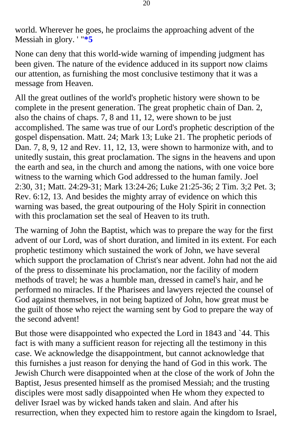world. Wherever [he goes,](#page-89-0) he proclaims the approaching advent of the Messiah in glory. ' "**\*5** 

None can deny that this world-wide warning of impending judgment has been given. The nature of the evidence adduced in its support now claims our attention, as furnishing the most conclusive testimony that it was a message from Heaven.

All the great outlines of the world's prophetic history were shown to be complete in the present generation. The great prophetic chain of Dan. 2, also the chains of chaps. 7, 8 and 11, 12, were shown to be just accomplished. The same was true of our Lord's prophetic description of the gospel dispensation. Matt. 24; Mark 13; Luke 21. The prophetic periods of Dan. 7, 8, 9, 12 and Rev. 11, 12, 13, were shown to harmonize with, and to unitedly sustain, this great proclamation. The signs in the heavens and upon the earth and sea, in the church and among the nations, with one voice bore witness to the warning which God addressed to the human family. Joel 2:30, 31; Matt. 24:29-31; Mark 13:24-26; Luke 21:25-36; 2 Tim. 3;2 Pet. 3; Rev. 6:12, 13. And besides the mighty array of evidence on which this warning was based, the great outpouring of the Holy Spirit in connection with this proclamation set the seal of Heaven to its truth.

The warning of John the Baptist, which was to prepare the way for the first advent of our Lord, was of short duration, and limited in its extent. For each prophetic testimony which sustained the work of John, we have several which support the proclamation of Christ's near advent. John had not the aid of the press to disseminate his proclamation, nor the facility of modern methods of travel; he was a humble man, dressed in camel's hair, and he performed no miracles. If the Pharisees and lawyers rejected the counsel of God against themselves, in not being baptized of John, how great must be the guilt of those who reject the warning sent by God to prepare the way of the second advent!

But those were disappointed who expected the Lord in 1843 and `44. This fact is with many a sufficient reason for rejecting all the testimony in this case. We acknowledge the disappointment, but cannot acknowledge that this furnishes a just reason for denying the hand of God in this work. The Jewish Church were disappointed when at the close of the work of John the Baptist, Jesus presented himself as the promised Messiah; and the trusting disciples were most sadly disappointed when He whom they expected to deliver Israel was by wicked hands taken and slain. And after his resurrection, when they expected him to restore again the kingdom to Israel,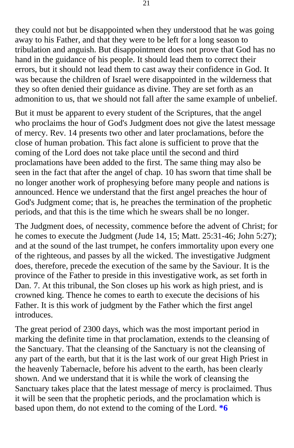they could not but be disappointed when they understood that he was going away to his Father, and that they were to be left for a long season to tribulation and anguish. But disappointment does not prove that God has no hand in the guidance of his people. It should lead them to correct their errors, but it should not lead them to cast away their confidence in God. It was because the children of Israel were disappointed in the wilderness that they so often denied their guidance as divine. They are set forth as an admonition to us, that we should not fall after the same example of unbelief.

But it must be apparent to every student of the Scriptures, that the angel who proclaims the hour of God's Judgment does not give the latest message of mercy. Rev. 14 presents two other and later proclamations, before the close of human probation. This fact alone is sufficient to prove that the coming of the Lord does not take place until the second and third proclamations have been added to the first. The same thing may also be seen in the fact that after the angel of chap. 10 has sworn that time shall be no longer another work of prophesying before many people and nations is announced. Hence we understand that the first angel preaches the hour of God's Judgment come; that is, he preaches the termination of the prophetic periods, and that this is the time which he swears shall be no longer.

The Judgment does, of necessity, commence before the advent of Christ; for he comes to execute the Judgment (Jude 14, 15; Matt. 25:31-46; John 5:27); and at the sound of the last trumpet, he confers immortality upon every one of the righteous, and passes by all the wicked. The investigative Judgment does, therefore, precede the execution of the same by the Saviour. It is the province of the Father to preside in this investigative work, as set forth in Dan. 7. At this tribunal, the Son closes up his work as high priest, and is crowned king. Thence he comes to earth to execute the decisions of his Father. It is this work of judgment by the Father which the first angel introduces.

The great period of 2300 days, which was the most important period in marking the definite time in that proclamation, extends to the cleansing of the Sanctuary. That the cleansing of the Sanctuary is not the cleansing of any part of the earth, but that it is the last work of our great High Priest in the heavenly Tabernacle, before his advent to the earth, has been clearly shown. And we understand that it is while the work of cleansing the Sanctuary takes place that the latest message of mercy is proclaimed. Thus it will be seen that the prophetic periods, and the procla[mation w](#page-89-0)hich is based upon them, do not extend to the coming of the Lord. **\*6**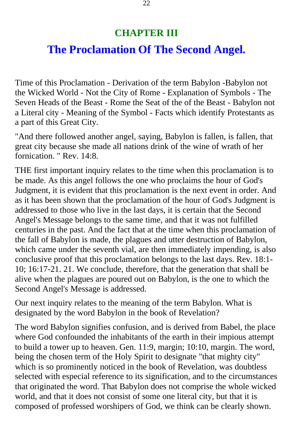#### **CHAPTER III**

## **The Proclamation Of The Second Angel.**

<span id="page-21-0"></span>Time of this Proclamation - Derivation of the term Babylon -Babylon not the Wicked World - Not the City of Rome - Explanation of Symbols - The Seven Heads of the Beast - Rome the Seat of the of the Beast - Babylon not a Literal city - Meaning of the Symbol - Facts which identify Protestants as a part of this Great City.

"And there followed another angel, saying, Babylon is fallen, is fallen, that great city because she made all nations drink of the wine of wrath of her fornication. " Rev. 14:8.

THE first important inquiry relates to the time when this proclamation is to be made. As this angel follows the one who proclaims the hour of God's Judgment, it is evident that this proclamation is the next event in order. And as it has been shown that the proclamation of the hour of God's Judgment is addressed to those who live in the last days, it is certain that the Second Angel's Message belongs to the same time, and that it was not fulfilled centuries in the past. And the fact that at the time when this proclamation of the fall of Babylon is made, the plagues and utter destruction of Babylon, which came under the seventh vial, are then immediately impending, is also conclusive proof that this proclamation belongs to the last days. Rev. 18:1- 10; 16:17-21. 21. We conclude, therefore, that the generation that shall be alive when the plagues are poured out on Babylon, is the one to which the Second Angel's Message is addressed.

Our next inquiry relates to the meaning of the term Babylon. What is designated by the word Babylon in the book of Revelation?

The word Babylon signifies confusion, and is derived from Babel, the place where God confounded the inhabitants of the earth in their impious attempt to build a tower up to heaven. Gen. 11:9, margin; 10:10, margin. The word, being the chosen term of the Holy Spirit to designate "that mighty city" which is so prominently noticed in the book of Revelation, was doubtless selected with especial reference to its signification, and to the circumstances that originated the word. That Babylon does not comprise the whole wicked world, and that it does not consist of some one literal city, but that it is composed of professed worshipers of God, we think can be clearly shown.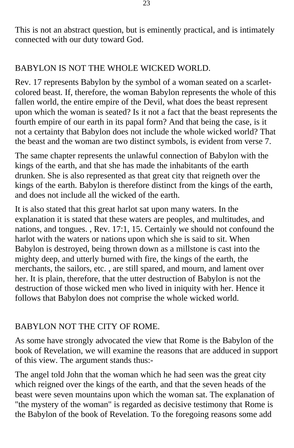This is not an abstract question, but is eminently practical, and is intimately connected with our duty toward God.

### BABYLON IS NOT THE WHOLE WICKED WORLD.

Rev. 17 represents Babylon by the symbol of a woman seated on a scarletcolored beast. If, therefore, the woman Babylon represents the whole of this fallen world, the entire empire of the Devil, what does the beast represent upon which the woman is seated? Is it not a fact that the beast represents the fourth empire of our earth in its papal form? And that being the case, is it not a certainty that Babylon does not include the whole wicked world? That the beast and the woman are two distinct symbols, is evident from verse 7.

The same chapter represents the unlawful connection of Babylon with the kings of the earth, and that she has made the inhabitants of the earth drunken. She is also represented as that great city that reigneth over the kings of the earth. Babylon is therefore distinct from the kings of the earth, and does not include all the wicked of the earth.

It is also stated that this great harlot sat upon many waters. In the explanation it is stated that these waters are peoples, and multitudes, and nations, and tongues. , Rev. 17:1, 15. Certainly we should not confound the harlot with the waters or nations upon which she is said to sit. When Babylon is destroyed, being thrown down as a millstone is cast into the mighty deep, and utterly burned with fire, the kings of the earth, the merchants, the sailors, etc. , are still spared, and mourn, and lament over her. It is plain, therefore, that the utter destruction of Babylon is not the destruction of those wicked men who lived in iniquity with her. Hence it follows that Babylon does not comprise the whole wicked world.

### BABYLON NOT THE CITY OF ROME.

As some have strongly advocated the view that Rome is the Babylon of the book of Revelation, we will examine the reasons that are adduced in support of this view. The argument stands thus:-

The angel told John that the woman which he had seen was the great city which reigned over the kings of the earth, and that the seven heads of the beast were seven mountains upon which the woman sat. The explanation of "the mystery of the woman" is regarded as decisive testimony that Rome is the Babylon of the book of Revelation. To the foregoing reasons some add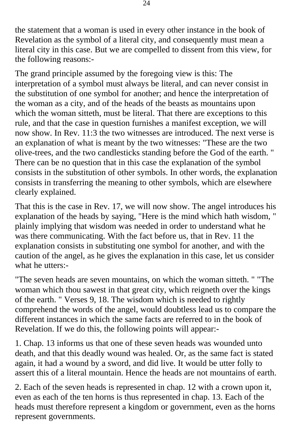the statement that a woman is used in every other instance in the book of Revelation as the symbol of a literal city, and consequently must mean a literal city in this case. But we are compelled to dissent from this view, for the following reasons:-

The grand principle assumed by the foregoing view is this: The interpretation of a symbol must always be literal, and can never consist in the substitution of one symbol for another; and hence the interpretation of the woman as a city, and of the heads of the beasts as mountains upon which the woman sitteth, must be literal. That there are exceptions to this rule, and that the case in question furnishes a manifest exception, we will now show. In Rev. 11:3 the two witnesses are introduced. The next verse is an explanation of what is meant by the two witnesses: "These are the two olive-trees, and the two candlesticks standing before the God of the earth. " There can be no question that in this case the explanation of the symbol consists in the substitution of other symbols. In other words, the explanation consists in transferring the meaning to other symbols, which are elsewhere clearly explained.

That this is the case in Rev. 17, we will now show. The angel introduces his explanation of the heads by saying, "Here is the mind which hath wisdom, " plainly implying that wisdom was needed in order to understand what he was there communicating. With the fact before us, that in Rev. 11 the explanation consists in substituting one symbol for another, and with the caution of the angel, as he gives the explanation in this case, let us consider what he utters:-

"The seven heads are seven mountains, on which the woman sitteth. " "The woman which thou sawest in that great city, which reigneth over the kings of the earth. " Verses 9, 18. The wisdom which is needed to rightly comprehend the words of the angel, would doubtless lead us to compare the different instances in which the same facts are referred to in the book of Revelation. If we do this, the following points will appear:-

1. Chap. 13 informs us that one of these seven heads was wounded unto death, and that this deadly wound was healed. Or, as the same fact is stated again, it had a wound by a sword, and did live. It would be utter folly to assert this of a literal mountain. Hence the heads are not mountains of earth.

2. Each of the seven heads is represented in chap. 12 with a crown upon it, even as each of the ten horns is thus represented in chap. 13. Each of the heads must therefore represent a kingdom or government, even as the horns represent governments.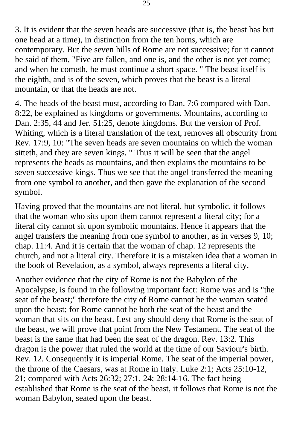3. It is evident that the seven heads are successive (that is, the beast has but one head at a time), in distinction from the ten horns, which are contemporary. But the seven hills of Rome are not successive; for it cannot be said of them, "Five are fallen, and one is, and the other is not yet come; and when he cometh, he must continue a short space. " The beast itself is the eighth, and is of the seven, which proves that the beast is a literal mountain, or that the heads are not.

4. The heads of the beast must, according to Dan. 7:6 compared with Dan. 8:22, be explained as kingdoms or governments. Mountains, according to Dan. 2:35, 44 and Jer. 51:25, denote kingdoms. But the version of Prof. Whiting, which is a literal translation of the text, removes all obscurity from Rev. 17:9, 10: "The seven heads are seven mountains on which the woman sitteth, and they are seven kings. " Thus it will be seen that the angel represents the heads as mountains, and then explains the mountains to be seven successive kings. Thus we see that the angel transferred the meaning from one symbol to another, and then gave the explanation of the second symbol.

Having proved that the mountains are not literal, but symbolic, it follows that the woman who sits upon them cannot represent a literal city; for a literal city cannot sit upon symbolic mountains. Hence it appears that the angel transfers the meaning from one symbol to another, as in verses 9, 10; chap. 11:4. And it is certain that the woman of chap. 12 represents the church, and not a literal city. Therefore it is a mistaken idea that a woman in the book of Revelation, as a symbol, always represents a literal city.

Another evidence that the city of Rome is not the Babylon of the Apocalypse, is found in the following important fact: Rome was and is "the seat of the beast;" therefore the city of Rome cannot be the woman seated upon the beast; for Rome cannot be both the seat of the beast and the woman that sits on the beast. Lest any should deny that Rome is the seat of the beast, we will prove that point from the New Testament. The seat of the beast is the same that had been the seat of the dragon. Rev. 13:2. This dragon is the power that ruled the world at the time of our Saviour's birth. Rev. 12. Consequently it is imperial Rome. The seat of the imperial power, the throne of the Caesars, was at Rome in Italy. Luke 2:1; Acts 25:10-12, 21; compared with Acts 26:32; 27:1, 24; 28:14-16. The fact being established that Rome is the seat of the beast, it follows that Rome is not the woman Babylon, seated upon the beast.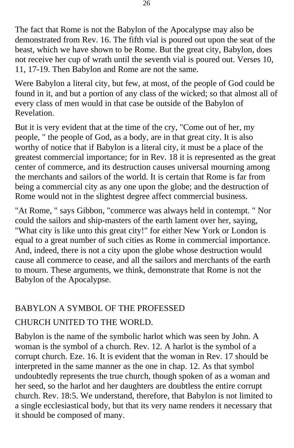The fact that Rome is not the Babylon of the Apocalypse may also be demonstrated from Rev. 16. The fifth vial is poured out upon the seat of the beast, which we have shown to be Rome. But the great city, Babylon, does not receive her cup of wrath until the seventh vial is poured out. Verses 10, 11, 17-19. Then Babylon and Rome are not the same.

Were Babylon a literal city, but few, at most, of the people of God could be found in it, and but a portion of any class of the wicked; so that almost all of every class of men would in that case be outside of the Babylon of Revelation.

But it is very evident that at the time of the cry, "Come out of her, my people, " the people of God, as a body, are in that great city. It is also worthy of notice that if Babylon is a literal city, it must be a place of the greatest commercial importance; for in Rev. 18 it is represented as the great center of commerce, and its destruction causes universal mourning among the merchants and sailors of the world. It is certain that Rome is far from being a commercial city as any one upon the globe; and the destruction of Rome would not in the slightest degree affect commercial business.

"At Rome, " says Gibbon, "commerce was always held in contempt. " Nor could the sailors and ship-masters of the earth lament over her, saying, "What city is like unto this great city!" for either New York or London is equal to a great number of such cities as Rome in commercial importance. And, indeed, there is not a city upon the globe whose destruction would cause all commerce to cease, and all the sailors and merchants of the earth to mourn. These arguments, we think, demonstrate that Rome is not the Babylon of the Apocalypse.

## BABYLON A SYMBOL OF THE PROFESSED

### CHURCH UNITED TO THE WORLD.

Babylon is the name of the symbolic harlot which was seen by John. A woman is the symbol of a church. Rev. 12. A harlot is the symbol of a corrupt church. Eze. 16. It is evident that the woman in Rev. 17 should be interpreted in the same manner as the one in chap. 12. As that symbol undoubtedly represents the true church, though spoken of as a woman and her seed, so the harlot and her daughters are doubtless the entire corrupt church. Rev. 18:5. We understand, therefore, that Babylon is not limited to a single ecclesiastical body, but that its very name renders it necessary that it should be composed of many.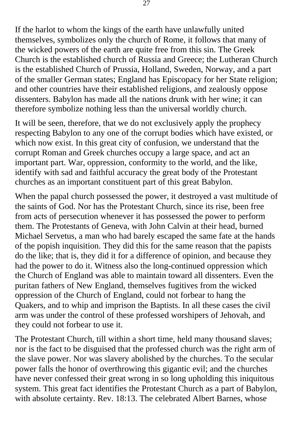If the harlot to whom the kings of the earth have unlawfully united themselves, symbolizes only the church of Rome, it follows that many of the wicked powers of the earth are quite free from this sin. The Greek Church is the established church of Russia and Greece; the Lutheran Church is the established Church of Prussia, Holland, Sweden, Norway, and a part of the smaller German states; England has Episcopacy for her State religion; and other countries have their established religions, and zealously oppose dissenters. Babylon has made all the nations drunk with her wine; it can therefore symbolize nothing less than the universal worldly church.

It will be seen, therefore, that we do not exclusively apply the prophecy respecting Babylon to any one of the corrupt bodies which have existed, or which now exist. In this great city of confusion, we understand that the corrupt Roman and Greek churches occupy a large space, and act an important part. War, oppression, conformity to the world, and the like, identify with sad and faithful accuracy the great body of the Protestant churches as an important constituent part of this great Babylon.

When the papal church possessed the power, it destroyed a vast multitude of the saints of God. Nor has the Protestant Church, since its rise, been free from acts of persecution whenever it has possessed the power to perform them. The Protestants of Geneva, with John Calvin at their head, burned Michael Servetus, a man who had barely escaped the same fate at the hands of the popish inquisition. They did this for the same reason that the papists do the like; that is, they did it for a difference of opinion, and because they had the power to do it. Witness also the long-continued oppression which the Church of England was able to maintain toward all dissenters. Even the puritan fathers of New England, themselves fugitives from the wicked oppression of the Church of England, could not forbear to hang the Quakers, and to whip and imprison the Baptists. In all these cases the civil arm was under the control of these professed worshipers of Jehovah, and they could not forbear to use it.

The Protestant Church, till within a short time, held many thousand slaves; nor is the fact to be disguised that the professed church was the right arm of the slave power. Nor was slavery abolished by the churches. To the secular power falls the honor of overthrowing this gigantic evil; and the churches have never confessed their great wrong in so long upholding this iniquitous system. This great fact identifies the Protestant Church as a part of Babylon, with absolute certainty. Rev. 18:13. The celebrated Albert Barnes, whose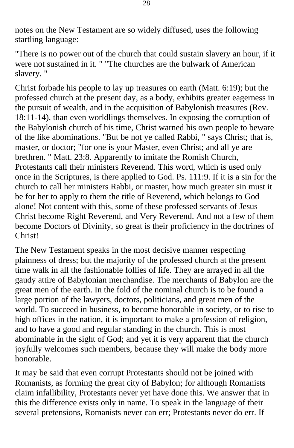notes on the New Testament are so widely diffused, uses the following startling language:

"There is no power out of the church that could sustain slavery an hour, if it were not sustained in it. " "The churches are the bulwark of American slavery. "

Christ forbade his people to lay up treasures on earth (Matt. 6:19); but the professed church at the present day, as a body, exhibits greater eagerness in the pursuit of wealth, and in the acquisition of Babylonish treasures (Rev. 18:11-14), than even worldlings themselves. In exposing the corruption of the Babylonish church of his time, Christ warned his own people to beware of the like abominations. "But be not ye called Rabbi, " says Christ; that is, master, or doctor; "for one is your Master, even Christ; and all ye are brethren. " Matt. 23:8. Apparently to imitate the Romish Church, Protestants call their ministers Reverend. This word, which is used only once in the Scriptures, is there applied to God. Ps. 111:9. If it is a sin for the church to call her ministers Rabbi, or master, how much greater sin must it be for her to apply to them the title of Reverend, which belongs to God alone! Not content with this, some of these professed servants of Jesus Christ become Right Reverend, and Very Reverend. And not a few of them become Doctors of Divinity, so great is their proficiency in the doctrines of Christ!

The New Testament speaks in the most decisive manner respecting plainness of dress; but the majority of the professed church at the present time walk in all the fashionable follies of life. They are arrayed in all the gaudy attire of Babylonian merchandise. The merchants of Babylon are the great men of the earth. In the fold of the nominal church is to be found a large portion of the lawyers, doctors, politicians, and great men of the world. To succeed in business, to become honorable in society, or to rise to high offices in the nation, it is important to make a profession of religion, and to have a good and regular standing in the church. This is most abominable in the sight of God; and yet it is very apparent that the church joyfully welcomes such members, because they will make the body more honorable.

It may be said that even corrupt Protestants should not be joined with Romanists, as forming the great city of Babylon; for although Romanists claim infallibility, Protestants never yet have done this. We answer that in this the difference exists only in name. To speak in the language of their several pretensions, Romanists never can err; Protestants never do err. If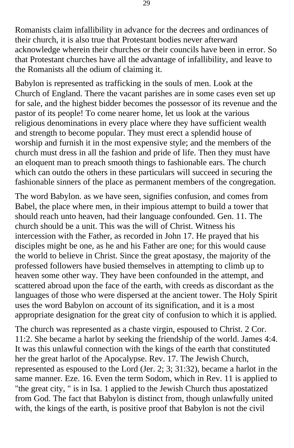Romanists claim infallibility in advance for the decrees and ordinances of their church, it is also true that Protestant bodies never afterward acknowledge wherein their churches or their councils have been in error. So that Protestant churches have all the advantage of infallibility, and leave to the Romanists all the odium of claiming it.

Babylon is represented as trafficking in the souls of men. Look at the Church of England. There the vacant parishes are in some cases even set up for sale, and the highest bidder becomes the possessor of its revenue and the pastor of its people! To come nearer home, let us look at the various religious denominations in every place where they have sufficient wealth and strength to become popular. They must erect a splendid house of worship and furnish it in the most expensive style; and the members of the church must dress in all the fashion and pride of life. Then they must have an eloquent man to preach smooth things to fashionable ears. The church which can outdo the others in these particulars will succeed in securing the fashionable sinners of the place as permanent members of the congregation.

The word Babylon. as we have seen, signifies confusion, and comes from Babel, the place where men, in their impious attempt to build a tower that should reach unto heaven, had their language confounded. Gen. 11. The church should be a unit. This was the will of Christ. Witness his intercession with the Father, as recorded in John 17. He prayed that his disciples might be one, as he and his Father are one; for this would cause the world to believe in Christ. Since the great apostasy, the majority of the professed followers have busied themselves in attempting to climb up to heaven some other way. They have been confounded in the attempt, and scattered abroad upon the face of the earth, with creeds as discordant as the languages of those who were dispersed at the ancient tower. The Holy Spirit uses the word Babylon on account of its signification, and it is a most appropriate designation for the great city of confusion to which it is applied.

The church was represented as a chaste virgin, espoused to Christ. 2 Cor. 11:2. She became a harlot by seeking the friendship of the world. James 4:4. It was this unlawful connection with the kings of the earth that constituted her the great harlot of the Apocalypse. Rev. 17. The Jewish Church, represented as espoused to the Lord (Jer. 2; 3; 31:32), became a harlot in the same manner. Eze. 16. Even the term Sodom, which in Rev. 11 is applied to "the great city, " is in Isa. 1 applied to the Jewish Church thus apostatized from God. The fact that Babylon is distinct from, though unlawfully united with, the kings of the earth, is positive proof that Babylon is not the civil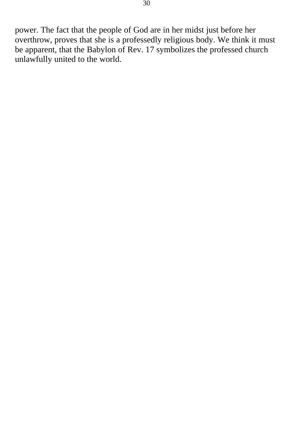power. The fact that the people of God are in her midst just before her overthrow, proves that she is a professedly religious body. We think it must be apparent, that the Babylon of Rev. 17 symbolizes the professed church unlawfully united to the world.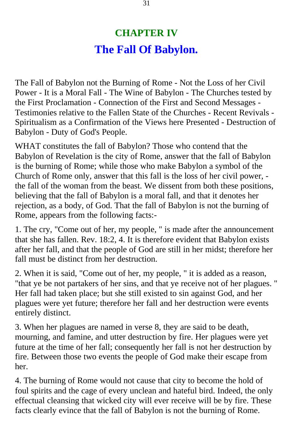## **CHAPTER IV The Fall Of Babylon.**

<span id="page-30-0"></span>The Fall of Babylon not the Burning of Rome - Not the Loss of her Civil Power - It is a Moral Fall - The Wine of Babylon - The Churches tested by the First Proclamation - Connection of the First and Second Messages - Testimonies relative to the Fallen State of the Churches - Recent Revivals - Spiritualism as a Confirmation of the Views here Presented - Destruction of Babylon - Duty of God's People.

WHAT constitutes the fall of Babylon? Those who contend that the Babylon of Revelation is the city of Rome, answer that the fall of Babylon is the burning of Rome; while those who make Babylon a symbol of the Church of Rome only, answer that this fall is the loss of her civil power, the fall of the woman from the beast. We dissent from both these positions, believing that the fall of Babylon is a moral fall, and that it denotes her rejection, as a body, of God. That the fall of Babylon is not the burning of Rome, appears from the following facts:-

1. The cry, "Come out of her, my people, " is made after the announcement that she has fallen. Rev. 18:2, 4. It is therefore evident that Babylon exists after her fall, and that the people of God are still in her midst; therefore her fall must be distinct from her destruction.

2. When it is said, "Come out of her, my people, " it is added as a reason, "that ye be not partakers of her sins, and that ye receive not of her plagues. " Her fall had taken place; but she still existed to sin against God, and her plagues were yet future; therefore her fall and her destruction were events entirely distinct.

3. When her plagues are named in verse 8, they are said to be death, mourning, and famine, and utter destruction by fire. Her plagues were yet future at the time of her fall; consequently her fall is not her destruction by fire. Between those two events the people of God make their escape from her.

4. The burning of Rome would not cause that city to become the hold of foul spirits and the cage of every unclean and hateful bird. Indeed, the only effectual cleansing that wicked city will ever receive will be by fire. These facts clearly evince that the fall of Babylon is not the burning of Rome.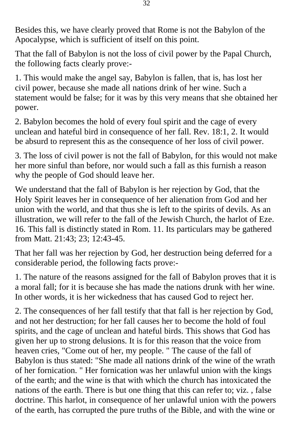Besides this, we have clearly proved that Rome is not the Babylon of the Apocalypse, which is sufficient of itself on this point.

That the fall of Babylon is not the loss of civil power by the Papal Church, the following facts clearly prove:-

1. This would make the angel say, Babylon is fallen, that is, has lost her civil power, because she made all nations drink of her wine. Such a statement would be false; for it was by this very means that she obtained her power.

2. Babylon becomes the hold of every foul spirit and the cage of every unclean and hateful bird in consequence of her fall. Rev. 18:1, 2. It would be absurd to represent this as the consequence of her loss of civil power.

3. The loss of civil power is not the fall of Babylon, for this would not make her more sinful than before, nor would such a fall as this furnish a reason why the people of God should leave her.

We understand that the fall of Babylon is her rejection by God, that the Holy Spirit leaves her in consequence of her alienation from God and her union with the world, and that thus she is left to the spirits of devils. As an illustration, we will refer to the fall of the Jewish Church, the harlot of Eze. 16. This fall is distinctly stated in Rom. 11. Its particulars may be gathered from Matt. 21:43; 23; 12:43-45.

That her fall was her rejection by God, her destruction being deferred for a considerable period, the following facts prove:-

1. The nature of the reasons assigned for the fall of Babylon proves that it is a moral fall; for it is because she has made the nations drunk with her wine. In other words, it is her wickedness that has caused God to reject her.

2. The consequences of her fall testify that that fall is her rejection by God, and not her destruction; for her fall causes her to become the hold of foul spirits, and the cage of unclean and hateful birds. This shows that God has given her up to strong delusions. It is for this reason that the voice from heaven cries, "Come out of her, my people. " The cause of the fall of Babylon is thus stated: "She made all nations drink of the wine of the wrath of her fornication. " Her fornication was her unlawful union with the kings of the earth; and the wine is that with which the church has intoxicated the nations of the earth. There is but one thing that this can refer to; viz. , false doctrine. This harlot, in consequence of her unlawful union with the powers of the earth, has corrupted the pure truths of the Bible, and with the wine or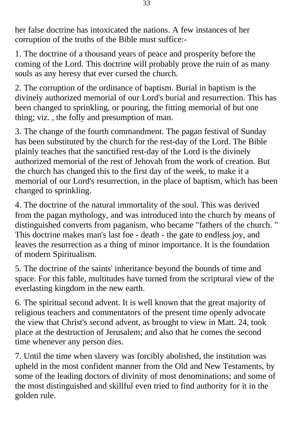her false doctrine has intoxicated the nations. A few instances of her corruption of the truths of the Bible must suffice:-

1. The doctrine of a thousand years of peace and prosperity before the coming of the Lord. This doctrine will probably prove the ruin of as many souls as any heresy that ever cursed the church.

2. The corruption of the ordinance of baptism. Burial in baptism is the divinely authorized memorial of our Lord's burial and resurrection. This has been changed to sprinkling, or pouring, the fitting memorial of but one thing; viz. , the folly and presumption of man.

3. The change of the fourth commandment. The pagan festival of Sunday has been substituted by the church for the rest-day of the Lord. The Bible plainly teaches that the sanctified rest-day of the Lord is the divinely authorized memorial of the rest of Jehovah from the work of creation. But the church has changed this to the first day of the week, to make it a memorial of our Lord's resurrection, in the place of baptism, which has been changed to sprinkling.

4. The doctrine of the natural immortality of the soul. This was derived from the pagan mythology, and was introduced into the church by means of distinguished converts from paganism, who became "fathers of the church. " This doctrine makes man's last foe - death - the gate to endless joy, and leaves the resurrection as a thing of minor importance. It is the foundation of modern Spiritualism.

5. The doctrine of the saints' inheritance beyond the bounds of time and space. For this fable, multitudes have turned from the scriptural view of the everlasting kingdom in the new earth.

6. The spiritual second advent. It is well known that the great majority of religious teachers and commentators of the present time openly advocate the view that Christ's second advent, as brought to view in Matt. 24, took place at the destruction of Jerusalem; and also that he comes the second time whenever any person dies.

7. Until the time when slavery was forcibly abolished, the institution was upheld in the most confident manner from the Old and New Testaments, by some of the leading doctors of divinity of most denominations; and some of the most distinguished and skillful even tried to find authority for it in the golden rule.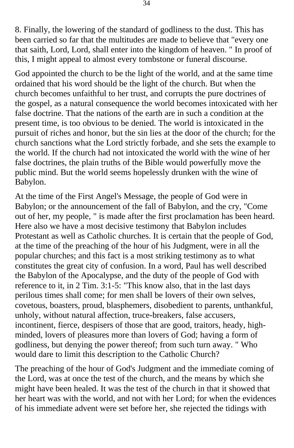8. Finally, the lowering of the standard of godliness to the dust. This has been carried so far that the multitudes are made to believe that "every one that saith, Lord, Lord, shall enter into the kingdom of heaven. " In proof of this, I might appeal to almost every tombstone or funeral discourse.

God appointed the church to be the light of the world, and at the same time ordained that his word should be the light of the church. But when the church becomes unfaithful to her trust, and corrupts the pure doctrines of the gospel, as a natural consequence the world becomes intoxicated with her false doctrine. That the nations of the earth are in such a condition at the present time, is too obvious to be denied. The world is intoxicated in the pursuit of riches and honor, but the sin lies at the door of the church; for the church sanctions what the Lord strictly forbade, and she sets the example to the world. If the church had not intoxicated the world with the wine of her false doctrines, the plain truths of the Bible would powerfully move the public mind. But the world seems hopelessly drunken with the wine of Babylon.

At the time of the First Angel's Message, the people of God were in Babylon; or the announcement of the fall of Babylon, and the cry, "Come out of her, my people, " is made after the first proclamation has been heard. Here also we have a most decisive testimony that Babylon includes Protestant as well as Catholic churches. It is certain that the people of God, at the time of the preaching of the hour of his Judgment, were in all the popular churches; and this fact is a most striking testimony as to what constitutes the great city of confusion. In a word, Paul has well described the Babylon of the Apocalypse, and the duty of the people of God with reference to it, in 2 Tim. 3:1-5: "This know also, that in the last days perilous times shall come; for men shall be lovers of their own selves, covetous, boasters, proud, blasphemers, disobedient to parents, unthankful, unholy, without natural affection, truce-breakers, false accusers, incontinent, fierce, despisers of those that are good, traitors, heady, highminded, lovers of pleasures more than lovers of God; having a form of godliness, but denying the power thereof; from such turn away. " Who would dare to limit this description to the Catholic Church?

The preaching of the hour of God's Judgment and the immediate coming of the Lord, was at once the test of the church, and the means by which she might have been healed. It was the test of the church in that it showed that her heart was with the world, and not with her Lord; for when the evidences of his immediate advent were set before her, she rejected the tidings with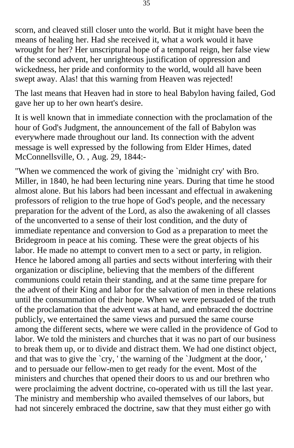scorn, and cleaved still closer unto the world. But it might have been the means of healing her. Had she received it, what a work would it have wrought for her? Her unscriptural hope of a temporal reign, her false view of the second advent, her unrighteous justification of oppression and wickedness, her pride and conformity to the world, would all have been swept away. Alas! that this warning from Heaven was rejected!

The last means that Heaven had in store to heal Babylon having failed, God gave her up to her own heart's desire.

It is well known that in immediate connection with the proclamation of the hour of God's Judgment, the announcement of the fall of Babylon was everywhere made throughout our land. Its connection with the advent message is well expressed by the following from Elder Himes, dated McConnellsville, O. , Aug. 29, 1844:-

"When we commenced the work of giving the `midnight cry' with Bro. Miller, in 1840, he had been lecturing nine years. During that time he stood almost alone. But his labors had been incessant and effectual in awakening professors of religion to the true hope of God's people, and the necessary preparation for the advent of the Lord, as also the awakening of all classes of the unconverted to a sense of their lost condition, and the duty of immediate repentance and conversion to God as a preparation to meet the Bridegroom in peace at his coming. These were the great objects of his labor. He made no attempt to convert men to a sect or party, in religion. Hence he labored among all parties and sects without interfering with their organization or discipline, believing that the members of the different communions could retain their standing, and at the same time prepare for the advent of their King and labor for the salvation of men in these relations until the consummation of their hope. When we were persuaded of the truth of the proclamation that the advent was at hand, and embraced the doctrine publicly, we entertained the same views and pursued the same course among the different sects, where we were called in the providence of God to labor. We told the ministers and churches that it was no part of our business to break them up, or to divide and distract them. We had one distinct object, and that was to give the `cry, ' the warning of the `Judgment at the door, ' and to persuade our fellow-men to get ready for the event. Most of the ministers and churches that opened their doors to us and our brethren who were proclaiming the advent doctrine, co-operated with us till the last year. The ministry and membership who availed themselves of our labors, but had not sincerely embraced the doctrine, saw that they must either go with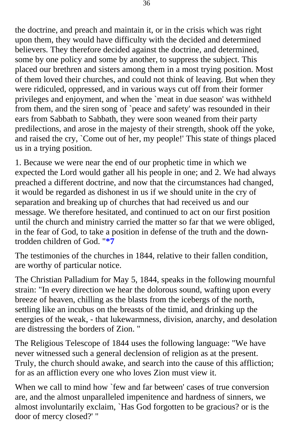the doctrine, and preach and maintain it, or in the crisis which was right upon them, they would have difficulty with the decided and determined believers. They therefore decided against the doctrine, and determined, some by one policy and some by another, to suppress the subject. This placed our brethren and sisters among them in a most trying position. Most of them loved their churches, and could not think of leaving. But when they were ridiculed, oppressed, and in various ways cut off from their former privileges and enjoyment, and when the `meat in due season' was withheld from them, and the siren song of `peace and safety' was resounded in their ears from Sabbath to Sabbath, they were soon weaned from their party predilections, and arose in the majesty of their strength, shook off the yoke, and raised the cry, `Come out of her, my people!' This state of things placed us in a trying position.

1. Because we were near the end of our prophetic time in which we expected the Lord would gather all his people in one; and 2. We had always preached a different doctrine, and now that the circumstances had changed, it would be regarded as dishonest in us if we should unite in the cry of separation and breaking up of churches that had received us and our message. We therefore hesitated, and continued to act on our first position until the church and ministry carried the matter so far that we were obliged, in the fear of God, to tak[e a posit](#page-89-0)ion in defense of the truth and the downtrodden children of God. "**\*7** 

The testimonies of the churches in 1844, relative to their fallen condition, are worthy of particular notice.

The Christian Palladium for May 5, 1844, speaks in the following mournful strain: "In every direction we hear the dolorous sound, wafting upon every breeze of heaven, chilling as the blasts from the icebergs of the north, settling like an incubus on the breasts of the timid, and drinking up the energies of the weak, - that lukewarmness, division, anarchy, and desolation are distressing the borders of Zion. "

The Religious Telescope of 1844 uses the following language: "We have never witnessed such a general declension of religion as at the present. Truly, the church should awake, and search into the cause of this affliction; for as an affliction every one who loves Zion must view it.

When we call to mind how `few and far between' cases of true conversion are, and the almost unparalleled impenitence and hardness of sinners, we almost involuntarily exclaim, `Has God forgotten to be gracious? or is the door of mercy closed?' "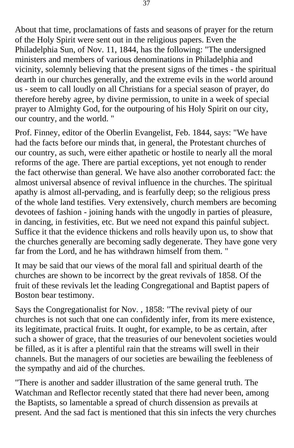About that time, proclamations of fasts and seasons of prayer for the return of the Holy Spirit were sent out in the religious papers. Even the Philadelphia Sun, of Nov. 11, 1844, has the following: "The undersigned ministers and members of various denominations in Philadelphia and vicinity, solemnly believing that the present signs of the times - the spiritual dearth in our churches generally, and the extreme evils in the world around us - seem to call loudly on all Christians for a special season of prayer, do therefore hereby agree, by divine permission, to unite in a week of special prayer to Almighty God, for the outpouring of his Holy Spirit on our city, our country, and the world. "

Prof. Finney, editor of the Oberlin Evangelist, Feb. 1844, says: "We have had the facts before our minds that, in general, the Protestant churches of our country, as such, were either apathetic or hostile to nearly all the moral reforms of the age. There are partial exceptions, yet not enough to render the fact otherwise than general. We have also another corroborated fact: the almost universal absence of revival influence in the churches. The spiritual apathy is almost all-pervading, and is fearfully deep; so the religious press of the whole land testifies. Very extensively, church members are becoming devotees of fashion - joining hands with the ungodly in parties of pleasure, in dancing, in festivities, etc. But we need not expand this painful subject. Suffice it that the evidence thickens and rolls heavily upon us, to show that the churches generally are becoming sadly degenerate. They have gone very far from the Lord, and he has withdrawn himself from them. "

It may be said that our views of the moral fall and spiritual dearth of the churches are shown to be incorrect by the great revivals of 1858. Of the fruit of these revivals let the leading Congregational and Baptist papers of Boston bear testimony.

Says the Congregationalist for Nov. , 1858: "The revival piety of our churches is not such that one can confidently infer, from its mere existence, its legitimate, practical fruits. It ought, for example, to be as certain, after such a shower of grace, that the treasuries of our benevolent societies would be filled, as it is after a plentiful rain that the streams will swell in their channels. But the managers of our societies are bewailing the feebleness of the sympathy and aid of the churches.

"There is another and sadder illustration of the same general truth. The Watchman and Reflector recently stated that there had never been, among the Baptists, so lamentable a spread of church dissension as prevails at present. And the sad fact is mentioned that this sin infects the very churches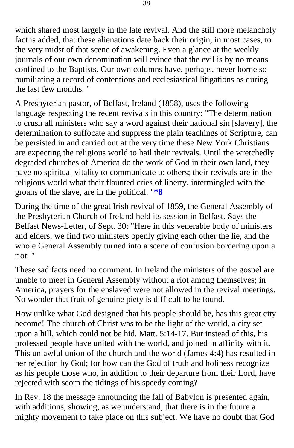which shared most largely in the late revival. And the still more melancholy fact is added, that these alienations date back their origin, in most cases, to the very midst of that scene of awakening. Even a glance at the weekly journals of our own denomination will evince that the evil is by no means confined to the Baptists. Our own columns have, perhaps, never borne so humiliating a record of contentions and ecclesiastical litigations as during the last few months. "

A Presbyterian pastor, of Belfast, Ireland (1858), uses the following language respecting the recent revivals in this country: "The determination to crush all ministers who say a word against their national sin [slavery], the determination to suffocate and suppress the plain teachings of Scripture, can be persisted in and carried out at the very time these New York Christians are expecting the religious world to hail their revivals. Until the wretchedly degraded churches of America do the work of God in their own land, they have no spiritual vitality to communicate to others; their revivals are in the religious world what their flaunted cr[ies of liber](#page-89-0)ty, intermingled with the groans of the slave, are in the political. "**\*8** 

During the time of the great Irish revival of 1859, the General Assembly of the Presbyterian Church of Ireland held its session in Belfast. Says the Belfast News-Letter, of Sept. 30: "Here in this venerable body of ministers and elders, we find two ministers openly giving each other the lie, and the whole General Assembly turned into a scene of confusion bordering upon a riot. "

These sad facts need no comment. In Ireland the ministers of the gospel are unable to meet in General Assembly without a riot among themselves; in America, prayers for the enslaved were not allowed in the revival meetings. No wonder that fruit of genuine piety is difficult to be found.

How unlike what God designed that his people should be, has this great city become! The church of Christ was to be the light of the world, a city set upon a hill, which could not be hid. Matt. 5:14-17. But instead of this, his professed people have united with the world, and joined in affinity with it. This unlawful union of the church and the world (James 4:4) has resulted in her rejection by God; for how can the God of truth and holiness recognize as his people those who, in addition to their departure from their Lord, have rejected with scorn the tidings of his speedy coming?

In Rev. 18 the message announcing the fall of Babylon is presented again, with additions, showing, as we understand, that there is in the future a mighty movement to take place on this subject. We have no doubt that God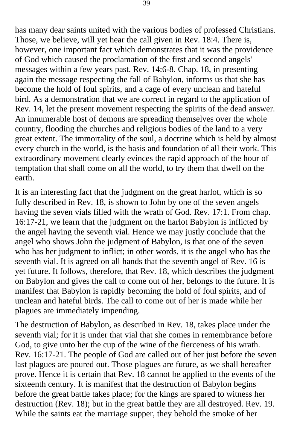has many dear saints united with the various bodies of professed Christians. Those, we believe, will yet hear the call given in Rev. 18:4. There is, however, one important fact which demonstrates that it was the providence of God which caused the proclamation of the first and second angels' messages within a few years past. Rev. 14:6-8. Chap. 18, in presenting again the message respecting the fall of Babylon, informs us that she has become the hold of foul spirits, and a cage of every unclean and hateful bird. As a demonstration that we are correct in regard to the application of Rev. 14, let the present movement respecting the spirits of the dead answer. An innumerable host of demons are spreading themselves over the whole country, flooding the churches and religious bodies of the land to a very great extent. The immortality of the soul, a doctrine which is held by almost every church in the world, is the basis and foundation of all their work. This extraordinary movement clearly evinces the rapid approach of the hour of temptation that shall come on all the world, to try them that dwell on the earth.

It is an interesting fact that the judgment on the great harlot, which is so fully described in Rev. 18, is shown to John by one of the seven angels having the seven vials filled with the wrath of God. Rev. 17:1. From chap. 16:17-21, we learn that the judgment on the harlot Babylon is inflicted by the angel having the seventh vial. Hence we may justly conclude that the angel who shows John the judgment of Babylon, is that one of the seven who has her judgment to inflict; in other words, it is the angel who has the seventh vial. It is agreed on all hands that the seventh angel of Rev. 16 is yet future. It follows, therefore, that Rev. 18, which describes the judgment on Babylon and gives the call to come out of her, belongs to the future. It is manifest that Babylon is rapidly becoming the hold of foul spirits, and of unclean and hateful birds. The call to come out of her is made while her plagues are immediately impending.

The destruction of Babylon, as described in Rev. 18, takes place under the seventh vial; for it is under that vial that she comes in remembrance before God, to give unto her the cup of the wine of the fierceness of his wrath. Rev. 16:17-21. The people of God are called out of her just before the seven last plagues are poured out. Those plagues are future, as we shall hereafter prove. Hence it is certain that Rev. 18 cannot be applied to the events of the sixteenth century. It is manifest that the destruction of Babylon begins before the great battle takes place; for the kings are spared to witness her destruction (Rev. 18); but in the great battle they are all destroyed. Rev. 19. While the saints eat the marriage supper, they behold the smoke of her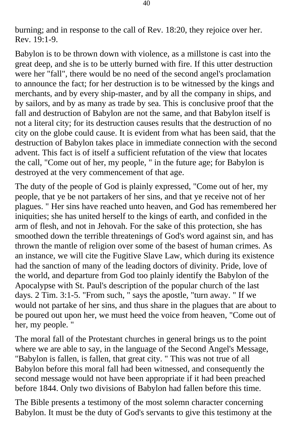burning; and in response to the call of Rev. 18:20, they rejoice over her. Rev. 19:1-9.

Babylon is to be thrown down with violence, as a millstone is cast into the great deep, and she is to be utterly burned with fire. If this utter destruction were her "fall", there would be no need of the second angel's proclamation to announce the fact; for her destruction is to be witnessed by the kings and merchants, and by every ship-master, and by all the company in ships, and by sailors, and by as many as trade by sea. This is conclusive proof that the fall and destruction of Babylon are not the same, and that Babylon itself is not a literal city; for its destruction causes results that the destruction of no city on the globe could cause. It is evident from what has been said, that the destruction of Babylon takes place in immediate connection with the second advent. This fact is of itself a sufficient refutation of the view that locates the call, "Come out of her, my people, " in the future age; for Babylon is destroyed at the very commencement of that age.

The duty of the people of God is plainly expressed, "Come out of her, my people, that ye be not partakers of her sins, and that ye receive not of her plagues. " Her sins have reached unto heaven, and God has remembered her iniquities; she has united herself to the kings of earth, and confided in the arm of flesh, and not in Jehovah. For the sake of this protection, she has smoothed down the terrible threatenings of God's word against sin, and has thrown the mantle of religion over some of the basest of human crimes. As an instance, we will cite the Fugitive Slave Law, which during its existence had the sanction of many of the leading doctors of divinity. Pride, love of the world, and departure from God too plainly identify the Babylon of the Apocalypse with St. Paul's description of the popular church of the last days. 2 Tim. 3:1-5. "From such, " says the apostle, "turn away. " If we would not partake of her sins, and thus share in the plagues that are about to be poured out upon her, we must heed the voice from heaven, "Come out of her, my people. "

The moral fall of the Protestant churches in general brings us to the point where we are able to say, in the language of the Second Angel's Message, "Babylon is fallen, is fallen, that great city. " This was not true of all Babylon before this moral fall had been witnessed, and consequently the second message would not have been appropriate if it had been preached before 1844. Only two divisions of Babylon had fallen before this time.

The Bible presents a testimony of the most solemn character concerning Babylon. It must be the duty of God's servants to give this testimony at the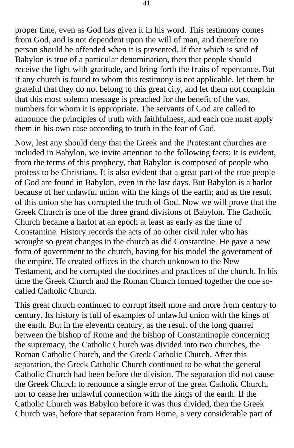proper time, even as God has given it in his word. This testimony comes from God, and is not dependent upon the will of man, and therefore no person should be offended when it is presented. If that which is said of Babylon is true of a particular denomination, then that people should receive the light with gratitude, and bring forth the fruits of repentance. But if any church is found to whom this testimony is not applicable, let them be grateful that they do not belong to this great city, and let them not complain that this most solemn message is preached for the benefit of the vast numbers for whom it is appropriate. The servants of God are called to announce the principles of truth with faithfulness, and each one must apply them in his own case according to truth in the fear of God.

Now, lest any should deny that the Greek and the Protestant churches are included in Babylon, we invite attention to the following facts: It is evident, from the terms of this prophecy, that Babylon is composed of people who profess to be Christians. It is also evident that a great part of the true people of God are found in Babylon, even in the last days. But Babylon is a harlot because of her unlawful union with the kings of the earth; and as the result of this union she has corrupted the truth of God. Now we will prove that the Greek Church is one of the three grand divisions of Babylon. The Catholic Church became a harlot at an epoch at least as early as the time of Constantine. History records the acts of no other civil ruler who has wrought so great changes in the church as did Constantine. He gave a new form of government to the church, having for his model the government of the empire. He created offices in the church unknown to the New Testament, and he corrupted the doctrines and practices of the church. In his time the Greek Church and the Roman Church formed together the one socalled Catholic Church.

This great church continued to corrupt itself more and more from century to century. Its history is full of examples of unlawful union with the kings of the earth. But in the eleventh century, as the result of the long quarrel between the bishop of Rome and the bishop of Constantinople concerning the supremacy, the Catholic Church was divided into two churches, the Roman Catholic Church, and the Greek Catholic Church. After this separation, the Greek Catholic Church continued to be what the general Catholic Church had been before the division. The separation did not cause the Greek Church to renounce a single error of the great Catholic Church, nor to cease her unlawful connection with the kings of the earth. If the Catholic Church was Babylon before it was thus divided, then the Greek Church was, before that separation from Rome, a very considerable part of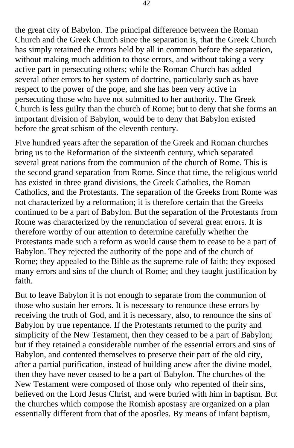the great city of Babylon. The principal difference between the Roman Church and the Greek Church since the separation is, that the Greek Church has simply retained the errors held by all in common before the separation, without making much addition to those errors, and without taking a very active part in persecuting others; while the Roman Church has added several other errors to her system of doctrine, particularly such as have respect to the power of the pope, and she has been very active in persecuting those who have not submitted to her authority. The Greek Church is less guilty than the church of Rome; but to deny that she forms an important division of Babylon, would be to deny that Babylon existed before the great schism of the eleventh century.

Five hundred years after the separation of the Greek and Roman churches bring us to the Reformation of the sixteenth century, which separated several great nations from the communion of the church of Rome. This is the second grand separation from Rome. Since that time, the religious world has existed in three grand divisions, the Greek Catholics, the Roman Catholics, and the Protestants. The separation of the Greeks from Rome was not characterized by a reformation; it is therefore certain that the Greeks continued to be a part of Babylon. But the separation of the Protestants from Rome was characterized by the renunciation of several great errors. It is therefore worthy of our attention to determine carefully whether the Protestants made such a reform as would cause them to cease to be a part of Babylon. They rejected the authority of the pope and of the church of Rome; they appealed to the Bible as the supreme rule of faith; they exposed many errors and sins of the church of Rome; and they taught justification by faith.

But to leave Babylon it is not enough to separate from the communion of those who sustain her errors. It is necessary to renounce these errors by receiving the truth of God, and it is necessary, also, to renounce the sins of Babylon by true repentance. If the Protestants returned to the purity and simplicity of the New Testament, then they ceased to be a part of Babylon; but if they retained a considerable number of the essential errors and sins of Babylon, and contented themselves to preserve their part of the old city, after a partial purification, instead of building anew after the divine model, then they have never ceased to be a part of Babylon. The churches of the New Testament were composed of those only who repented of their sins, believed on the Lord Jesus Christ, and were buried with him in baptism. But the churches which compose the Romish apostasy are organized on a plan essentially different from that of the apostles. By means of infant baptism,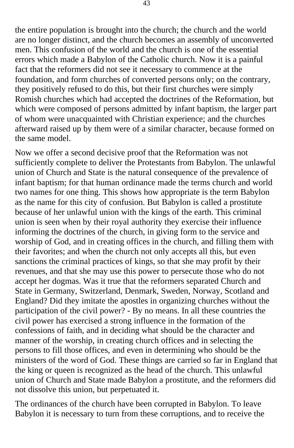the entire population is brought into the church; the church and the world are no longer distinct, and the church becomes an assembly of unconverted men. This confusion of the world and the church is one of the essential errors which made a Babylon of the Catholic church. Now it is a painful fact that the reformers did not see it necessary to commence at the foundation, and form churches of converted persons only; on the contrary, they positively refused to do this, but their first churches were simply Romish churches which had accepted the doctrines of the Reformation, but which were composed of persons admitted by infant baptism, the larger part of whom were unacquainted with Christian experience; and the churches afterward raised up by them were of a similar character, because formed on the same model.

Now we offer a second decisive proof that the Reformation was not sufficiently complete to deliver the Protestants from Babylon. The unlawful union of Church and State is the natural consequence of the prevalence of infant baptism; for that human ordinance made the terms church and world two names for one thing. This shows how appropriate is the term Babylon as the name for this city of confusion. But Babylon is called a prostitute because of her unlawful union with the kings of the earth. This criminal union is seen when by their royal authority they exercise their influence informing the doctrines of the church, in giving form to the service and worship of God, and in creating offices in the church, and filling them with their favorites; and when the church not only accepts all this, but even sanctions the criminal practices of kings, so that she may profit by their revenues, and that she may use this power to persecute those who do not accept her dogmas. Was it true that the reformers separated Church and State in Germany, Switzerland, Denmark, Sweden, Norway, Scotland and England? Did they imitate the apostles in organizing churches without the participation of the civil power? - By no means. In all these countries the civil power has exercised a strong influence in the formation of the confessions of faith, and in deciding what should be the character and manner of the worship, in creating church offices and in selecting the persons to fill those offices, and even in determining who should be the ministers of the word of God. These things are carried so far in England that the king or queen is recognized as the head of the church. This unlawful union of Church and State made Babylon a prostitute, and the reformers did not dissolve this union, but perpetuated it.

The ordinances of the church have been corrupted in Babylon. To leave Babylon it is necessary to turn from these corruptions, and to receive the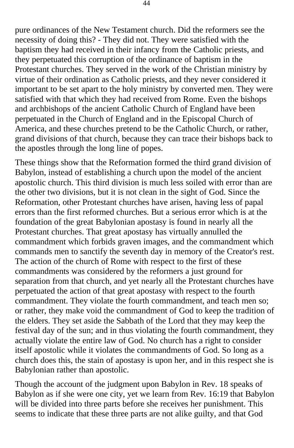pure ordinances of the New Testament church. Did the reformers see the necessity of doing this? - They did not. They were satisfied with the baptism they had received in their infancy from the Catholic priests, and they perpetuated this corruption of the ordinance of baptism in the Protestant churches. They served in the work of the Christian ministry by virtue of their ordination as Catholic priests, and they never considered it important to be set apart to the holy ministry by converted men. They were satisfied with that which they had received from Rome. Even the bishops and archbishops of the ancient Catholic Church of England have been perpetuated in the Church of England and in the Episcopal Church of America, and these churches pretend to be the Catholic Church, or rather, grand divisions of that church, because they can trace their bishops back to the apostles through the long line of popes.

These things show that the Reformation formed the third grand division of Babylon, instead of establishing a church upon the model of the ancient apostolic church. This third division is much less soiled with error than are the other two divisions, but it is not clean in the sight of God. Since the Reformation, other Protestant churches have arisen, having less of papal errors than the first reformed churches. But a serious error which is at the foundation of the great Babylonian apostasy is found in nearly all the Protestant churches. That great apostasy has virtually annulled the commandment which forbids graven images, and the commandment which commands men to sanctify the seventh day in memory of the Creator's rest. The action of the church of Rome with respect to the first of these commandments was considered by the reformers a just ground for separation from that church, and yet nearly all the Protestant churches have perpetuated the action of that great apostasy with respect to the fourth commandment. They violate the fourth commandment, and teach men so; or rather, they make void the commandment of God to keep the tradition of the elders. They set aside the Sabbath of the Lord that they may keep the festival day of the sun; and in thus violating the fourth commandment, they actually violate the entire law of God. No church has a right to consider itself apostolic while it violates the commandments of God. So long as a church does this, the stain of apostasy is upon her, and in this respect she is Babylonian rather than apostolic.

Though the account of the judgment upon Babylon in Rev. 18 speaks of Babylon as if she were one city, yet we learn from Rev. 16:19 that Babylon will be divided into three parts before she receives her punishment. This seems to indicate that these three parts are not alike guilty, and that God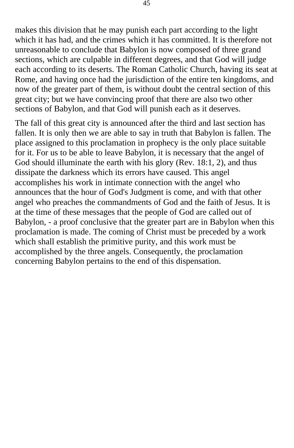makes this division that he may punish each part according to the light which it has had, and the crimes which it has committed. It is therefore not unreasonable to conclude that Babylon is now composed of three grand sections, which are culpable in different degrees, and that God will judge each according to its deserts. The Roman Catholic Church, having its seat at Rome, and having once had the jurisdiction of the entire ten kingdoms, and now of the greater part of them, is without doubt the central section of this great city; but we have convincing proof that there are also two other sections of Babylon, and that God will punish each as it deserves.

The fall of this great city is announced after the third and last section has fallen. It is only then we are able to say in truth that Babylon is fallen. The place assigned to this proclamation in prophecy is the only place suitable for it. For us to be able to leave Babylon, it is necessary that the angel of God should illuminate the earth with his glory (Rev. 18:1, 2), and thus dissipate the darkness which its errors have caused. This angel accomplishes his work in intimate connection with the angel who announces that the hour of God's Judgment is come, and with that other angel who preaches the commandments of God and the faith of Jesus. It is at the time of these messages that the people of God are called out of Babylon, - a proof conclusive that the greater part are in Babylon when this proclamation is made. The coming of Christ must be preceded by a work which shall establish the primitive purity, and this work must be accomplished by the three angels. Consequently, the proclamation concerning Babylon pertains to the end of this dispensation.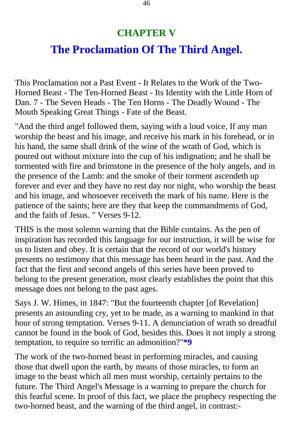## **CHAPTER V**

## **The Proclamation Of The Third Angel.**

This Proclamation not a Past Event - It Relates to the Work of the Two-Horned Beast - The Ten-Horned Beast - Its Identity with the Little Horn of Dan. 7 - The Seven Heads - The Ten Horns - The Deadly Wound - The Mouth Speaking Great Things - Fate of the Beast.

"And the third angel followed them, saying with a loud voice, If any man worship the beast and his image, and receive his mark in his forehead, or in his hand, the same shall drink of the wine of the wrath of God, which is poured out without mixture into the cup of his indignation; and he shall be tormented with fire and brimstone in the presence of the holy angels, and in the presence of the Lamb: and the smoke of their torment ascendeth up forever and ever and they have no rest day nor night, who worship the beast and his image, and whosoever receiveth the mark of his name. Here is the patience of the saints; here are they that keep the commandments of God, and the faith of Jesus. " Verses 9-12.

THIS is the most solemn warning that the Bible contains. As the pen of inspiration has recorded this language for our instruction, it will be wise for us to listen and obey. It is certain that the record of our world's history presents no testimony that this message has been heard in the past. And the fact that the first and second angels of this series have been proved to belong to the present generation, most clearly establishes the point that this message does not belong to the past ages.

Says J. W. Himes, in 1847: "But the fourteenth chapter [of Revelation] presents an astounding cry, yet to be made, as a warning to mankind in that hour of strong temptation. Verses 9-11. A denunciation of wrath so dreadful cannot be found in the book of God, besides t[his. Does i](#page-89-0)t not imply a strong temptation, to require so terrific an admonition?"**\*9** 

The work of the two-horned beast in performing miracles, and causing those that dwell upon the earth, by means of those miracles, to form an image to the beast which all men must worship, certainly pertains to the future. The Third Angel's Message is a warning to prepare the church for this fearful scene. In proof of this fact, we place the prophecy respecting the two-horned beast, and the warning of the third angel, in contrast:-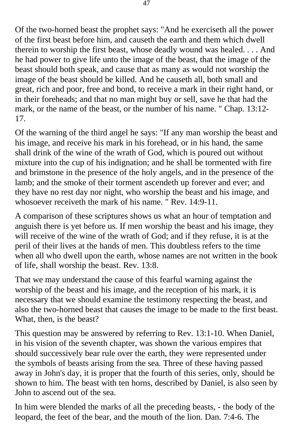Of the two-horned beast the prophet says: "And he exerciseth all the power of the first beast before him, and causeth the earth and them which dwell therein to worship the first beast, whose deadly wound was healed. . . . And he had power to give life unto the image of the beast, that the image of the beast should both speak, and cause that as many as would not worship the image of the beast should be killed. And he causeth all, both small and great, rich and poor, free and bond, to receive a mark in their right hand, or in their foreheads; and that no man might buy or sell, save he that had the mark, or the name of the beast, or the number of his name. " Chap. 13:12- 17.

Of the warning of the third angel he says: "If any man worship the beast and his image, and receive his mark in his forehead, or in his hand, the same shall drink of the wine of the wrath of God, which is poured out without mixture into the cup of his indignation; and he shall be tormented with fire and brimstone in the presence of the holy angels, and in the presence of the lamb; and the smoke of their torment ascendeth up forever and ever; and they have no rest day nor night, who worship the beast and his image, and whosoever receiveth the mark of his name. " Rev. 14:9-11.

A comparison of these scriptures shows us what an hour of temptation and anguish there is yet before us. If men worship the beast and his image, they will receive of the wine of the wrath of God; and if they refuse, it is at the peril of their lives at the hands of men. This doubtless refers to the time when all who dwell upon the earth, whose names are not written in the book of life, shall worship the beast. Rev. 13:8.

That we may understand the cause of this fearful warning against the worship of the beast and his image, and the reception of his mark, it is necessary that we should examine the testimony respecting the beast, and also the two-horned beast that causes the image to be made to the first beast. What, then, is the beast?

This question may be answered by referring to Rev. 13:1-10. When Daniel, in his vision of the seventh chapter, was shown the various empires that should successively bear rule over the earth, they were represented under the symbols of beasts arising from the sea. Three of these having passed away in John's day, it is proper that the fourth of this series, only, should be shown to him. The beast with ten horns, described by Daniel, is also seen by John to ascend out of the sea.

In him were blended the marks of all the preceding beasts, - the body of the leopard, the feet of the bear, and the mouth of the lion. Dan. 7:4-6. The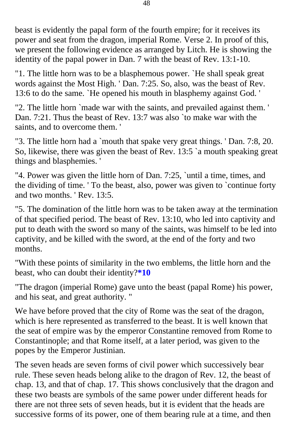beast is evidently the papal form of the fourth empire; for it receives its power and seat from the dragon, imperial Rome. Verse 2. In proof of this, we present the following evidence as arranged by Litch. He is showing the identity of the papal power in Dan. 7 with the beast of Rev. 13:1-10.

"1. The little horn was to be a blasphemous power. `He shall speak great words against the Most High. ' Dan. 7:25. So, also, was the beast of Rev. 13:6 to do the same. `He opened his mouth in blasphemy against God. '

"2. The little horn `made war with the saints, and prevailed against them. ' Dan. 7:21. Thus the beast of Rev. 13:7 was also `to make war with the saints, and to overcome them. '

"3. The little horn had a `mouth that spake very great things. ' Dan. 7:8, 20. So, likewise, there was given the beast of Rev. 13:5 `a mouth speaking great things and blasphemies. '

"4. Power was given the little horn of Dan. 7:25, `until a time, times, and the dividing of time. ' To the beast, also, power was given to `continue forty and two months. ' Rev. 13:5.

"5. The domination of the little horn was to be taken away at the termination of that specified period. The beast of Rev. 13:10, who led into captivity and put to death with the sword so many of the saints, was himself to be led into captivity, and be killed with the sword, at the end of the forty and two months.

"With these points of similarity in [the two e](#page-89-0)mblems, the little horn and the beast, who can doubt their identity?**\*10** 

"The dragon (imperial Rome) gave unto the beast (papal Rome) his power, and his seat, and great authority. "

We have before proved that the city of Rome was the seat of the dragon, which is here represented as transferred to the beast. It is well known that the seat of empire was by the emperor Constantine removed from Rome to Constantinople; and that Rome itself, at a later period, was given to the popes by the Emperor Justinian.

The seven heads are seven forms of civil power which successively bear rule. These seven heads belong alike to the dragon of Rev. 12, the beast of chap. 13, and that of chap. 17. This shows conclusively that the dragon and these two beasts are symbols of the same power under different heads for there are not three sets of seven heads, but it is evident that the heads are successive forms of its power, one of them bearing rule at a time, and then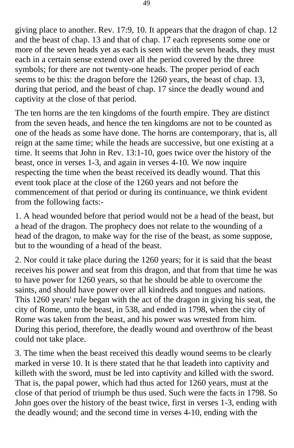giving place to another. Rev. 17:9, 10. It appears that the dragon of chap. 12 and the beast of chap. 13 and that of chap. 17 each represents some one or more of the seven heads yet as each is seen with the seven heads, they must each in a certain sense extend over all the period covered by the three symbols; for there are not twenty-one heads. The proper period of each seems to be this: the dragon before the 1260 years, the beast of chap. 13, during that period, and the beast of chap. 17 since the deadly wound and captivity at the close of that period.

The ten horns are the ten kingdoms of the fourth empire. They are distinct from the seven heads, and hence the ten kingdoms are not to be counted as one of the heads as some have done. The horns are contemporary, that is, all reign at the same time; while the heads are successive, but one existing at a time. It seems that John in Rev. 13:1-10, goes twice over the history of the beast, once in verses 1-3, and again in verses 4-10. We now inquire respecting the time when the beast received its deadly wound. That this event took place at the close of the 1260 years and not before the commencement of that period or during its continuance, we think evident from the following facts:-

1. A head wounded before that period would not be a head of the beast, but a head of the dragon. The prophecy does not relate to the wounding of a head of the dragon, to make way for the rise of the beast, as some suppose, but to the wounding of a head of the beast.

2. Nor could it take place during the 1260 years; for it is said that the beast receives his power and seat from this dragon, and that from that time he was to have power for 1260 years, so that he should be able to overcome the saints, and should have power over all kindreds and tongues and nations. This 1260 years' rule began with the act of the dragon in giving his seat, the city of Rome, unto the beast, in 538, and ended in 1798, when the city of Rome was taken from the beast, and his power was wrested from him. During this period, therefore, the deadly wound and overthrow of the beast could not take place.

3. The time when the beast received this deadly wound seems to be clearly marked in verse 10. It is there stated that he that leadeth into captivity and killeth with the sword, must be led into captivity and killed with the sword. That is, the papal power, which had thus acted for 1260 years, must at the close of that period of triumph be thus used. Such were the facts in 1798. So John goes over the history of the beast twice, first in verses 1-3, ending with the deadly wound; and the second time in verses 4-10, ending with the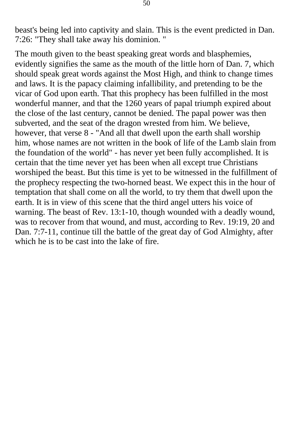beast's being led into captivity and slain. This is the event predicted in Dan. 7:26: "They shall take away his dominion. "

The mouth given to the beast speaking great words and blasphemies, evidently signifies the same as the mouth of the little horn of Dan. 7, which should speak great words against the Most High, and think to change times and laws. It is the papacy claiming infallibility, and pretending to be the vicar of God upon earth. That this prophecy has been fulfilled in the most wonderful manner, and that the 1260 years of papal triumph expired about the close of the last century, cannot be denied. The papal power was then subverted, and the seat of the dragon wrested from him. We believe, however, that verse 8 - "And all that dwell upon the earth shall worship him, whose names are not written in the book of life of the Lamb slain from the foundation of the world" - has never yet been fully accomplished. It is certain that the time never yet has been when all except true Christians worshiped the beast. But this time is yet to be witnessed in the fulfillment of the prophecy respecting the two-horned beast. We expect this in the hour of temptation that shall come on all the world, to try them that dwell upon the earth. It is in view of this scene that the third angel utters his voice of warning. The beast of Rev. 13:1-10, though wounded with a deadly wound, was to recover from that wound, and must, according to Rev. 19:19, 20 and Dan. 7:7-11, continue till the battle of the great day of God Almighty, after which he is to be cast into the lake of fire.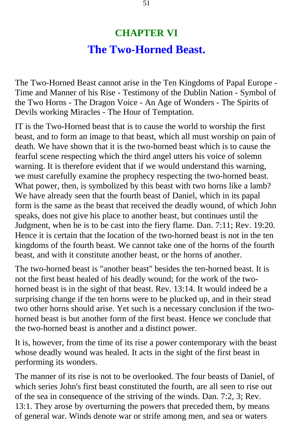## **CHAPTER VI The Two-Horned Beast.**

The Two-Horned Beast cannot arise in the Ten Kingdoms of Papal Europe - Time and Manner of his Rise - Testimony of the Dublin Nation - Symbol of the Two Horns - The Dragon Voice - An Age of Wonders - The Spirits of Devils working Miracles - The Hour of Temptation.

IT is the Two-Horned beast that is to cause the world to worship the first beast, and to form an image to that beast, which all must worship on pain of death. We have shown that it is the two-horned beast which is to cause the fearful scene respecting which the third angel utters his voice of solemn warning. It is therefore evident that if we would understand this warning, we must carefully examine the prophecy respecting the two-horned beast. What power, then, is symbolized by this beast with two horns like a lamb? We have already seen that the fourth beast of Daniel, which in its papal form is the same as the beast that received the deadly wound, of which John speaks, does not give his place to another beast, but continues until the Judgment, when he is to be cast into the fiery flame. Dan. 7:11; Rev. 19:20. Hence it is certain that the location of the two-horned beast is not in the ten kingdoms of the fourth beast. We cannot take one of the horns of the fourth beast, and with it constitute another beast, or the horns of another.

The two-horned beast is "another beast" besides the ten-horned beast. It is not the first beast healed of his deadly wound; for the work of the twohorned beast is in the sight of that beast. Rev. 13:14. It would indeed be a surprising change if the ten horns were to be plucked up, and in their stead two other horns should arise. Yet such is a necessary conclusion if the twohorned beast is but another form of the first beast. Hence we conclude that the two-horned beast is another and a distinct power.

It is, however, from the time of its rise a power contemporary with the beast whose deadly wound was healed. It acts in the sight of the first beast in performing its wonders.

The manner of its rise is not to be overlooked. The four beasts of Daniel, of which series John's first beast constituted the fourth, are all seen to rise out of the sea in consequence of the striving of the winds. Dan. 7:2, 3; Rev. 13:1. They arose by overturning the powers that preceded them, by means of general war. Winds denote war or strife among men, and sea or waters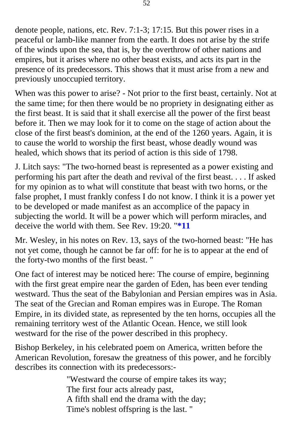denote people, nations, etc. Rev. 7:1-3; 17:15. But this power rises in a peaceful or lamb-like manner from the earth. It does not arise by the strife of the winds upon the sea, that is, by the overthrow of other nations and empires, but it arises where no other beast exists, and acts its part in the presence of its predecessors. This shows that it must arise from a new and previously unoccupied territory.

When was this power to arise? - Not prior to the first beast, certainly. Not at the same time; for then there would be no propriety in designating either as the first beast. It is said that it shall exercise all the power of the first beast before it. Then we may look for it to come on the stage of action about the close of the first beast's dominion, at the end of the 1260 years. Again, it is to cause the world to worship the first beast, whose deadly wound was healed, which shows that its period of action is this side of 1798.

J. Litch says: "The two-horned beast is represented as a power existing and performing his part after the death and revival of the first beast. . . . If asked for my opinion as to what will constitute that beast with two horns, or the false prophet, I must frankly confess I do not know. I think it is a power yet to be developed or made manifest as an accomplice of the papacy in subjecting the world. It will be a power whic[h will per](#page-89-0)form miracles, and deceive the world with them. See Rev. 19:20. "**\*11** 

Mr. Wesley, in his notes on Rev. 13, says of the two-horned beast: "He has not yet come, though he cannot be far off: for he is to appear at the end of the forty-two months of the first beast. "

One fact of interest may be noticed here: The course of empire, beginning with the first great empire near the garden of Eden, has been ever tending westward. Thus the seat of the Babylonian and Persian empires was in Asia. The seat of the Grecian and Roman empires was in Europe. The Roman Empire, in its divided state, as represented by the ten horns, occupies all the remaining territory west of the Atlantic Ocean. Hence, we still look westward for the rise of the power described in this prophecy.

Bishop Berkeley, in his celebrated poem on America, written before the American Revolution, foresaw the greatness of this power, and he forcibly describes its connection with its predecessors:-

> "Westward the course of empire takes its way; The first four acts already past, A fifth shall end the drama with the day; Time's noblest offspring is the last. "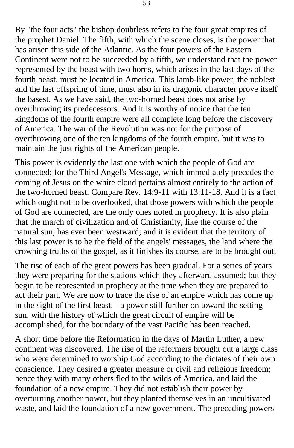By "the four acts" the bishop doubtless refers to the four great empires of the prophet Daniel. The fifth, with which the scene closes, is the power that has arisen this side of the Atlantic. As the four powers of the Eastern Continent were not to be succeeded by a fifth, we understand that the power represented by the beast with two horns, which arises in the last days of the fourth beast, must be located in America. This lamb-like power, the noblest and the last offspring of time, must also in its dragonic character prove itself the basest. As we have said, the two-horned beast does not arise by overthrowing its predecessors. And it is worthy of notice that the ten kingdoms of the fourth empire were all complete long before the discovery of America. The war of the Revolution was not for the purpose of overthrowing one of the ten kingdoms of the fourth empire, but it was to maintain the just rights of the American people.

This power is evidently the last one with which the people of God are connected; for the Third Angel's Message, which immediately precedes the coming of Jesus on the white cloud pertains almost entirely to the action of the two-horned beast. Compare Rev. 14:9-11 with 13:11-18. And it is a fact which ought not to be overlooked, that those powers with which the people of God are connected, are the only ones noted in prophecy. It is also plain that the march of civilization and of Christianity, like the course of the natural sun, has ever been westward; and it is evident that the territory of this last power is to be the field of the angels' messages, the land where the crowning truths of the gospel, as it finishes its course, are to be brought out.

The rise of each of the great powers has been gradual. For a series of years they were preparing for the stations which they afterward assumed; but they begin to be represented in prophecy at the time when they are prepared to act their part. We are now to trace the rise of an empire which has come up in the sight of the first beast, - a power still further on toward the setting sun, with the history of which the great circuit of empire will be accomplished, for the boundary of the vast Pacific has been reached.

A short time before the Reformation in the days of Martin Luther, a new continent was discovered. The rise of the reformers brought out a large class who were determined to worship God according to the dictates of their own conscience. They desired a greater measure or civil and religious freedom; hence they with many others fled to the wilds of America, and laid the foundation of a new empire. They did not establish their power by overturning another power, but they planted themselves in an uncultivated waste, and laid the foundation of a new government. The preceding powers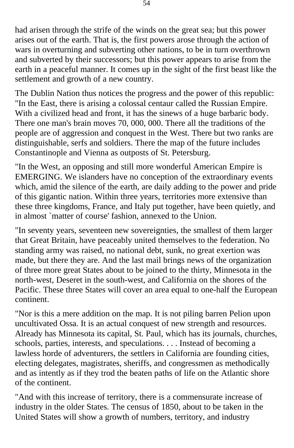had arisen through the strife of the winds on the great sea; but this power arises out of the earth. That is, the first powers arose through the action of wars in overturning and subverting other nations, to be in turn overthrown and subverted by their successors; but this power appears to arise from the earth in a peaceful manner. It comes up in the sight of the first beast like the settlement and growth of a new country.

The Dublin Nation thus notices the progress and the power of this republic: "In the East, there is arising a colossal centaur called the Russian Empire. With a civilized head and front, it has the sinews of a huge barbaric body. There one man's brain moves 70, 000, 000. There all the traditions of the people are of aggression and conquest in the West. There but two ranks are distinguishable, serfs and soldiers. There the map of the future includes Constantinople and Vienna as outposts of St. Petersburg.

"In the West, an opposing and still more wonderful American Empire is EMERGING. We islanders have no conception of the extraordinary events which, amid the silence of the earth, are daily adding to the power and pride of this gigantic nation. Within three years, territories more extensive than these three kingdoms, France, and Italy put together, have been quietly, and in almost `matter of course' fashion, annexed to the Union.

"In seventy years, seventeen new sovereignties, the smallest of them larger that Great Britain, have peaceably united themselves to the federation. No standing army was raised, no national debt, sunk, no great exertion was made, but there they are. And the last mail brings news of the organization of three more great States about to be joined to the thirty, Minnesota in the north-west, Deseret in the south-west, and California on the shores of the Pacific. These three States will cover an area equal to one-half the European continent.

"Nor is this a mere addition on the map. It is not piling barren Pelion upon uncultivated Ossa. It is an actual conquest of new strength and resources. Already has Minnesota its capital, St. Paul, which has its journals, churches, schools, parties, interests, and speculations. . . . Instead of becoming a lawless horde of adventurers, the settlers in California are founding cities, electing delegates, magistrates, sheriffs, and congressmen as methodically and as intently as if they trod the beaten paths of life on the Atlantic shore of the continent.

"And with this increase of territory, there is a commensurate increase of industry in the older States. The census of 1850, about to be taken in the United States will show a growth of numbers, territory, and industry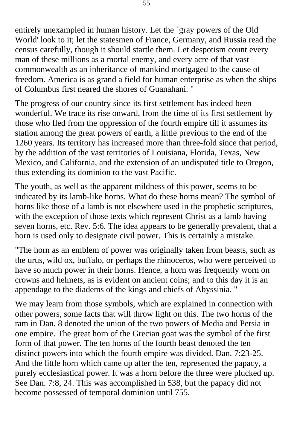entirely unexampled in human history. Let the `gray powers of the Old World' look to it; let the statesmen of France, Germany, and Russia read the census carefully, though it should startle them. Let despotism count every man of these millions as a mortal enemy, and every acre of that vast commonwealth as an inheritance of mankind mortgaged to the cause of freedom. America is as grand a field for human enterprise as when the ships of Columbus first neared the shores of Guanahani. "

The progress of our country since its first settlement has indeed been wonderful. We trace its rise onward, from the time of its first settlement by those who fled from the oppression of the fourth empire till it assumes its station among the great powers of earth, a little previous to the end of the 1260 years. Its territory has increased more than three-fold since that period, by the addition of the vast territories of Louisiana, Florida, Texas, New Mexico, and California, and the extension of an undisputed title to Oregon, thus extending its dominion to the vast Pacific.

The youth, as well as the apparent mildness of this power, seems to be indicated by its lamb-like horns. What do these horns mean? The symbol of horns like those of a lamb is not elsewhere used in the prophetic scriptures, with the exception of those texts which represent Christ as a lamb having seven horns, etc. Rev. 5:6. The idea appears to be generally prevalent, that a horn is used only to designate civil power. This is certainly a mistake.

"The horn as an emblem of power was originally taken from beasts, such as the urus, wild ox, buffalo, or perhaps the rhinoceros, who were perceived to have so much power in their horns. Hence, a horn was frequently worn on crowns and helmets, as is evident on ancient coins; and to this day it is an appendage to the diadems of the kings and chiefs of Abyssinia. "

We may learn from those symbols, which are explained in connection with other powers, some facts that will throw light on this. The two horns of the ram in Dan. 8 denoted the union of the two powers of Media and Persia in one empire. The great horn of the Grecian goat was the symbol of the first form of that power. The ten horns of the fourth beast denoted the ten distinct powers into which the fourth empire was divided. Dan. 7:23-25. And the little horn which came up after the ten, represented the papacy, a purely ecclesiastical power. It was a horn before the three were plucked up. See Dan. 7:8, 24. This was accomplished in 538, but the papacy did not become possessed of temporal dominion until 755.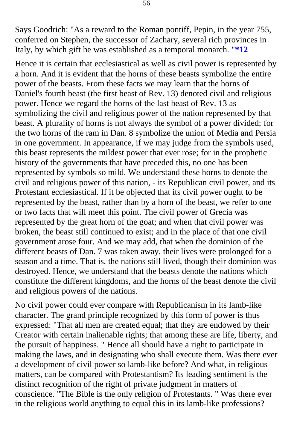Says Goodrich: "As a reward to the Roman pontiff, Pepin, in the year 755, conferred on Stephen, the successor of Zachary, several rich [provinces](#page-89-0) in Italy, by which gift he was established as a temporal monarch. "**\*12** 

Hence it is certain that ecclesiastical as well as civil power is represented by a horn. And it is evident that the horns of these beasts symbolize the entire power of the beasts. From these facts we may learn that the horns of Daniel's fourth beast (the first beast of Rev. 13) denoted civil and religious power. Hence we regard the horns of the last beast of Rev. 13 as symbolizing the civil and religious power of the nation represented by that beast. A plurality of horns is not always the symbol of a power divided; for the two horns of the ram in Dan. 8 symbolize the union of Media and Persia in one government. In appearance, if we may judge from the symbols used, this beast represents the mildest power that ever rose; for in the prophetic history of the governments that have preceded this, no one has been represented by symbols so mild. We understand these horns to denote the civil and religious power of this nation, - its Republican civil power, and its Protestant ecclesiastical. If it be objected that its civil power ought to be represented by the beast, rather than by a horn of the beast, we refer to one or two facts that will meet this point. The civil power of Grecia was represented by the great horn of the goat; and when that civil power was broken, the beast still continued to exist; and in the place of that one civil government arose four. And we may add, that when the dominion of the different beasts of Dan. 7 was taken away, their lives were prolonged for a season and a time. That is, the nations still lived, though their dominion was destroyed. Hence, we understand that the beasts denote the nations which constitute the different kingdoms, and the horns of the beast denote the civil and religious powers of the nations.

No civil power could ever compare with Republicanism in its lamb-like character. The grand principle recognized by this form of power is thus expressed: "That all men are created equal; that they are endowed by their Creator with certain inalienable rights; that among these are life, liberty, and the pursuit of happiness. " Hence all should have a right to participate in making the laws, and in designating who shall execute them. Was there ever a development of civil power so lamb-like before? And what, in religious matters, can be compared with Protestantism? Its leading sentiment is the distinct recognition of the right of private judgment in matters of conscience. "The Bible is the only religion of Protestants. " Was there ever in the religious world anything to equal this in its lamb-like professions?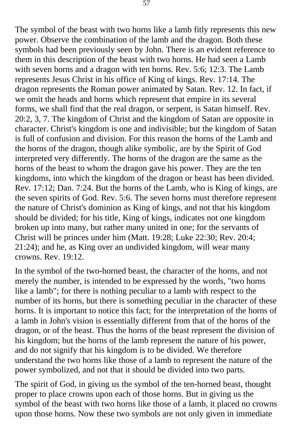The symbol of the beast with two horns like a lamb fitly represents this new power. Observe the combination of the lamb and the dragon. Both these symbols had been previously seen by John. There is an evident reference to them in this description of the beast with two horns. He had seen a Lamb with seven horns and a dragon with ten horns. Rev. 5:6; 12:3. The Lamb represents Jesus Christ in his office of King of kings. Rev. 17:14. The dragon represents the Roman power animated by Satan. Rev. 12. In fact, if we omit the heads and horns which represent that empire in its several forms, we shall find that the real dragon, or serpent, is Satan himself. Rev. 20:2, 3, 7. The kingdom of Christ and the kingdom of Satan are opposite in character. Christ's kingdom is one and indivisible; but the kingdom of Satan is full of confusion and division. For this reason the horns of the Lamb and the horns of the dragon, though alike symbolic, are by the Spirit of God interpreted very differently. The horns of the dragon are the same as the horns of the beast to whom the dragon gave his power. They are the ten kingdoms, into which the kingdom of the dragon or beast has been divided. Rev. 17:12; Dan. 7:24. But the horns of the Lamb, who is King of kings, are the seven spirits of God. Rev. 5:6. The seven horns must therefore represent the nature of Christ's dominion as King of kings, and not that his kingdom should be divided; for his title, King of kings, indicates not one kingdom broken up into many, but rather many united in one; for the servants of Christ will be princes under him (Matt. 19:28; Luke 22:30; Rev. 20:4; 21:24); and he, as King over an undivided kingdom, will wear many crowns. Rev. 19:12.

In the symbol of the two-horned beast, the character of the horns, and not merely the number, is intended to be expressed by the words, "two horns like a lamb"; for there is nothing peculiar to a lamb with respect to the number of its horns, but there is something peculiar in the character of these horns. It is important to notice this fact; for the interpretation of the horns of a lamb in John's vision is essentially different from that of the horns of the dragon, or of the beast. Thus the horns of the beast represent the division of his kingdom; but the horns of the lamb represent the nature of his power, and do not signify that his kingdom is to be divided. We therefore understand the two horns like those of a lamb to represent the nature of the power symbolized, and not that it should be divided into two parts.

The spirit of God, in giving us the symbol of the ten-horned beast, thought proper to place crowns upon each of those horns. But in giving us the symbol of the beast with two horns like those of a lamb, it placed no crowns upon those horns. Now these two symbols are not only given in immediate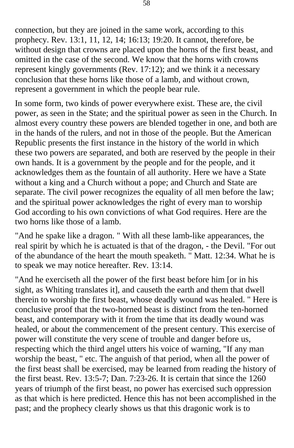connection, but they are joined in the same work, according to this prophecy. Rev. 13:1, 11, 12, 14; 16:13; 19:20. It cannot, therefore, be without design that crowns are placed upon the horns of the first beast, and omitted in the case of the second. We know that the horns with crowns represent kingly governments (Rev. 17:12); and we think it a necessary conclusion that these horns like those of a lamb, and without crown, represent a government in which the people bear rule.

In some form, two kinds of power everywhere exist. These are, the civil power, as seen in the State; and the spiritual power as seen in the Church. In almost every country these powers are blended together in one, and both are in the hands of the rulers, and not in those of the people. But the American Republic presents the first instance in the history of the world in which these two powers are separated, and both are reserved by the people in their own hands. It is a government by the people and for the people, and it acknowledges them as the fountain of all authority. Here we have a State without a king and a Church without a pope; and Church and State are separate. The civil power recognizes the equality of all men before the law; and the spiritual power acknowledges the right of every man to worship God according to his own convictions of what God requires. Here are the two horns like those of a lamb.

"And he spake like a dragon. " With all these lamb-like appearances, the real spirit by which he is actuated is that of the dragon, - the Devil. "For out of the abundance of the heart the mouth speaketh. " Matt. 12:34. What he is to speak we may notice hereafter. Rev. 13:14.

"And he exerciseth all the power of the first beast before him [or in his sight, as Whiting translates it], and causeth the earth and them that dwell therein to worship the first beast, whose deadly wound was healed. " Here is conclusive proof that the two-horned beast is distinct from the ten-horned beast, and contemporary with it from the time that its deadly wound was healed, or about the commencement of the present century. This exercise of power will constitute the very scene of trouble and danger before us, respecting which the third angel utters his voice of warning, "If any man worship the beast, " etc. The anguish of that period, when all the power of the first beast shall be exercised, may be learned from reading the history of the first beast. Rev. 13:5-7; Dan. 7:23-26. It is certain that since the 1260 years of triumph of the first beast, no power has exercised such oppression as that which is here predicted. Hence this has not been accomplished in the past; and the prophecy clearly shows us that this dragonic work is to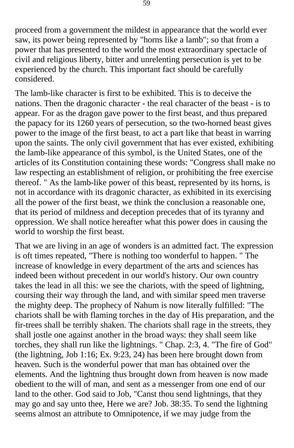proceed from a government the mildest in appearance that the world ever saw, its power being represented by "horns like a lamb"; so that from a power that has presented to the world the most extraordinary spectacle of civil and religious liberty, bitter and unrelenting persecution is yet to be experienced by the church. This important fact should be carefully considered.

The lamb-like character is first to be exhibited. This is to deceive the nations. Then the dragonic character - the real character of the beast - is to appear. For as the dragon gave power to the first beast, and thus prepared the papacy for its 1260 years of persecution, so the two-horned beast gives power to the image of the first beast, to act a part like that beast in warring upon the saints. The only civil government that has ever existed, exhibiting the lamb-like appearance of this symbol, is the United States, one of the articles of its Constitution containing these words: "Congress shall make no law respecting an establishment of religion, or prohibiting the free exercise thereof. " As the lamb-like power of this beast, represented by its horns, is not in accordance with its dragonic character, as exhibited in its exercising all the power of the first beast, we think the conclusion a reasonable one, that its period of mildness and deception precedes that of its tyranny and oppression. We shall notice hereafter what this power does in causing the world to worship the first beast.

That we are living in an age of wonders is an admitted fact. The expression is oft times repeated, "There is nothing too wonderful to happen. " The increase of knowledge in every department of the arts and sciences has indeed been without precedent in our world's history. Our own country takes the lead in all this: we see the chariots, with the speed of lightning, coursing their way through the land, and with similar speed men traverse the mighty deep. The prophecy of Nahum is now literally fulfilled: "The chariots shall be with flaming torches in the day of His preparation, and the fir-trees shall be terribly shaken. The chariots shall rage in the streets, they shall jostle one against another in the broad ways: they shall seem like torches, they shall run like the lightnings. " Chap. 2:3, 4. "The fire of God" (the lightning, Job 1:16; Ex. 9:23, 24) has been here brought down from heaven. Such is the wonderful power that man has obtained over the elements. And the lightning thus brought down from heaven is now made obedient to the will of man, and sent as a messenger from one end of our land to the other. God said to Job, "Canst thou send lightnings, that they may go and say unto thee, Here we are? Job. 38:35. To send the lightning seems almost an attribute to Omnipotence, if we may judge from the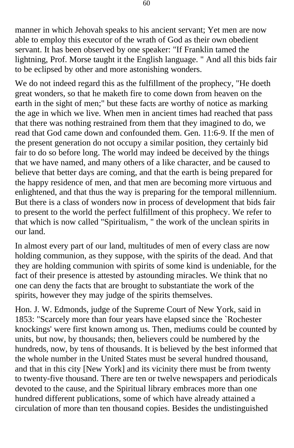manner in which Jehovah speaks to his ancient servant; Yet men are now able to employ this executor of the wrath of God as their own obedient servant. It has been observed by one speaker: "If Franklin tamed the lightning, Prof. Morse taught it the English language. " And all this bids fair to be eclipsed by other and more astonishing wonders.

We do not indeed regard this as the fulfillment of the prophecy, "He doeth great wonders, so that he maketh fire to come down from heaven on the earth in the sight of men;" but these facts are worthy of notice as marking the age in which we live. When men in ancient times had reached that pass that there was nothing restrained from them that they imagined to do, we read that God came down and confounded them. Gen. 11:6-9. If the men of the present generation do not occupy a similar position, they certainly bid fair to do so before long. The world may indeed be deceived by the things that we have named, and many others of a like character, and be caused to believe that better days are coming, and that the earth is being prepared for the happy residence of men, and that men are becoming more virtuous and enlightened, and that thus the way is preparing for the temporal millennium. But there is a class of wonders now in process of development that bids fair to present to the world the perfect fulfillment of this prophecy. We refer to that which is now called "Spiritualism, " the work of the unclean spirits in our land.

In almost every part of our land, multitudes of men of every class are now holding communion, as they suppose, with the spirits of the dead. And that they are holding communion with spirits of some kind is undeniable, for the fact of their presence is attested by astounding miracles. We think that no one can deny the facts that are brought to substantiate the work of the spirits, however they may judge of the spirits themselves.

Hon. J. W. Edmonds, judge of the Supreme Court of New York, said in 1853: "Scarcely more than four years have elapsed since the `Rochester knockings' were first known among us. Then, mediums could be counted by units, but now, by thousands; then, believers could be numbered by the hundreds, now, by tens of thousands. It is believed by the best informed that the whole number in the United States must be several hundred thousand, and that in this city [New York] and its vicinity there must be from twenty to twenty-five thousand. There are ten or twelve newspapers and periodicals devoted to the cause, and the Spiritual library embraces more than one hundred different publications, some of which have already attained a circulation of more than ten thousand copies. Besides the undistinguished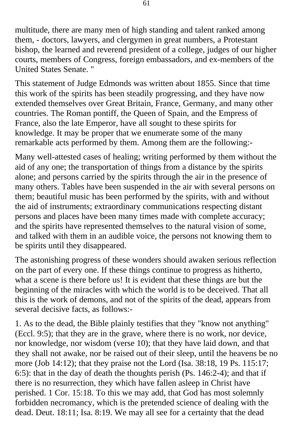multitude, there are many men of high standing and talent ranked among them, - doctors, lawyers, and clergymen in great numbers, a Protestant bishop, the learned and reverend president of a college, judges of our higher courts, members of Congress, foreign embassadors, and ex-members of the United States Senate. "

This statement of Judge Edmonds was written about 1855. Since that time this work of the spirits has been steadily progressing, and they have now extended themselves over Great Britain, France, Germany, and many other countries. The Roman pontiff, the Queen of Spain, and the Empress of France, also the late Emperor, have all sought to these spirits for knowledge. It may be proper that we enumerate some of the many remarkable acts performed by them. Among them are the following:-

Many well-attested cases of healing; writing performed by them without the aid of any one; the transportation of things from a distance by the spirits alone; and persons carried by the spirits through the air in the presence of many others. Tables have been suspended in the air with several persons on them; beautiful music has been performed by the spirits, with and without the aid of instruments; extraordinary communications respecting distant persons and places have been many times made with complete accuracy; and the spirits have represented themselves to the natural vision of some, and talked with them in an audible voice, the persons not knowing them to be spirits until they disappeared.

The astonishing progress of these wonders should awaken serious reflection on the part of every one. If these things continue to progress as hitherto, what a scene is there before us! It is evident that these things are but the beginning of the miracles with which the world is to be deceived. That all this is the work of demons, and not of the spirits of the dead, appears from several decisive facts, as follows:-

1. As to the dead, the Bible plainly testifies that they "know not anything" (Eccl. 9:5); that they are in the grave, where there is no work, nor device, nor knowledge, nor wisdom (verse 10); that they have laid down, and that they shall not awake, nor be raised out of their sleep, until the heavens be no more (Job 14:12); that they praise not the Lord (Isa. 38:18, 19 Ps. 115:17; 6:5): that in the day of death the thoughts perish (Ps. 146:2-4); and that if there is no resurrection, they which have fallen asleep in Christ have perished. 1 Cor. 15:18. To this we may add, that God has most solemnly forbidden necromancy, which is the pretended science of dealing with the dead. Deut. 18:11; Isa. 8:19. We may all see for a certainty that the dead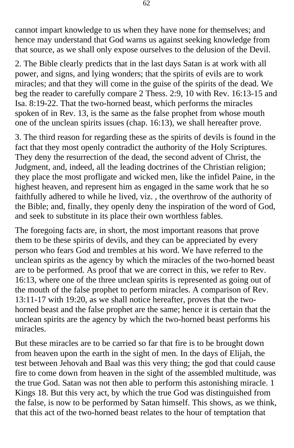cannot impart knowledge to us when they have none for themselves; and hence may understand that God warns us against seeking knowledge from that source, as we shall only expose ourselves to the delusion of the Devil.

2. The Bible clearly predicts that in the last days Satan is at work with all power, and signs, and lying wonders; that the spirits of evils are to work miracles; and that they will come in the guise of the spirits of the dead. We beg the reader to carefully compare 2 Thess. 2:9, 10 with Rev. 16:13-15 and Isa. 8:19-22. That the two-horned beast, which performs the miracles spoken of in Rev. 13, is the same as the false prophet from whose mouth one of the unclean spirits issues (chap. 16:13), we shall hereafter prove.

3. The third reason for regarding these as the spirits of devils is found in the fact that they most openly contradict the authority of the Holy Scriptures. They deny the resurrection of the dead, the second advent of Christ, the Judgment, and, indeed, all the leading doctrines of the Christian religion; they place the most profligate and wicked men, like the infidel Paine, in the highest heaven, and represent him as engaged in the same work that he so faithfully adhered to while he lived, viz. , the overthrow of the authority of the Bible; and, finally, they openly deny the inspiration of the word of God, and seek to substitute in its place their own worthless fables.

The foregoing facts are, in short, the most important reasons that prove them to be these spirits of devils, and they can be appreciated by every person who fears God and trembles at his word. We have referred to the unclean spirits as the agency by which the miracles of the two-horned beast are to be performed. As proof that we are correct in this, we refer to Rev. 16:13, where one of the three unclean spirits is represented as going out of the mouth of the false prophet to perform miracles. A comparison of Rev. 13:11-17 with 19:20, as we shall notice hereafter, proves that the twohorned beast and the false prophet are the same; hence it is certain that the unclean spirits are the agency by which the two-horned beast performs his miracles.

But these miracles are to be carried so far that fire is to be brought down from heaven upon the earth in the sight of men. In the days of Elijah, the test between Jehovah and Baal was this very thing; the god that could cause fire to come down from heaven in the sight of the assembled multitude, was the true God. Satan was not then able to perform this astonishing miracle. 1 Kings 18. But this very act, by which the true God was distinguished from the false, is now to be performed by Satan himself. This shows, as we think, that this act of the two-horned beast relates to the hour of temptation that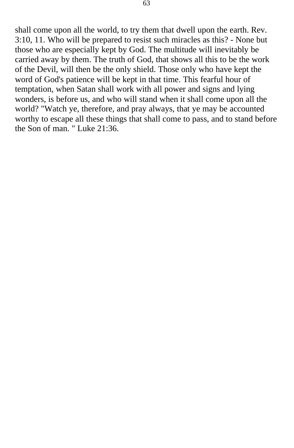shall come upon all the world, to try them that dwell upon the earth. Rev. 3:10, 11. Who will be prepared to resist such miracles as this? - None but those who are especially kept by God. The multitude will inevitably be carried away by them. The truth of God, that shows all this to be the work of the Devil, will then be the only shield. Those only who have kept the word of God's patience will be kept in that time. This fearful hour of temptation, when Satan shall work with all power and signs and lying wonders, is before us, and who will stand when it shall come upon all the world? "Watch ye, therefore, and pray always, that ye may be accounted worthy to escape all these things that shall come to pass, and to stand before the Son of man. " Luke 21:36.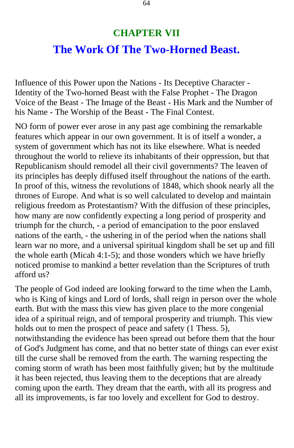## **CHAPTER VII The Work Of The Two-Horned Beast.**

Influence of this Power upon the Nations - Its Deceptive Character - Identity of the Two-horned Beast with the False Prophet - The Dragon Voice of the Beast - The Image of the Beast - His Mark and the Number of his Name - The Worship of the Beast - The Final Contest.

NO form of power ever arose in any past age combining the remarkable features which appear in our own government. It is of itself a wonder, a system of government which has not its like elsewhere. What is needed throughout the world to relieve its inhabitants of their oppression, but that Republicanism should remodel all their civil governments? The leaven of its principles has deeply diffused itself throughout the nations of the earth. In proof of this, witness the revolutions of 1848, which shook nearly all the thrones of Europe. And what is so well calculated to develop and maintain religious freedom as Protestantism? With the diffusion of these principles, how many are now confidently expecting a long period of prosperity and triumph for the church, - a period of emancipation to the poor enslaved nations of the earth, - the ushering in of the period when the nations shall learn war no more, and a universal spiritual kingdom shall be set up and fill the whole earth (Micah 4:1-5); and those wonders which we have briefly noticed promise to mankind a better revelation than the Scriptures of truth afford us?

The people of God indeed are looking forward to the time when the Lamb, who is King of kings and Lord of lords, shall reign in person over the whole earth. But with the mass this view has given place to the more congenial idea of a spiritual reign, and of temporal prosperity and triumph. This view holds out to men the prospect of peace and safety (1 Thess. 5), notwithstanding the evidence has been spread out before them that the hour of God's Judgment has come, and that no better state of things can ever exist till the curse shall be removed from the earth. The warning respecting the coming storm of wrath has been most faithfully given; but by the multitude it has been rejected, thus leaving them to the deceptions that are already coming upon the earth. They dream that the earth, with all its progress and all its improvements, is far too lovely and excellent for God to destroy.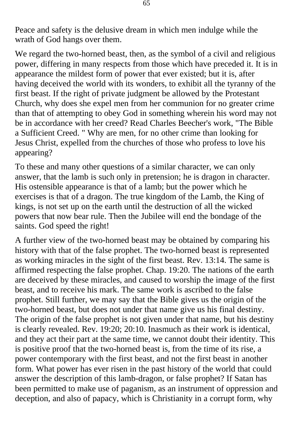Peace and safety is the delusive dream in which men indulge while the wrath of God hangs over them.

We regard the two-horned beast, then, as the symbol of a civil and religious power, differing in many respects from those which have preceded it. It is in appearance the mildest form of power that ever existed; but it is, after having deceived the world with its wonders, to exhibit all the tyranny of the first beast. If the right of private judgment be allowed by the Protestant Church, why does she expel men from her communion for no greater crime than that of attempting to obey God in something wherein his word may not be in accordance with her creed? Read Charles Beecher's work, "The Bible a Sufficient Creed. " Why are men, for no other crime than looking for Jesus Christ, expelled from the churches of those who profess to love his appearing?

To these and many other questions of a similar character, we can only answer, that the lamb is such only in pretension; he is dragon in character. His ostensible appearance is that of a lamb; but the power which he exercises is that of a dragon. The true kingdom of the Lamb, the King of kings, is not set up on the earth until the destruction of all the wicked powers that now bear rule. Then the Jubilee will end the bondage of the saints. God speed the right!

A further view of the two-horned beast may be obtained by comparing his history with that of the false prophet. The two-horned beast is represented as working miracles in the sight of the first beast. Rev. 13:14. The same is affirmed respecting the false prophet. Chap. 19:20. The nations of the earth are deceived by these miracles, and caused to worship the image of the first beast, and to receive his mark. The same work is ascribed to the false prophet. Still further, we may say that the Bible gives us the origin of the two-horned beast, but does not under that name give us his final destiny. The origin of the false prophet is not given under that name, but his destiny is clearly revealed. Rev. 19:20; 20:10. Inasmuch as their work is identical, and they act their part at the same time, we cannot doubt their identity. This is positive proof that the two-horned beast is, from the time of its rise, a power contemporary with the first beast, and not the first beast in another form. What power has ever risen in the past history of the world that could answer the description of this lamb-dragon, or false prophet? If Satan has been permitted to make use of paganism, as an instrument of oppression and deception, and also of papacy, which is Christianity in a corrupt form, why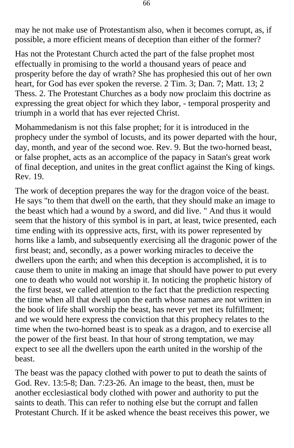may he not make use of Protestantism also, when it becomes corrupt, as, if possible, a more efficient means of deception than either of the former?

Has not the Protestant Church acted the part of the false prophet most effectually in promising to the world a thousand years of peace and prosperity before the day of wrath? She has prophesied this out of her own heart, for God has ever spoken the reverse. 2 Tim. 3; Dan. 7; Matt. 13; 2 Thess. 2. The Protestant Churches as a body now proclaim this doctrine as expressing the great object for which they labor, - temporal prosperity and triumph in a world that has ever rejected Christ.

Mohammedanism is not this false prophet; for it is introduced in the prophecy under the symbol of locusts, and its power departed with the hour, day, month, and year of the second woe. Rev. 9. But the two-horned beast, or false prophet, acts as an accomplice of the papacy in Satan's great work of final deception, and unites in the great conflict against the King of kings. Rev. 19.

The work of deception prepares the way for the dragon voice of the beast. He says "to them that dwell on the earth, that they should make an image to the beast which had a wound by a sword, and did live. " And thus it would seem that the history of this symbol is in part, at least, twice presented, each time ending with its oppressive acts, first, with its power represented by horns like a lamb, and subsequently exercising all the dragonic power of the first beast; and, secondly, as a power working miracles to deceive the dwellers upon the earth; and when this deception is accomplished, it is to cause them to unite in making an image that should have power to put every one to death who would not worship it. In noticing the prophetic history of the first beast, we called attention to the fact that the prediction respecting the time when all that dwell upon the earth whose names are not written in the book of life shall worship the beast, has never yet met its fulfillment; and we would here express the conviction that this prophecy relates to the time when the two-horned beast is to speak as a dragon, and to exercise all the power of the first beast. In that hour of strong temptation, we may expect to see all the dwellers upon the earth united in the worship of the beast.

The beast was the papacy clothed with power to put to death the saints of God. Rev. 13:5-8; Dan. 7:23-26. An image to the beast, then, must be another ecclesiastical body clothed with power and authority to put the saints to death. This can refer to nothing else but the corrupt and fallen Protestant Church. If it be asked whence the beast receives this power, we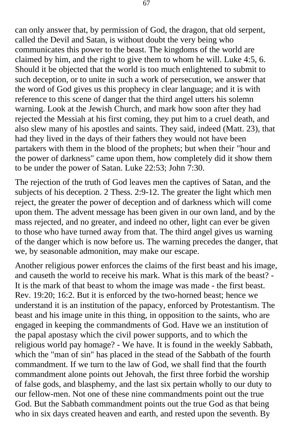can only answer that, by permission of God, the dragon, that old serpent, called the Devil and Satan, is without doubt the very being who communicates this power to the beast. The kingdoms of the world are claimed by him, and the right to give them to whom he will. Luke 4:5, 6. Should it be objected that the world is too much enlightened to submit to such deception, or to unite in such a work of persecution, we answer that the word of God gives us this prophecy in clear language; and it is with reference to this scene of danger that the third angel utters his solemn warning. Look at the Jewish Church, and mark how soon after they had rejected the Messiah at his first coming, they put him to a cruel death, and also slew many of his apostles and saints. They said, indeed (Matt. 23), that had they lived in the days of their fathers they would not have been partakers with them in the blood of the prophets; but when their "hour and the power of darkness" came upon them, how completely did it show them to be under the power of Satan. Luke 22:53; John 7:30.

The rejection of the truth of God leaves men the captives of Satan, and the subjects of his deception. 2 Thess. 2:9-12. The greater the light which men reject, the greater the power of deception and of darkness which will come upon them. The advent message has been given in our own land, and by the mass rejected, and no greater, and indeed no other, light can ever be given to those who have turned away from that. The third angel gives us warning of the danger which is now before us. The warning precedes the danger, that we, by seasonable admonition, may make our escape.

Another religious power enforces the claims of the first beast and his image, and causeth the world to receive his mark. What is this mark of the beast? - It is the mark of that beast to whom the image was made - the first beast. Rev. 19:20; 16:2. But it is enforced by the two-horned beast; hence we understand it is an institution of the papacy, enforced by Protestantism. The beast and his image unite in this thing, in opposition to the saints, who are engaged in keeping the commandments of God. Have we an institution of the papal apostasy which the civil power supports, and to which the religious world pay homage? - We have. It is found in the weekly Sabbath, which the "man of sin" has placed in the stead of the Sabbath of the fourth commandment. If we turn to the law of God, we shall find that the fourth commandment alone points out Jehovah, the first three forbid the worship of false gods, and blasphemy, and the last six pertain wholly to our duty to our fellow-men. Not one of these nine commandments point out the true God. But the Sabbath commandment points out the true God as that being who in six days created heaven and earth, and rested upon the seventh. By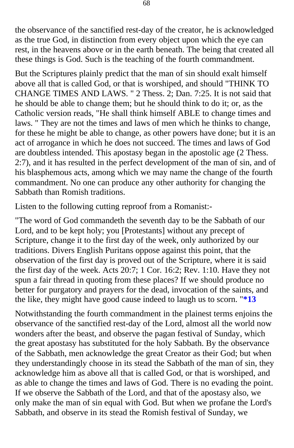the observance of the sanctified rest-day of the creator, he is acknowledged as the true God, in distinction from every object upon which the eye can rest, in the heavens above or in the earth beneath. The being that created all these things is God. Such is the teaching of the fourth commandment.

But the Scriptures plainly predict that the man of sin should exalt himself above all that is called God, or that is worshiped, and should "THINK TO CHANGE TIMES AND LAWS. " 2 Thess. 2; Dan. 7:25. It is not said that he should be able to change them; but he should think to do it; or, as the Catholic version reads, "He shall think himself ABLE to change times and laws. " They are not the times and laws of men which he thinks to change, for these he might be able to change, as other powers have done; but it is an act of arrogance in which he does not succeed. The times and laws of God are doubtless intended. This apostasy began in the apostolic age (2 Thess. 2:7), and it has resulted in the perfect development of the man of sin, and of his blasphemous acts, among which we may name the change of the fourth commandment. No one can produce any other authority for changing the Sabbath than Romish traditions.

Listen to the following cutting reproof from a Romanist:-

"The word of God commandeth the seventh day to be the Sabbath of our Lord, and to be kept holy; you [Protestants] without any precept of Scripture, change it to the first day of the week, only authorized by our traditions. Divers English Puritans oppose against this point, that the observation of the first day is proved out of the Scripture, where it is said the first day of the week. Acts 20:7; 1 Cor. 16:2; Rev. 1:10. Have they not spun a fair thread in quoting from these places? If we should produce no better for purgatory and prayers for the dead, invocation of the [saints, and](#page-89-0) the like, they might have good cause indeed to laugh us to scorn. "**\*13** 

Notwithstanding the fourth commandment in the plainest terms enjoins the observance of the sanctified rest-day of the Lord, almost all the world now wonders after the beast, and observe the pagan festival of Sunday, which the great apostasy has substituted for the holy Sabbath. By the observance of the Sabbath, men acknowledge the great Creator as their God; but when they understandingly choose in its stead the Sabbath of the man of sin, they acknowledge him as above all that is called God, or that is worshiped, and as able to change the times and laws of God. There is no evading the point. If we observe the Sabbath of the Lord, and that of the apostasy also, we only make the man of sin equal with God. But when we profane the Lord's Sabbath, and observe in its stead the Romish festival of Sunday, we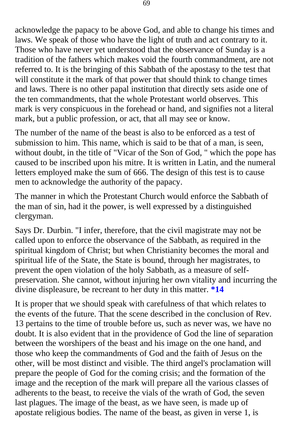acknowledge the papacy to be above God, and able to change his times and laws. We speak of those who have the light of truth and act contrary to it. Those who have never yet understood that the observance of Sunday is a tradition of the fathers which makes void the fourth commandment, are not referred to. It is the bringing of this Sabbath of the apostasy to the test that will constitute it the mark of that power that should think to change times and laws. There is no other papal institution that directly sets aside one of the ten commandments, that the whole Protestant world observes. This mark is very conspicuous in the forehead or hand, and signifies not a literal mark, but a public profession, or act, that all may see or know.

The number of the name of the beast is also to be enforced as a test of submission to him. This name, which is said to be that of a man, is seen, without doubt, in the title of "Vicar of the Son of God, " which the pope has caused to be inscribed upon his mitre. It is written in Latin, and the numeral letters employed make the sum of 666. The design of this test is to cause men to acknowledge the authority of the papacy.

The manner in which the Protestant Church would enforce the Sabbath of the man of sin, had it the power, is well expressed by a distinguished clergyman.

Says Dr. Durbin. "I infer, therefore, that the civil magistrate may not be called upon to enforce the observance of the Sabbath, as required in the spiritual kingdom of Christ; but when Christianity becomes the moral and spiritual life of the State, the State is bound, through her magistrates, to prevent the open violation of the holy Sabbath, as a measure of selfpreservation. She cannot, without injuring her own vi[tality and](#page-89-0) incurring the divine displeasure, be recreant to her duty in this matter. **\*14** 

It is proper that we should speak with carefulness of that which relates to the events of the future. That the scene described in the conclusion of Rev. 13 pertains to the time of trouble before us, such as never was, we have no doubt. It is also evident that in the providence of God the line of separation between the worshipers of the beast and his image on the one hand, and those who keep the commandments of God and the faith of Jesus on the other, will be most distinct and visible. The third angel's proclamation will prepare the people of God for the coming crisis; and the formation of the image and the reception of the mark will prepare all the various classes of adherents to the beast, to receive the vials of the wrath of God, the seven last plagues. The image of the beast, as we have seen, is made up of apostate religious bodies. The name of the beast, as given in verse 1, is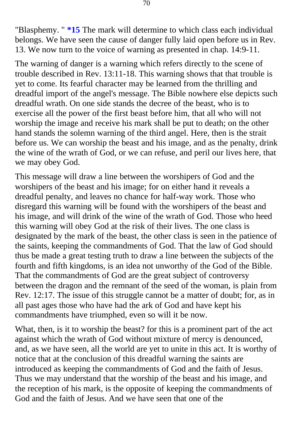"Blasphemy. " **\*15** The mark will determine to which class each individual belongs. We [have seen t](#page-89-0)he cause of danger fully laid open before us in Rev. 13. We now turn to the voice of warning as presented in chap. 14:9-11.

The warning of danger is a warning which refers directly to the scene of trouble described in Rev. 13:11-18. This warning shows that that trouble is yet to come. Its fearful character may be learned from the thrilling and dreadful import of the angel's message. The Bible nowhere else depicts such dreadful wrath. On one side stands the decree of the beast, who is to exercise all the power of the first beast before him, that all who will not worship the image and receive his mark shall be put to death; on the other hand stands the solemn warning of the third angel. Here, then is the strait before us. We can worship the beast and his image, and as the penalty, drink the wine of the wrath of God, or we can refuse, and peril our lives here, that we may obey God.

This message will draw a line between the worshipers of God and the worshipers of the beast and his image; for on either hand it reveals a dreadful penalty, and leaves no chance for half-way work. Those who disregard this warning will be found with the worshipers of the beast and his image, and will drink of the wine of the wrath of God. Those who heed this warning will obey God at the risk of their lives. The one class is designated by the mark of the beast, the other class is seen in the patience of the saints, keeping the commandments of God. That the law of God should thus be made a great testing truth to draw a line between the subjects of the fourth and fifth kingdoms, is an idea not unworthy of the God of the Bible. That the commandments of God are the great subject of controversy between the dragon and the remnant of the seed of the woman, is plain from Rev. 12:17. The issue of this struggle cannot be a matter of doubt; for, as in all past ages those who have had the ark of God and have kept his commandments have triumphed, even so will it be now.

What, then, is it to worship the beast? for this is a prominent part of the act against which the wrath of God without mixture of mercy is denounced, and, as we have seen, all the world are yet to unite in this act. It is worthy of notice that at the conclusion of this dreadful warning the saints are introduced as keeping the commandments of God and the faith of Jesus. Thus we may understand that the worship of the beast and his image, and the reception of his mark, is the opposite of keeping the commandments of God and the faith of Jesus. And we have seen that one of the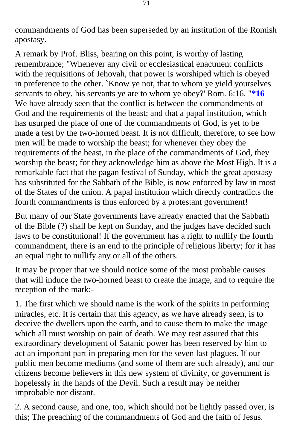commandments of God has been superseded by an institution of the Romish apostasy.

A remark by Prof. Bliss, bearing on this point, is worthy of lasting remembrance; "Whenever any civil or ecclesiastical enactment conflicts with the requisitions of Jehovah, that power is worshiped which is obeyed in preference to the other. `Know ye not, that to whom ye yield yourselves servants to obey, his servants ye are to whom ye obey?' Rom. 6:16. "**\*16**  We have already seen that the conflict is between the command[ments of](#page-89-0) God and the requirements of the beast; and that a papal institution, which has usurped the place of one of the commandments of God, is yet to be made a test by the two-horned beast. It is not difficult, therefore, to see how men will be made to worship the beast; for whenever they obey the requirements of the beast, in the place of the commandments of God, they worship the beast; for they acknowledge him as above the Most High. It is a remarkable fact that the pagan festival of Sunday, which the great apostasy has substituted for the Sabbath of the Bible, is now enforced by law in most of the States of the union. A papal institution which directly contradicts the fourth commandments is thus enforced by a protestant government!

But many of our State governments have already enacted that the Sabbath of the Bible (?) shall be kept on Sunday, and the judges have decided such laws to be constitutional! If the government has a right to nullify the fourth commandment, there is an end to the principle of religious liberty; for it has an equal right to nullify any or all of the others.

It may be proper that we should notice some of the most probable causes that will induce the two-horned beast to create the image, and to require the reception of the mark:-

1. The first which we should name is the work of the spirits in performing miracles, etc. It is certain that this agency, as we have already seen, is to deceive the dwellers upon the earth, and to cause them to make the image which all must worship on pain of death. We may rest assured that this extraordinary development of Satanic power has been reserved by him to act an important part in preparing men for the seven last plagues. If our public men become mediums (and some of them are such already), and our citizens become believers in this new system of divinity, or government is hopelessly in the hands of the Devil. Such a result may be neither improbable nor distant.

2. A second cause, and one, too, which should not be lightly passed over, is this; The preaching of the commandments of God and the faith of Jesus.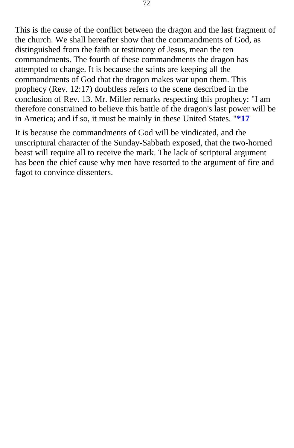This is the cause of the conflict between the dragon and the last fragment of the church. We shall hereafter show that the commandments of God, as distinguished from the faith or testimony of Jesus, mean the ten commandments. The fourth of these commandments the dragon has attempted to change. It is because the saints are keeping all the commandments of God that the dragon makes war upon them. This prophecy (Rev. 12:17) doubtless refers to the scene described in the conclusion of Rev. 13. Mr. Miller remarks respecting this prophecy: "I am therefore constrained to believe this battle of the dragon's la[st power wi](#page-89-0)ll be in America; and if so, it must be mainly in these United States. "**\*17** 

It is because the commandments of God will be vindicated, and the unscriptural character of the Sunday-Sabbath exposed, that the two-horned beast will require all to receive the mark. The lack of scriptural argument has been the chief cause why men have resorted to the argument of fire and fagot to convince dissenters.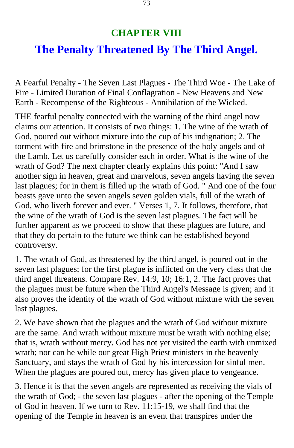### **CHAPTER VIII**

## **The Penalty Threatened By The Third Angel.**

A Fearful Penalty - The Seven Last Plagues - The Third Woe - The Lake of Fire - Limited Duration of Final Conflagration - New Heavens and New Earth - Recompense of the Righteous - Annihilation of the Wicked.

THE fearful penalty connected with the warning of the third angel now claims our attention. It consists of two things: 1. The wine of the wrath of God, poured out without mixture into the cup of his indignation; 2. The torment with fire and brimstone in the presence of the holy angels and of the Lamb. Let us carefully consider each in order. What is the wine of the wrath of God? The next chapter clearly explains this point: "And I saw another sign in heaven, great and marvelous, seven angels having the seven last plagues; for in them is filled up the wrath of God. " And one of the four beasts gave unto the seven angels seven golden vials, full of the wrath of God, who liveth forever and ever. " Verses 1, 7. It follows, therefore, that the wine of the wrath of God is the seven last plagues. The fact will be further apparent as we proceed to show that these plagues are future, and that they do pertain to the future we think can be established beyond controversy.

1. The wrath of God, as threatened by the third angel, is poured out in the seven last plagues; for the first plague is inflicted on the very class that the third angel threatens. Compare Rev. 14:9, 10; 16:1, 2. The fact proves that the plagues must be future when the Third Angel's Message is given; and it also proves the identity of the wrath of God without mixture with the seven last plagues.

2. We have shown that the plagues and the wrath of God without mixture are the same. And wrath without mixture must be wrath with nothing else; that is, wrath without mercy. God has not yet visited the earth with unmixed wrath; nor can he while our great High Priest ministers in the heavenly Sanctuary, and stays the wrath of God by his intercession for sinful men. When the plagues are poured out, mercy has given place to vengeance.

3. Hence it is that the seven angels are represented as receiving the vials of the wrath of God; - the seven last plagues - after the opening of the Temple of God in heaven. If we turn to Rev. 11:15-19, we shall find that the opening of the Temple in heaven is an event that transpires under the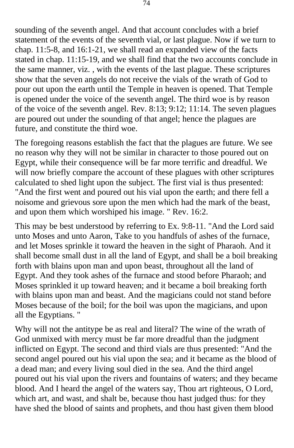sounding of the seventh angel. And that account concludes with a brief statement of the events of the seventh vial, or last plague. Now if we turn to chap. 11:5-8, and 16:1-21, we shall read an expanded view of the facts stated in chap. 11:15-19, and we shall find that the two accounts conclude in the same manner, viz. , with the events of the last plague. These scriptures show that the seven angels do not receive the vials of the wrath of God to pour out upon the earth until the Temple in heaven is opened. That Temple is opened under the voice of the seventh angel. The third woe is by reason of the voice of the seventh angel. Rev. 8:13; 9:12; 11:14. The seven plagues are poured out under the sounding of that angel; hence the plagues are future, and constitute the third woe.

The foregoing reasons establish the fact that the plagues are future. We see no reason why they will not be similar in character to those poured out on Egypt, while their consequence will be far more terrific and dreadful. We will now briefly compare the account of these plagues with other scriptures calculated to shed light upon the subject. The first vial is thus presented: "And the first went and poured out his vial upon the earth; and there fell a noisome and grievous sore upon the men which had the mark of the beast, and upon them which worshiped his image. " Rev. 16:2.

This may be best understood by referring to Ex. 9:8-11. "And the Lord said unto Moses and unto Aaron, Take to you handfuls of ashes of the furnace, and let Moses sprinkle it toward the heaven in the sight of Pharaoh. And it shall become small dust in all the land of Egypt, and shall be a boil breaking forth with blains upon man and upon beast, throughout all the land of Egypt. And they took ashes of the furnace and stood before Pharaoh; and Moses sprinkled it up toward heaven; and it became a boil breaking forth with blains upon man and beast. And the magicians could not stand before Moses because of the boil; for the boil was upon the magicians, and upon all the Egyptians. "

Why will not the antitype be as real and literal? The wine of the wrath of God unmixed with mercy must be far more dreadful than the judgment inflicted on Egypt. The second and third vials are thus presented: "And the second angel poured out his vial upon the sea; and it became as the blood of a dead man; and every living soul died in the sea. And the third angel poured out his vial upon the rivers and fountains of waters; and they became blood. And I heard the angel of the waters say, Thou art righteous, O Lord, which art, and wast, and shalt be, because thou hast judged thus: for they have shed the blood of saints and prophets, and thou hast given them blood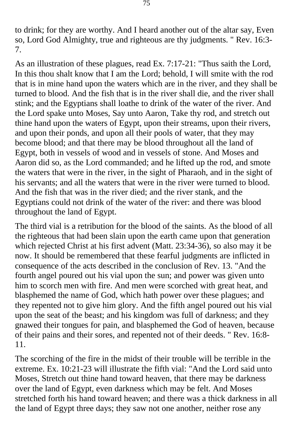to drink; for they are worthy. And I heard another out of the altar say, Even so, Lord God Almighty, true and righteous are thy judgments. " Rev. 16:3- 7.

As an illustration of these plagues, read Ex. 7:17-21: "Thus saith the Lord, In this thou shalt know that I am the Lord; behold, I will smite with the rod that is in mine hand upon the waters which are in the river, and they shall be turned to blood. And the fish that is in the river shall die, and the river shall stink; and the Egyptians shall loathe to drink of the water of the river. And the Lord spake unto Moses, Say unto Aaron, Take thy rod, and stretch out thine hand upon the waters of Egypt, upon their streams, upon their rivers, and upon their ponds, and upon all their pools of water, that they may become blood; and that there may be blood throughout all the land of Egypt, both in vessels of wood and in vessels of stone. And Moses and Aaron did so, as the Lord commanded; and he lifted up the rod, and smote the waters that were in the river, in the sight of Pharaoh, and in the sight of his servants; and all the waters that were in the river were turned to blood. And the fish that was in the river died; and the river stank, and the Egyptians could not drink of the water of the river: and there was blood throughout the land of Egypt.

The third vial is a retribution for the blood of the saints. As the blood of all the righteous that had been slain upon the earth came upon that generation which rejected Christ at his first advent (Matt. 23:34-36), so also may it be now. It should be remembered that these fearful judgments are inflicted in consequence of the acts described in the conclusion of Rev. 13. "And the fourth angel poured out his vial upon the sun; and power was given unto him to scorch men with fire. And men were scorched with great heat, and blasphemed the name of God, which hath power over these plagues; and they repented not to give him glory. And the fifth angel poured out his vial upon the seat of the beast; and his kingdom was full of darkness; and they gnawed their tongues for pain, and blasphemed the God of heaven, because of their pains and their sores, and repented not of their deeds. " Rev. 16:8- 11.

The scorching of the fire in the midst of their trouble will be terrible in the extreme. Ex. 10:21-23 will illustrate the fifth vial: "And the Lord said unto Moses, Stretch out thine hand toward heaven, that there may be darkness over the land of Egypt, even darkness which may be felt. And Moses stretched forth his hand toward heaven; and there was a thick darkness in all the land of Egypt three days; they saw not one another, neither rose any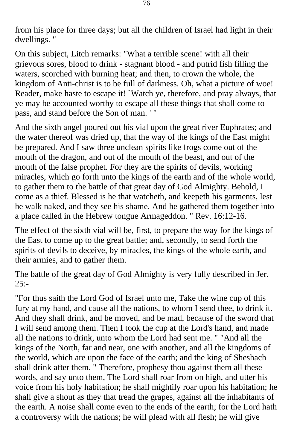from his place for three days; but all the children of Israel had light in their dwellings. "

On this subject, Litch remarks: "What a terrible scene! with all their grievous sores, blood to drink - stagnant blood - and putrid fish filling the waters, scorched with burning heat; and then, to crown the whole, the kingdom of Anti-christ is to be full of darkness. Oh, what a picture of woe! Reader, make haste to escape it! `Watch ye, therefore, and pray always, that ye may be accounted worthy to escape all these things that shall come to pass, and stand before the Son of man. ' "

And the sixth angel poured out his vial upon the great river Euphrates; and the water thereof was dried up, that the way of the kings of the East might be prepared. And I saw three unclean spirits like frogs come out of the mouth of the dragon, and out of the mouth of the beast, and out of the mouth of the false prophet. For they are the spirits of devils, working miracles, which go forth unto the kings of the earth and of the whole world, to gather them to the battle of that great day of God Almighty. Behold, I come as a thief. Blessed is he that watcheth, and keepeth his garments, lest he walk naked, and they see his shame. And he gathered them together into a place called in the Hebrew tongue Armageddon. " Rev. 16:12-16.

The effect of the sixth vial will be, first, to prepare the way for the kings of the East to come up to the great battle; and, secondly, to send forth the spirits of devils to deceive, by miracles, the kings of the whole earth, and their armies, and to gather them.

The battle of the great day of God Almighty is very fully described in Jer.  $25: -$ 

"For thus saith the Lord God of Israel unto me, Take the wine cup of this fury at my hand, and cause all the nations, to whom I send thee, to drink it. And they shall drink, and be moved, and be mad, because of the sword that I will send among them. Then I took the cup at the Lord's hand, and made all the nations to drink, unto whom the Lord had sent me. " "And all the kings of the North, far and near, one with another, and all the kingdoms of the world, which are upon the face of the earth; and the king of Sheshach shall drink after them. " Therefore, prophesy thou against them all these words, and say unto them, The Lord shall roar from on high, and utter his voice from his holy habitation; he shall mightily roar upon his habitation; he shall give a shout as they that tread the grapes, against all the inhabitants of the earth. A noise shall come even to the ends of the earth; for the Lord hath a controversy with the nations; he will plead with all flesh; he will give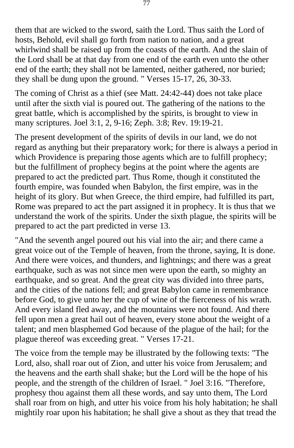them that are wicked to the sword, saith the Lord. Thus saith the Lord of hosts, Behold, evil shall go forth from nation to nation, and a great whirlwind shall be raised up from the coasts of the earth. And the slain of the Lord shall be at that day from one end of the earth even unto the other end of the earth; they shall not be lamented, neither gathered, nor buried; they shall be dung upon the ground. " Verses 15-17, 26, 30-33.

The coming of Christ as a thief (see Matt. 24:42-44) does not take place until after the sixth vial is poured out. The gathering of the nations to the great battle, which is accomplished by the spirits, is brought to view in many scriptures. Joel 3:1, 2, 9-16; Zeph. 3:8; Rev. 19:19-21.

The present development of the spirits of devils in our land, we do not regard as anything but their preparatory work; for there is always a period in which Providence is preparing those agents which are to fulfill prophecy; but the fulfillment of prophecy begins at the point where the agents are prepared to act the predicted part. Thus Rome, though it constituted the fourth empire, was founded when Babylon, the first empire, was in the height of its glory. But when Greece, the third empire, had fulfilled its part, Rome was prepared to act the part assigned it in prophecy. It is thus that we understand the work of the spirits. Under the sixth plague, the spirits will be prepared to act the part predicted in verse 13.

"And the seventh angel poured out his vial into the air; and there came a great voice out of the Temple of heaven, from the throne, saying, It is done. And there were voices, and thunders, and lightnings; and there was a great earthquake, such as was not since men were upon the earth, so mighty an earthquake, and so great. And the great city was divided into three parts, and the cities of the nations fell; and great Babylon came in remembrance before God, to give unto her the cup of wine of the fierceness of his wrath. And every island fled away, and the mountains were not found. And there fell upon men a great hail out of heaven, every stone about the weight of a talent; and men blasphemed God because of the plague of the hail; for the plague thereof was exceeding great. " Verses 17-21.

The voice from the temple may be illustrated by the following texts: "The Lord, also, shall roar out of Zion, and utter his voice from Jerusalem; and the heavens and the earth shall shake; but the Lord will be the hope of his people, and the strength of the children of Israel. " Joel 3:16. "Therefore, prophesy thou against them all these words, and say unto them, The Lord shall roar from on high, and utter his voice from his holy habitation; he shall mightily roar upon his habitation; he shall give a shout as they that tread the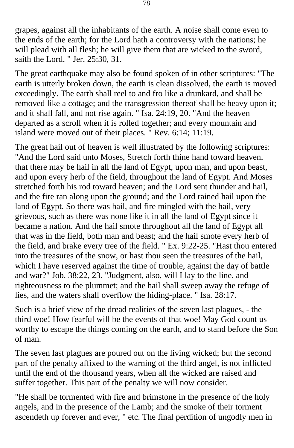grapes, against all the inhabitants of the earth. A noise shall come even to the ends of the earth; for the Lord hath a controversy with the nations; he will plead with all flesh; he will give them that are wicked to the sword, saith the Lord. " Jer. 25:30, 31.

The great earthquake may also be found spoken of in other scriptures: "The earth is utterly broken down, the earth is clean dissolved, the earth is moved exceedingly. The earth shall reel to and fro like a drunkard, and shall be removed like a cottage; and the transgression thereof shall be heavy upon it; and it shall fall, and not rise again. " Isa. 24:19, 20. "And the heaven departed as a scroll when it is rolled together; and every mountain and island were moved out of their places. " Rev. 6:14; 11:19.

The great hail out of heaven is well illustrated by the following scriptures: "And the Lord said unto Moses, Stretch forth thine hand toward heaven, that there may be hail in all the land of Egypt, upon man, and upon beast, and upon every herb of the field, throughout the land of Egypt. And Moses stretched forth his rod toward heaven; and the Lord sent thunder and hail, and the fire ran along upon the ground; and the Lord rained hail upon the land of Egypt. So there was hail, and fire mingled with the hail, very grievous, such as there was none like it in all the land of Egypt since it became a nation. And the hail smote throughout all the land of Egypt all that was in the field, both man and beast; and the hail smote every herb of the field, and brake every tree of the field. " Ex. 9:22-25. "Hast thou entered into the treasures of the snow, or hast thou seen the treasures of the hail, which I have reserved against the time of trouble, against the day of battle and war?" Job. 38:22, 23. "Judgment, also, will I lay to the line, and righteousness to the plummet; and the hail shall sweep away the refuge of lies, and the waters shall overflow the hiding-place. " Isa. 28:17.

Such is a brief view of the dread realities of the seven last plagues, - the third woe! How fearful will be the events of that woe! May God count us worthy to escape the things coming on the earth, and to stand before the Son of man.

The seven last plagues are poured out on the living wicked; but the second part of the penalty affixed to the warning of the third angel, is not inflicted until the end of the thousand years, when all the wicked are raised and suffer together. This part of the penalty we will now consider.

"He shall be tormented with fire and brimstone in the presence of the holy angels, and in the presence of the Lamb; and the smoke of their torment ascendeth up forever and ever, " etc. The final perdition of ungodly men in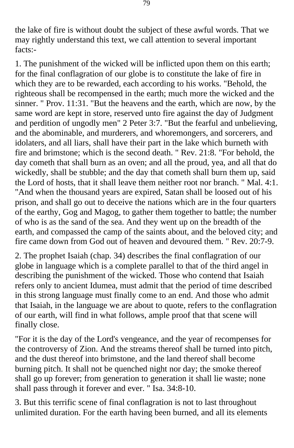the lake of fire is without doubt the subject of these awful words. That we may rightly understand this text, we call attention to several important facts:-

1. The punishment of the wicked will be inflicted upon them on this earth; for the final conflagration of our globe is to constitute the lake of fire in which they are to be rewarded, each according to his works. "Behold, the righteous shall be recompensed in the earth; much more the wicked and the sinner. " Prov. 11:31. "But the heavens and the earth, which are now, by the same word are kept in store, reserved unto fire against the day of Judgment and perdition of ungodly men" 2 Peter 3:7. "But the fearful and unbelieving, and the abominable, and murderers, and whoremongers, and sorcerers, and idolaters, and all liars, shall have their part in the lake which burneth with fire and brimstone; which is the second death. " Rev. 21:8. "For behold, the day cometh that shall burn as an oven; and all the proud, yea, and all that do wickedly, shall be stubble; and the day that cometh shall burn them up, said the Lord of hosts, that it shall leave them neither root nor branch. " Mal. 4:1. "And when the thousand years are expired, Satan shall be loosed out of his prison, and shall go out to deceive the nations which are in the four quarters of the earthy, Gog and Magog, to gather them together to battle; the number of who is as the sand of the sea. And they went up on the breadth of the earth, and compassed the camp of the saints about, and the beloved city; and fire came down from God out of heaven and devoured them. " Rev. 20:7-9.

2. The prophet Isaiah (chap. 34) describes the final conflagration of our globe in language which is a complete parallel to that of the third angel in describing the punishment of the wicked. Those who contend that Isaiah refers only to ancient Idumea, must admit that the period of time described in this strong language must finally come to an end. And those who admit that Isaiah, in the language we are about to quote, refers to the conflagration of our earth, will find in what follows, ample proof that that scene will finally close.

"For it is the day of the Lord's vengeance, and the year of recompenses for the controversy of Zion. And the streams thereof shall be turned into pitch, and the dust thereof into brimstone, and the land thereof shall become burning pitch. It shall not be quenched night nor day; the smoke thereof shall go up forever; from generation to generation it shall lie waste; none shall pass through it forever and ever. " Isa. 34:8-10.

3. But this terrific scene of final conflagration is not to last throughout unlimited duration. For the earth having been burned, and all its elements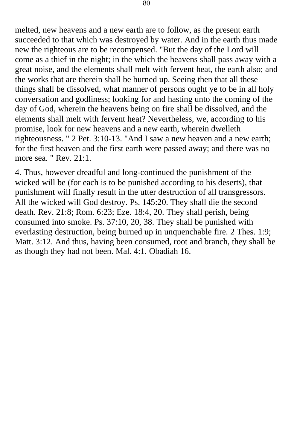melted, new heavens and a new earth are to follow, as the present earth succeeded to that which was destroyed by water. And in the earth thus made new the righteous are to be recompensed. "But the day of the Lord will come as a thief in the night; in the which the heavens shall pass away with a great noise, and the elements shall melt with fervent heat, the earth also; and the works that are therein shall be burned up. Seeing then that all these things shall be dissolved, what manner of persons ought ye to be in all holy conversation and godliness; looking for and hasting unto the coming of the day of God, wherein the heavens being on fire shall be dissolved, and the elements shall melt with fervent heat? Nevertheless, we, according to his promise, look for new heavens and a new earth, wherein dwelleth righteousness. " 2 Pet. 3:10-13. "And I saw a new heaven and a new earth; for the first heaven and the first earth were passed away; and there was no more sea. " Rev. 21:1.

4. Thus, however dreadful and long-continued the punishment of the wicked will be (for each is to be punished according to his deserts), that punishment will finally result in the utter destruction of all transgressors. All the wicked will God destroy. Ps. 145:20. They shall die the second death. Rev. 21:8; Rom. 6:23; Eze. 18:4, 20. They shall perish, being consumed into smoke. Ps. 37:10, 20, 38. They shall be punished with everlasting destruction, being burned up in unquenchable fire. 2 Thes. 1:9; Matt. 3:12. And thus, having been consumed, root and branch, they shall be as though they had not been. Mal. 4:1. Obadiah 16.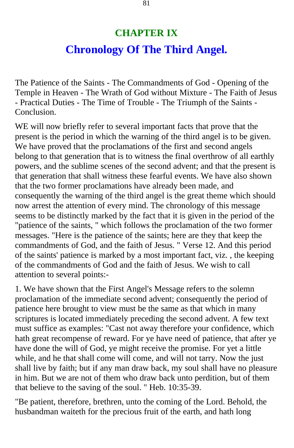# **CHAPTER IX Chronology Of The Third Angel.**

The Patience of the Saints - The Commandments of God - Opening of the Temple in Heaven - The Wrath of God without Mixture - The Faith of Jesus - Practical Duties - The Time of Trouble - The Triumph of the Saints - Conclusion.

WE will now briefly refer to several important facts that prove that the present is the period in which the warning of the third angel is to be given. We have proved that the proclamations of the first and second angels belong to that generation that is to witness the final overthrow of all earthly powers, and the sublime scenes of the second advent; and that the present is that generation that shall witness these fearful events. We have also shown that the two former proclamations have already been made, and consequently the warning of the third angel is the great theme which should now arrest the attention of every mind. The chronology of this message seems to be distinctly marked by the fact that it is given in the period of the "patience of the saints, " which follows the proclamation of the two former messages. "Here is the patience of the saints; here are they that keep the commandments of God, and the faith of Jesus. " Verse 12. And this period of the saints' patience is marked by a most important fact, viz. , the keeping of the commandments of God and the faith of Jesus. We wish to call attention to several points:-

1. We have shown that the First Angel's Message refers to the solemn proclamation of the immediate second advent; consequently the period of patience here brought to view must be the same as that which in many scriptures is located immediately preceding the second advent. A few text must suffice as examples: "Cast not away therefore your confidence, which hath great recompense of reward. For ye have need of patience, that after ye have done the will of God, ye might receive the promise. For yet a little while, and he that shall come will come, and will not tarry. Now the just shall live by faith; but if any man draw back, my soul shall have no pleasure in him. But we are not of them who draw back unto perdition, but of them that believe to the saving of the soul. " Heb. 10:35-39.

"Be patient, therefore, brethren, unto the coming of the Lord. Behold, the husbandman waiteth for the precious fruit of the earth, and hath long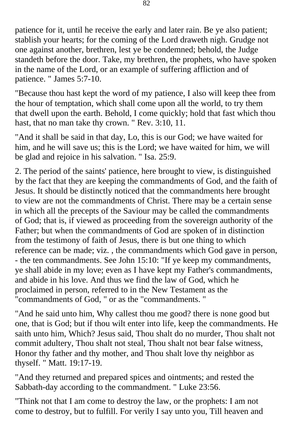patience for it, until he receive the early and later rain. Be ye also patient; stablish your hearts; for the coming of the Lord draweth nigh. Grudge not one against another, brethren, lest ye be condemned; behold, the Judge standeth before the door. Take, my brethren, the prophets, who have spoken in the name of the Lord, or an example of suffering affliction and of patience. " James 5:7-10.

"Because thou hast kept the word of my patience, I also will keep thee from the hour of temptation, which shall come upon all the world, to try them that dwell upon the earth. Behold, I come quickly; hold that fast which thou hast, that no man take thy crown. " Rev. 3:10, 11.

"And it shall be said in that day, Lo, this is our God; we have waited for him, and he will save us; this is the Lord; we have waited for him, we will be glad and rejoice in his salvation. " Isa. 25:9.

2. The period of the saints' patience, here brought to view, is distinguished by the fact that they are keeping the commandments of God, and the faith of Jesus. It should be distinctly noticed that the commandments here brought to view are not the commandments of Christ. There may be a certain sense in which all the precepts of the Saviour may be called the commandments of God; that is, if viewed as proceeding from the sovereign authority of the Father; but when the commandments of God are spoken of in distinction from the testimony of faith of Jesus, there is but one thing to which reference can be made; viz. , the commandments which God gave in person, - the ten commandments. See John 15:10: "If ye keep my commandments, ye shall abide in my love; even as I have kept my Father's commandments, and abide in his love. And thus we find the law of God, which he proclaimed in person, referred to in the New Testament as the "commandments of God, " or as the "commandments. "

"And he said unto him, Why callest thou me good? there is none good but one, that is God; but if thou wilt enter into life, keep the commandments. He saith unto him, Which? Jesus said, Thou shalt do no murder, Thou shalt not commit adultery, Thou shalt not steal, Thou shalt not bear false witness, Honor thy father and thy mother, and Thou shalt love thy neighbor as thyself. " Matt. 19:17-19.

"And they returned and prepared spices and ointments; and rested the Sabbath-day according to the commandment. " Luke 23:56.

"Think not that I am come to destroy the law, or the prophets: I am not come to destroy, but to fulfill. For verily I say unto you, Till heaven and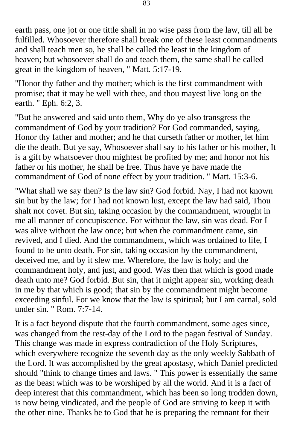earth pass, one jot or one tittle shall in no wise pass from the law, till all be fulfilled. Whosoever therefore shall break one of these least commandments and shall teach men so, he shall be called the least in the kingdom of heaven; but whosoever shall do and teach them, the same shall he called great in the kingdom of heaven, " Matt. 5:17-19.

"Honor thy father and thy mother; which is the first commandment with promise; that it may be well with thee, and thou mayest live long on the earth. " Eph. 6:2, 3.

"But he answered and said unto them, Why do ye also transgress the commandment of God by your tradition? For God commanded, saying, Honor thy father and mother; and he that curseth father or mother, let him die the death. But ye say, Whosoever shall say to his father or his mother, It is a gift by whatsoever thou mightest be profited by me; and honor not his father or his mother, he shall be free. Thus have ye have made the commandment of God of none effect by your tradition. " Matt. 15:3-6.

"What shall we say then? Is the law sin? God forbid. Nay, I had not known sin but by the law; for I had not known lust, except the law had said, Thou shalt not covet. But sin, taking occasion by the commandment, wrought in me all manner of concupiscence. For without the law, sin was dead. For I was alive without the law once; but when the commandment came, sin revived, and I died. And the commandment, which was ordained to life, I found to be unto death. For sin, taking occasion by the commandment, deceived me, and by it slew me. Wherefore, the law is holy; and the commandment holy, and just, and good. Was then that which is good made death unto me? God forbid. But sin, that it might appear sin, working death in me by that which is good; that sin by the commandment might become exceeding sinful. For we know that the law is spiritual; but I am carnal, sold under sin. " Rom. 7:7-14.

It is a fact beyond dispute that the fourth commandment, some ages since, was changed from the rest-day of the Lord to the pagan festival of Sunday. This change was made in express contradiction of the Holy Scriptures, which everywhere recognize the seventh day as the only weekly Sabbath of the Lord. It was accomplished by the great apostasy, which Daniel predicted should "think to change times and laws. " This power is essentially the same as the beast which was to be worshiped by all the world. And it is a fact of deep interest that this commandment, which has been so long trodden down, is now being vindicated, and the people of God are striving to keep it with the other nine. Thanks be to God that he is preparing the remnant for their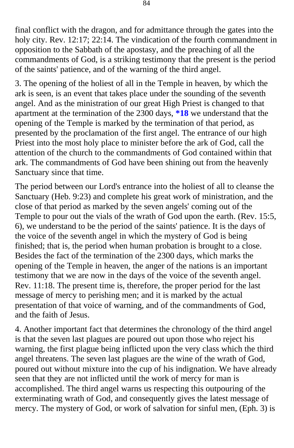final conflict with the dragon, and for admittance through the gates into the holy city. Rev. 12:17; 22:14. The vindication of the fourth commandment in opposition to the Sabbath of the apostasy, and the preaching of all the commandments of God, is a striking testimony that the present is the period of the saints' patience, and of the warning of the third angel.

3. The opening of the holiest of all in the Temple in heaven, by which the ark is seen, is an event that takes place under the sounding of the seventh angel. And as the ministration of our great [High Priest](#page-89-0) is changed to that apartment at the termination of the 2300 days, **\*18** we understand that the opening of the Temple is marked by the termination of that period, as presented by the proclamation of the first angel. The entrance of our high Priest into the most holy place to minister before the ark of God, call the attention of the church to the commandments of God contained within that ark. The commandments of God have been shining out from the heavenly Sanctuary since that time.

The period between our Lord's entrance into the holiest of all to cleanse the Sanctuary (Heb. 9:23) and complete his great work of ministration, and the close of that period as marked by the seven angels' coming out of the Temple to pour out the vials of the wrath of God upon the earth. (Rev. 15:5, 6), we understand to be the period of the saints' patience. It is the days of the voice of the seventh angel in which the mystery of God is being finished; that is, the period when human probation is brought to a close. Besides the fact of the termination of the 2300 days, which marks the opening of the Temple in heaven, the anger of the nations is an important testimony that we are now in the days of the voice of the seventh angel. Rev. 11:18. The present time is, therefore, the proper period for the last message of mercy to perishing men; and it is marked by the actual presentation of that voice of warning, and of the commandments of God, and the faith of Jesus.

4. Another important fact that determines the chronology of the third angel is that the seven last plagues are poured out upon those who reject his warning, the first plague being inflicted upon the very class which the third angel threatens. The seven last plagues are the wine of the wrath of God, poured out without mixture into the cup of his indignation. We have already seen that they are not inflicted until the work of mercy for man is accomplished. The third angel warns us respecting this outpouring of the exterminating wrath of God, and consequently gives the latest message of mercy. The mystery of God, or work of salvation for sinful men, (Eph. 3) is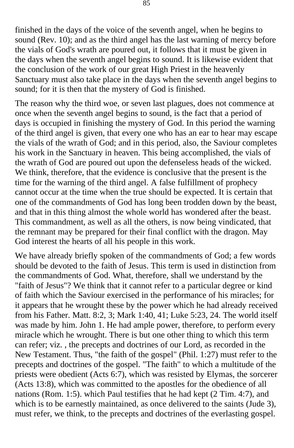finished in the days of the voice of the seventh angel, when he begins to sound (Rev. 10); and as the third angel has the last warning of mercy before the vials of God's wrath are poured out, it follows that it must be given in the days when the seventh angel begins to sound. It is likewise evident that the conclusion of the work of our great High Priest in the heavenly Sanctuary must also take place in the days when the seventh angel begins to sound; for it is then that the mystery of God is finished.

The reason why the third woe, or seven last plagues, does not commence at once when the seventh angel begins to sound, is the fact that a period of days is occupied in finishing the mystery of God. In this period the warning of the third angel is given, that every one who has an ear to hear may escape the vials of the wrath of God; and in this period, also, the Saviour completes his work in the Sanctuary in heaven. This being accomplished, the vials of the wrath of God are poured out upon the defenseless heads of the wicked. We think, therefore, that the evidence is conclusive that the present is the time for the warning of the third angel. A false fulfillment of prophecy cannot occur at the time when the true should be expected. It is certain that one of the commandments of God has long been trodden down by the beast, and that in this thing almost the whole world has wondered after the beast. This commandment, as well as all the others, is now being vindicated, that the remnant may be prepared for their final conflict with the dragon. May God interest the hearts of all his people in this work.

We have already briefly spoken of the commandments of God; a few words should be devoted to the faith of Jesus. This term is used in distinction from the commandments of God. What, therefore, shall we understand by the "faith of Jesus"? We think that it cannot refer to a particular degree or kind of faith which the Saviour exercised in the performance of his miracles; for it appears that he wrought these by the power which he had already received from his Father. Matt. 8:2, 3; Mark 1:40, 41; Luke 5:23, 24. The world itself was made by him. John 1. He had ample power, therefore, to perform every miracle which he wrought. There is but one other thing to which this term can refer; viz. , the precepts and doctrines of our Lord, as recorded in the New Testament. Thus, "the faith of the gospel" (Phil. 1:27) must refer to the precepts and doctrines of the gospel. "The faith" to which a multitude of the priests were obedient (Acts 6:7), which was resisted by Elymas, the sorcerer (Acts 13:8), which was committed to the apostles for the obedience of all nations (Rom. 1:5). which Paul testifies that he had kept (2 Tim. 4:7), and which is to be earnestly maintained, as once delivered to the saints (Jude 3), must refer, we think, to the precepts and doctrines of the everlasting gospel.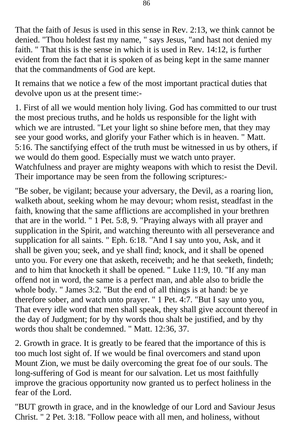That the faith of Jesus is used in this sense in Rev. 2:13, we think cannot be denied. "Thou holdest fast my name, " says Jesus, "and hast not denied my faith. " That this is the sense in which it is used in Rev. 14:12, is further evident from the fact that it is spoken of as being kept in the same manner that the commandments of God are kept.

It remains that we notice a few of the most important practical duties that devolve upon us at the present time:-

1. First of all we would mention holy living. God has committed to our trust the most precious truths, and he holds us responsible for the light with which we are intrusted. "Let your light so shine before men, that they may see your good works, and glorify your Father which is in heaven. " Matt. 5:16. The sanctifying effect of the truth must be witnessed in us by others, if we would do them good. Especially must we watch unto prayer. Watchfulness and prayer are mighty weapons with which to resist the Devil. Their importance may be seen from the following scriptures:-

"Be sober, be vigilant; because your adversary, the Devil, as a roaring lion, walketh about, seeking whom he may devour; whom resist, steadfast in the faith, knowing that the same afflictions are accomplished in your brethren that are in the world. " 1 Pet. 5:8, 9. "Praying always with all prayer and supplication in the Spirit, and watching thereunto with all perseverance and supplication for all saints. " Eph. 6:18. "And I say unto you, Ask, and it shall be given you; seek, and ye shall find; knock, and it shall be opened unto you. For every one that asketh, receiveth; and he that seeketh, findeth; and to him that knocketh it shall be opened. " Luke 11:9, 10. "If any man offend not in word, the same is a perfect man, and able also to bridle the whole body. " James 3:2. "But the end of all things is at hand: be ye therefore sober, and watch unto prayer. " 1 Pet. 4:7. "But I say unto you, That every idle word that men shall speak, they shall give account thereof in the day of Judgment; for by thy words thou shalt be justified, and by thy words thou shalt be condemned. " Matt. 12:36, 37.

2. Growth in grace. It is greatly to be feared that the importance of this is too much lost sight of. If we would be final overcomers and stand upon Mount Zion, we must be daily overcoming the great foe of our souls. The long-suffering of God is meant for our salvation. Let us most faithfully improve the gracious opportunity now granted us to perfect holiness in the fear of the Lord.

"BUT growth in grace, and in the knowledge of our Lord and Saviour Jesus Christ. " 2 Pet. 3:18. "Follow peace with all men, and holiness, without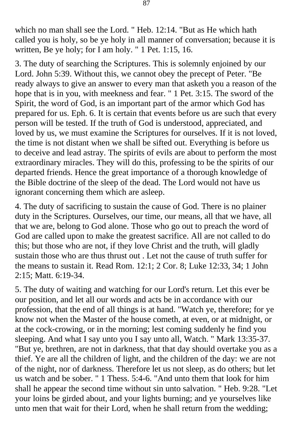which no man shall see the Lord. " Heb. 12:14. "But as He which hath called you is holy, so be ye holy in all manner of conversation; because it is written, Be ye holy; for I am holy. " 1 Pet. 1:15, 16.

3. The duty of searching the Scriptures. This is solemnly enjoined by our Lord. John 5:39. Without this, we cannot obey the precept of Peter. "Be ready always to give an answer to every man that asketh you a reason of the hope that is in you, with meekness and fear. " 1 Pet. 3:15. The sword of the Spirit, the word of God, is an important part of the armor which God has prepared for us. Eph. 6. It is certain that events before us are such that every person will be tested. If the truth of God is understood, appreciated, and loved by us, we must examine the Scriptures for ourselves. If it is not loved, the time is not distant when we shall be sifted out. Everything is before us to deceive and lead astray. The spirits of evils are about to perform the most extraordinary miracles. They will do this, professing to be the spirits of our departed friends. Hence the great importance of a thorough knowledge of the Bible doctrine of the sleep of the dead. The Lord would not have us ignorant concerning them which are asleep.

4. The duty of sacrificing to sustain the cause of God. There is no plainer duty in the Scriptures. Ourselves, our time, our means, all that we have, all that we are, belong to God alone. Those who go out to preach the word of God are called upon to make the greatest sacrifice. All are not called to do this; but those who are not, if they love Christ and the truth, will gladly sustain those who are thus thrust out . Let not the cause of truth suffer for the means to sustain it. Read Rom. 12:1; 2 Cor. 8; Luke 12:33, 34; 1 John 2:15; Matt. 6:19-34.

5. The duty of waiting and watching for our Lord's return. Let this ever be our position, and let all our words and acts be in accordance with our profession, that the end of all things is at hand. "Watch ye, therefore; for ye know not when the Master of the house cometh, at even, or at midnight, or at the cock-crowing, or in the morning; lest coming suddenly he find you sleeping. And what I say unto you I say unto all, Watch. " Mark 13:35-37. "But ye, brethren, are not in darkness, that that day should overtake you as a thief. Ye are all the children of light, and the children of the day: we are not of the night, nor of darkness. Therefore let us not sleep, as do others; but let us watch and be sober. " 1 Thess. 5:4-6. "And unto them that look for him shall he appear the second time without sin unto salvation. " Heb. 9:28. "Let your loins be girded about, and your lights burning; and ye yourselves like unto men that wait for their Lord, when he shall return from the wedding;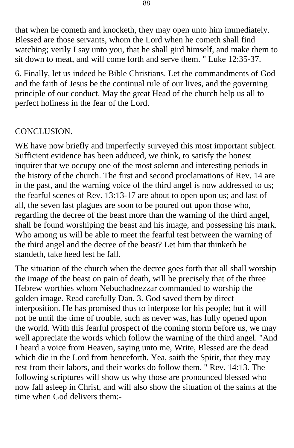that when he cometh and knocketh, they may open unto him immediately. Blessed are those servants, whom the Lord when he cometh shall find watching; verily I say unto you, that he shall gird himself, and make them to sit down to meat, and will come forth and serve them. " Luke 12:35-37.

6. Finally, let us indeed be Bible Christians. Let the commandments of God and the faith of Jesus be the continual rule of our lives, and the governing principle of our conduct. May the great Head of the church help us all to perfect holiness in the fear of the Lord.

#### CONCLUSION.

WE have now briefly and imperfectly surveyed this most important subject. Sufficient evidence has been adduced, we think, to satisfy the honest inquirer that we occupy one of the most solemn and interesting periods in the history of the church. The first and second proclamations of Rev. 14 are in the past, and the warning voice of the third angel is now addressed to us; the fearful scenes of Rev. 13:13-17 are about to open upon us; and last of all, the seven last plagues are soon to be poured out upon those who, regarding the decree of the beast more than the warning of the third angel, shall be found worshiping the beast and his image, and possessing his mark. Who among us will be able to meet the fearful test between the warning of the third angel and the decree of the beast? Let him that thinketh he standeth, take heed lest he fall.

The situation of the church when the decree goes forth that all shall worship the image of the beast on pain of death, will be precisely that of the three Hebrew worthies whom Nebuchadnezzar commanded to worship the golden image. Read carefully Dan. 3. God saved them by direct interposition. He has promised thus to interpose for his people; but it will not be until the time of trouble, such as never was, has fully opened upon the world. With this fearful prospect of the coming storm before us, we may well appreciate the words which follow the warning of the third angel. "And I heard a voice from Heaven, saying unto me, Write, Blessed are the dead which die in the Lord from henceforth. Yea, saith the Spirit, that they may rest from their labors, and their works do follow them. " Rev. 14:13. The following scriptures will show us why those are pronounced blessed who now fall asleep in Christ, and will also show the situation of the saints at the time when God delivers them:-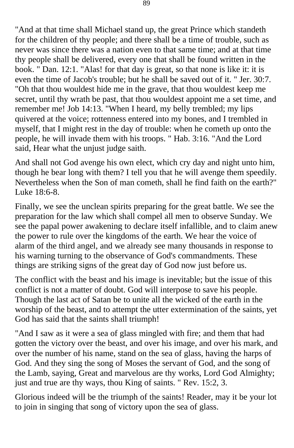"And at that time shall Michael stand up, the great Prince which standeth for the children of thy people; and there shall be a time of trouble, such as never was since there was a nation even to that same time; and at that time thy people shall be delivered, every one that shall be found written in the book. " Dan. 12:1. "Alas! for that day is great, so that none is like it: it is even the time of Jacob's trouble; but he shall be saved out of it. " Jer. 30:7. "Oh that thou wouldest hide me in the grave, that thou wouldest keep me secret, until thy wrath be past, that thou wouldest appoint me a set time, and remember me! Job 14:13. "When I heard, my belly trembled; my lips quivered at the voice; rottenness entered into my bones, and I trembled in myself, that I might rest in the day of trouble: when he cometh up onto the people, he will invade them with his troops. " Hab. 3:16. "And the Lord said, Hear what the unjust judge saith.

And shall not God avenge his own elect, which cry day and night unto him, though he bear long with them? I tell you that he will avenge them speedily. Nevertheless when the Son of man cometh, shall he find faith on the earth?" Luke 18:6-8.

Finally, we see the unclean spirits preparing for the great battle. We see the preparation for the law which shall compel all men to observe Sunday. We see the papal power awakening to declare itself infallible, and to claim anew the power to rule over the kingdoms of the earth. We hear the voice of alarm of the third angel, and we already see many thousands in response to his warning turning to the observance of God's commandments. These things are striking signs of the great day of God now just before us.

The conflict with the beast and his image is inevitable; but the issue of this conflict is not a matter of doubt. God will interpose to save his people. Though the last act of Satan be to unite all the wicked of the earth in the worship of the beast, and to attempt the utter extermination of the saints, yet God has said that the saints shall triumph!

"And I saw as it were a sea of glass mingled with fire; and them that had gotten the victory over the beast, and over his image, and over his mark, and over the number of his name, stand on the sea of glass, having the harps of God. And they sing the song of Moses the servant of God, and the song of the Lamb, saying, Great and marvelous are thy works, Lord God Almighty; just and true are thy ways, thou King of saints. " Rev. 15:2, 3.

Glorious indeed will be the triumph of the saints! Reader, may it be your lot to join in singing that song of victory upon the sea of glass.